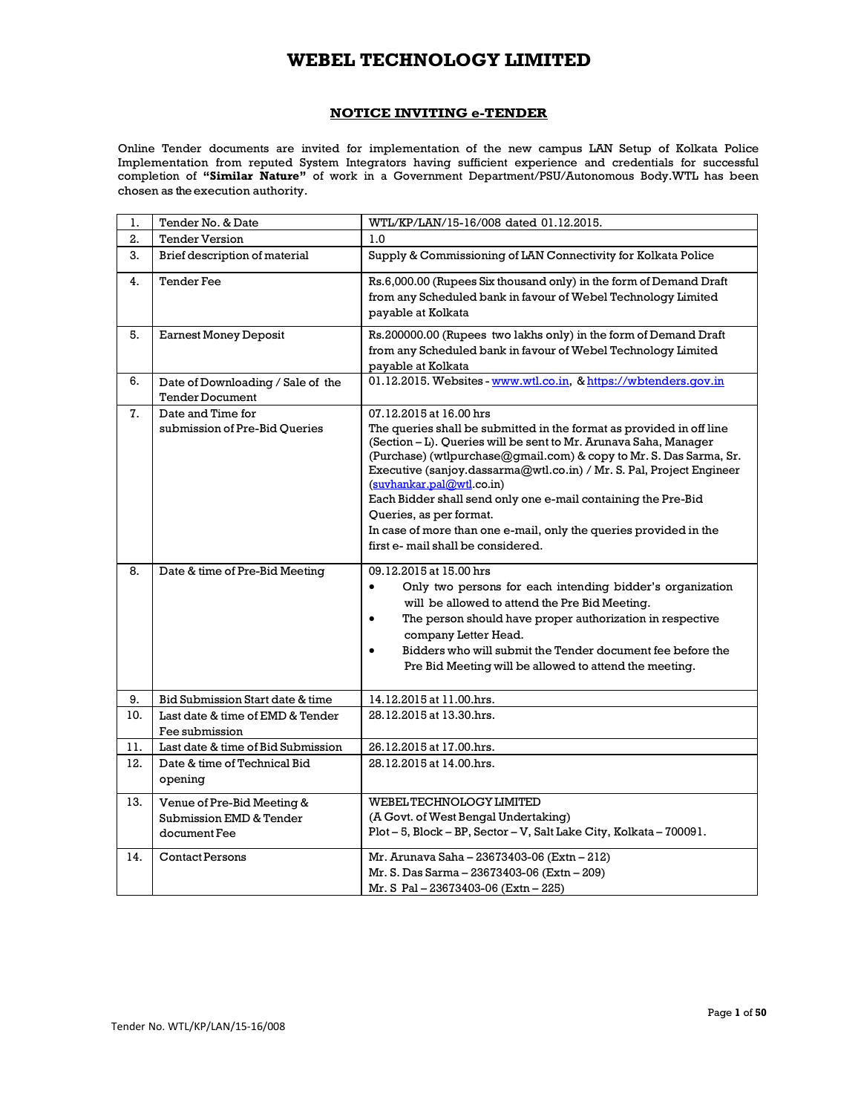## **NOTICE INVITING e-TENDER**

Online Tender documents are invited for implementation of the new campus LAN Setup of Kolkata Police Implementation from reputed System Integrators having sufficient experience and credentials for successful completion of **"Similar Nature"** of work in a Government Department/PSU/Autonomous Body.WTL has been chosen as the execution authority.

| 1.  | Tender No. & Date                                                     | WTL/KP/LAN/15-16/008 dated 01.12.2015.                                                                                                                                                                                                                                                                                                                                                                                                                                                                                                                |
|-----|-----------------------------------------------------------------------|-------------------------------------------------------------------------------------------------------------------------------------------------------------------------------------------------------------------------------------------------------------------------------------------------------------------------------------------------------------------------------------------------------------------------------------------------------------------------------------------------------------------------------------------------------|
| 2.  | <b>Tender Version</b>                                                 | 1.0                                                                                                                                                                                                                                                                                                                                                                                                                                                                                                                                                   |
| 3.  | Brief description of material                                         | Supply & Commissioning of LAN Connectivity for Kolkata Police                                                                                                                                                                                                                                                                                                                                                                                                                                                                                         |
| 4.  | <b>Tender Fee</b>                                                     | Rs.6,000.00 (Rupees Six thousand only) in the form of Demand Draft<br>from any Scheduled bank in favour of Webel Technology Limited<br>payable at Kolkata                                                                                                                                                                                                                                                                                                                                                                                             |
| 5.  | <b>Earnest Money Deposit</b>                                          | Rs.200000.00 (Rupees two lakhs only) in the form of Demand Draft<br>from any Scheduled bank in favour of Webel Technology Limited<br>payable at Kolkata                                                                                                                                                                                                                                                                                                                                                                                               |
| 6.  | Date of Downloading / Sale of the<br><b>Tender Document</b>           | 01.12.2015. Websites - www.wtl.co.in, & https://wbtenders.gov.in                                                                                                                                                                                                                                                                                                                                                                                                                                                                                      |
| 7.  | Date and Time for<br>submission of Pre-Bid Queries                    | 07.12.2015 at 16.00 hrs<br>The queries shall be submitted in the format as provided in off line<br>(Section - L). Queries will be sent to Mr. Arunava Saha, Manager<br>(Purchase) (wtlpurchase@gmail.com) & copy to Mr. S. Das Sarma, Sr.<br>Executive (sanjoy.dassarma@wtl.co.in) / Mr. S. Pal, Project Engineer<br>(suvhankar.pal@wtl.co.in)<br>Each Bidder shall send only one e-mail containing the Pre-Bid<br>Queries, as per format.<br>In case of more than one e-mail, only the queries provided in the<br>first e- mail shall be considered. |
| 8.  | Date & time of Pre-Bid Meeting                                        | 09.12.2015 at 15.00 hrs<br>Only two persons for each intending bidder's organization<br>$\bullet$<br>will be allowed to attend the Pre Bid Meeting.<br>The person should have proper authorization in respective<br>$\bullet$<br>company Letter Head.<br>Bidders who will submit the Tender document fee before the<br>Pre Bid Meeting will be allowed to attend the meeting.                                                                                                                                                                         |
| 9.  | Bid Submission Start date & time                                      | 14.12.2015 at 11.00.hrs.                                                                                                                                                                                                                                                                                                                                                                                                                                                                                                                              |
| 10. | Last date & time of EMD & Tender<br>Fee submission                    | 28.12.2015 at 13.30.hrs.                                                                                                                                                                                                                                                                                                                                                                                                                                                                                                                              |
| 11. | Last date & time of Bid Submission                                    | 26.12.2015 at 17.00.hrs.                                                                                                                                                                                                                                                                                                                                                                                                                                                                                                                              |
| 12. | Date & time of Technical Bid<br>opening                               | 28.12.2015 at 14.00.hrs.                                                                                                                                                                                                                                                                                                                                                                                                                                                                                                                              |
| 13. | Venue of Pre-Bid Meeting &<br>Submission EMD & Tender<br>document Fee | WEBEL TECHNOLOGY LIMITED<br>(A Govt. of West Bengal Undertaking)<br>Plot-5, Block-BP, Sector-V, Salt Lake City, Kolkata-700091.                                                                                                                                                                                                                                                                                                                                                                                                                       |
| 14. | <b>Contact Persons</b>                                                | Mr. Arunava Saha - 23673403-06 (Extn - 212)<br>Mr. S. Das Sarma - 23673403-06 (Extn - 209)<br>Mr. S Pal - 23673403-06 (Extn - 225)                                                                                                                                                                                                                                                                                                                                                                                                                    |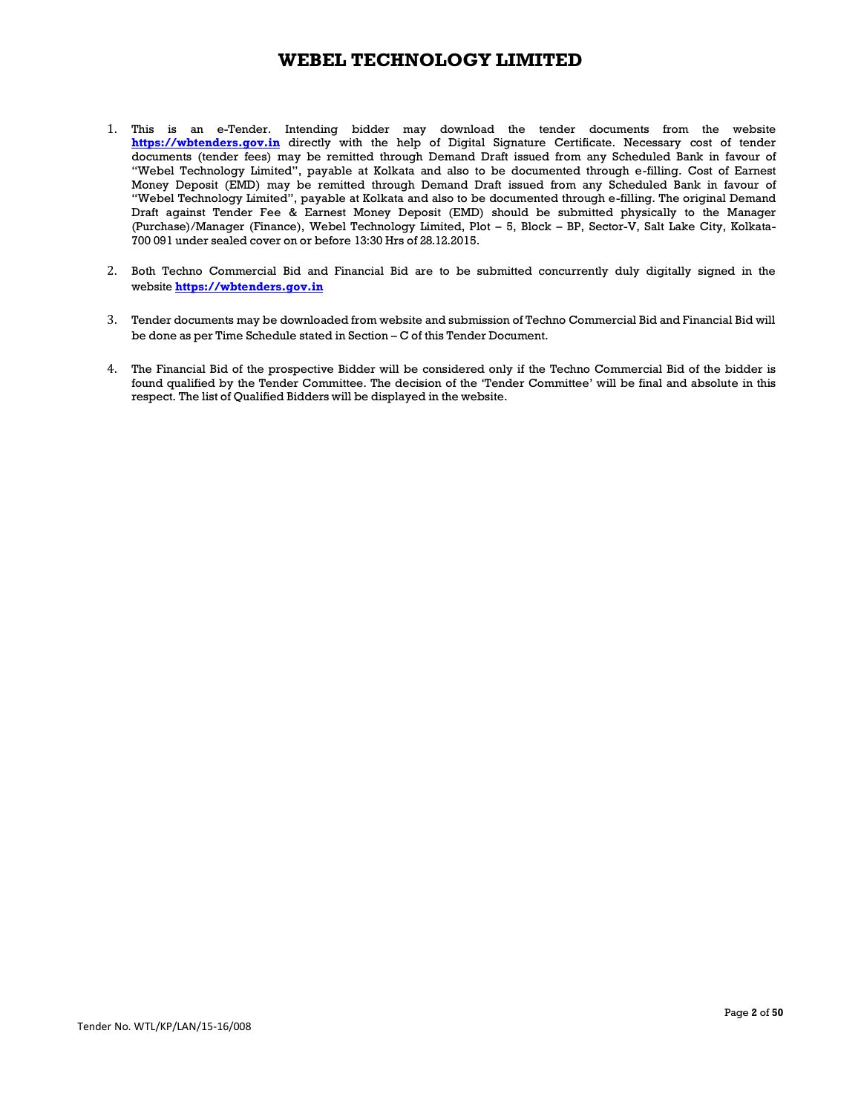- 1. This is an e-Tender. Intending bidder may download the tender documents from the website **https://wbtenders.gov.in** directly with the help of Digital Signature Certificate. Necessary cost of tender documents (tender fees) may be remitted through Demand Draft issued from any Scheduled Bank in favour of "Webel Technology Limited", payable at Kolkata and also to be documented through e-filling. Cost of Earnest Money Deposit (EMD) may be remitted through Demand Draft issued from any Scheduled Bank in favour of "Webel Technology Limited", payable at Kolkata and also to be documented through e-filling. The original Demand Draft against Tender Fee & Earnest Money Deposit (EMD) should be submitted physically to the Manager (Purchase)/Manager (Finance), Webel Technology Limited, Plot – 5, Block – BP, Sector-V, Salt Lake City, Kolkata-700 091 under sealed cover on or before 13:30 Hrs of 28.12.2015.
- 2. Both Techno Commercial Bid and Financial Bid are to be submitted concurrently duly digitally signed in the website **https://wbtenders.gov.in**
- 3. Tender documents may be downloaded from website and submission of Techno Commercial Bid and Financial Bid will be done as per Time Schedule stated in Section – C of this Tender Document.
- 4. The Financial Bid of the prospective Bidder will be considered only if the Techno Commercial Bid of the bidder is found qualified by the Tender Committee. The decision of the 'Tender Committee' will be final and absolute in this respect. The list of Qualified Bidders will be displayed in the website.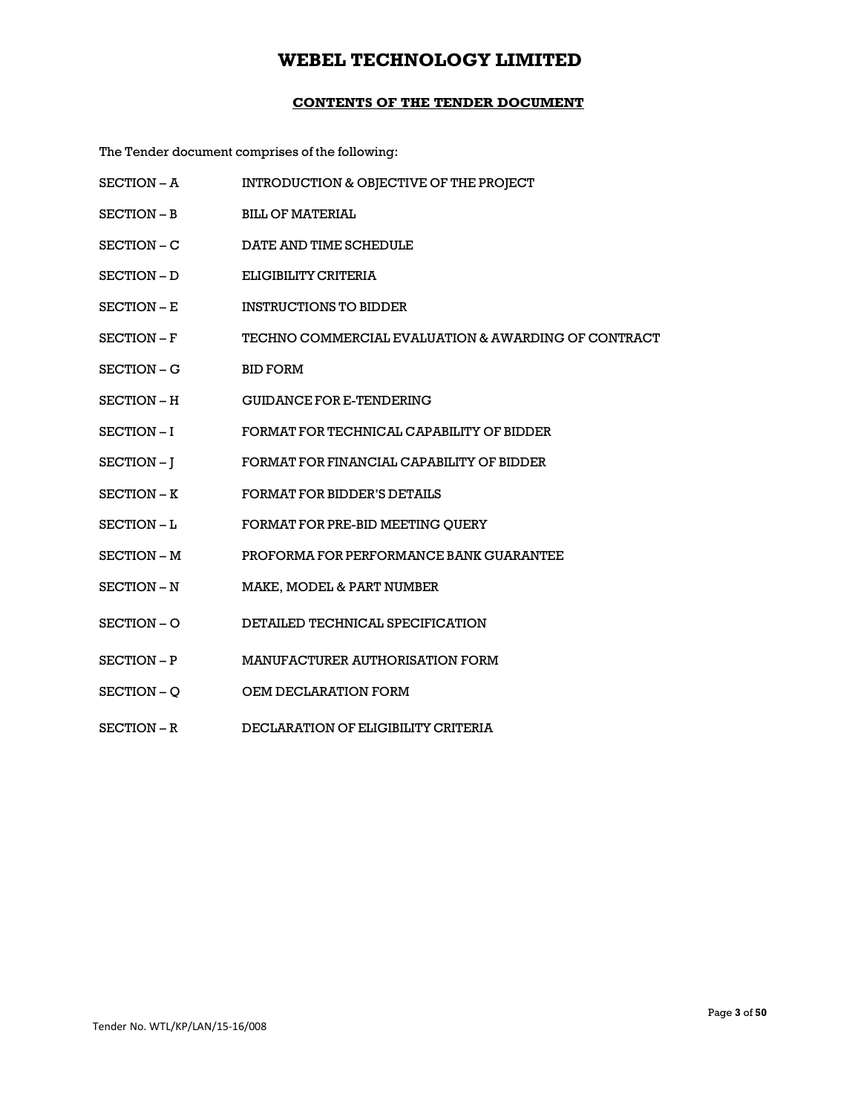## **CONTENTS OF THE TENDER DOCUMENT**

The Tender document comprises of the following:

| SECTION - A | INTRODUCTION & OBJECTIVE OF THE PROJECT             |
|-------------|-----------------------------------------------------|
| SECTION – B | <b>BILL OF MATERIAL</b>                             |
| SECTION-C   | DATE AND TIME SCHEDULE                              |
| SECTION - D | ELIGIBILITY CRITERIA                                |
| SECTION – E | <b>INSTRUCTIONS TO BIDDER</b>                       |
| SECTION – F | TECHNO COMMERCIAL EVALUATION & AWARDING OF CONTRACT |
| SECTION – G | <b>BID FORM</b>                                     |
| SECTION – H | <b>GUIDANCE FOR E-TENDERING</b>                     |
| SECTION-I   | FORMAT FOR TECHNICAL CAPABILITY OF BIDDER           |
| SECTION-J   | FORMAT FOR FINANCIAL CAPABILITY OF BIDDER           |
| SECTION - K | <b>FORMAT FOR BIDDER'S DETAILS</b>                  |
| SECTION-L   | FORMAT FOR PRE-BID MEETING QUERY                    |
| SECTION - M | PROFORMA FOR PERFORMANCE BANK GUARANTEE             |
| SECTION - N | MAKE, MODEL & PART NUMBER                           |
| SECTION-O   | DETAILED TECHNICAL SPECIFICATION                    |
| SECTION - P | MANUFACTURER AUTHORISATION FORM                     |
| SECTION - Q | OEM DECLARATION FORM                                |
| SECTION-R   | DECLARATION OF ELIGIBILITY CRITERIA                 |
|             |                                                     |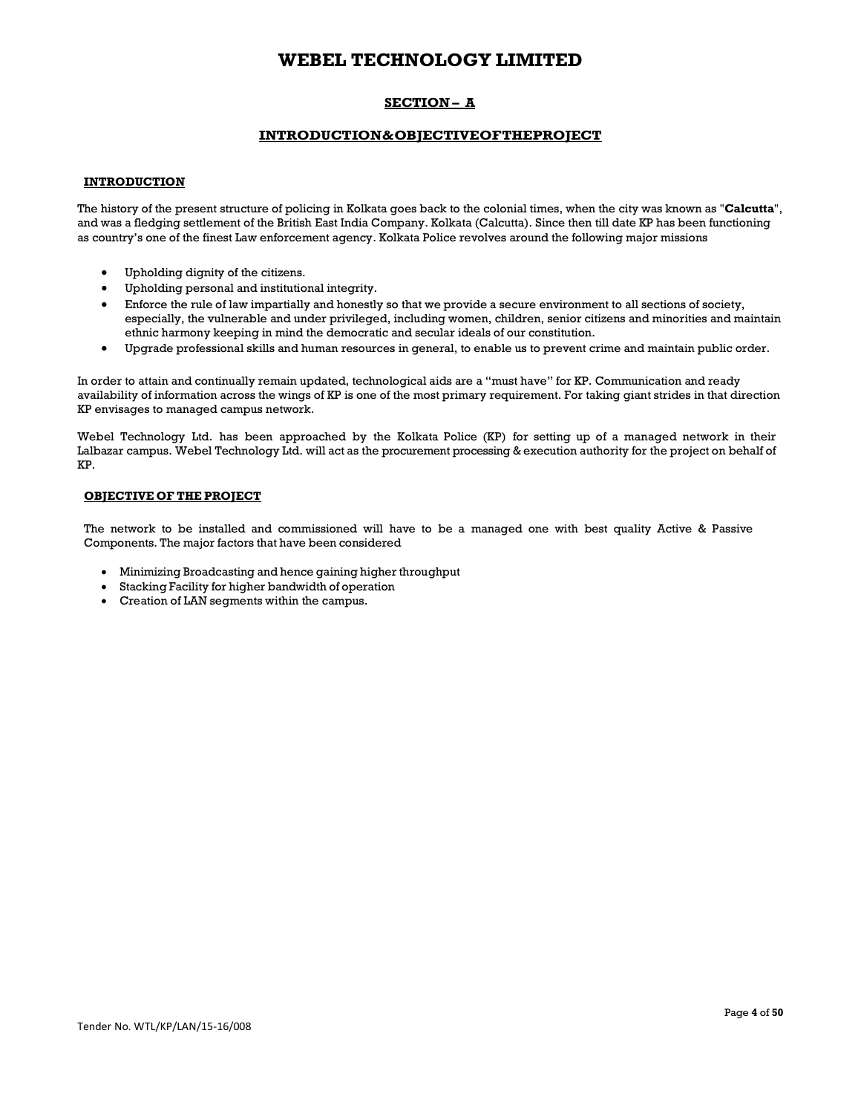## **SECTION – A**

## **INTRODUCTION & OBJECTIVE OF THE PROJECT**

### **INTRODUCTION**

The history of the present structure of policing in Kolkata goes back to the colonial times, when the city was known as "**Calcutta**", and was a fledging settlement of the British East India Company. Kolkata (Calcutta). Since then till date KP has been functioning as country's one of the finest Law enforcement agency. Kolkata Police revolves around the following major missions

- Upholding dignity of the citizens.
- Upholding personal and institutional integrity.
- Enforce the rule of law impartially and honestly so that we provide a secure environment to all sections of society, especially, the vulnerable and under privileged, including women, children, senior citizens and minorities and maintain ethnic harmony keeping in mind the democratic and secular ideals of our constitution.
- Upgrade professional skills and human resources in general, to enable us to prevent crime and maintain public order.

In order to attain and continually remain updated, technological aids are a "must have" for KP. Communication and ready availability of information across the wings of KP is one of the most primary requirement. For taking giant strides in that direction KP envisages to managed campus network.

Webel Technology Ltd. has been approached by the Kolkata Police (KP) for setting up of a managed network in their Lalbazar campus. Webel Technology Ltd. will act as the procurement processing & execution authority for the project on behalf of KP.

### **OBJECTIVE OF THE PROJECT**

The network to be installed and commissioned will have to be a managed one with best quality Active & Passive Components. The major factors that have been considered

- Minimizing Broadcasting and hence gaining higher throughput
- Stacking Facility for higher bandwidth of operation
- Creation of LAN segments within the campus.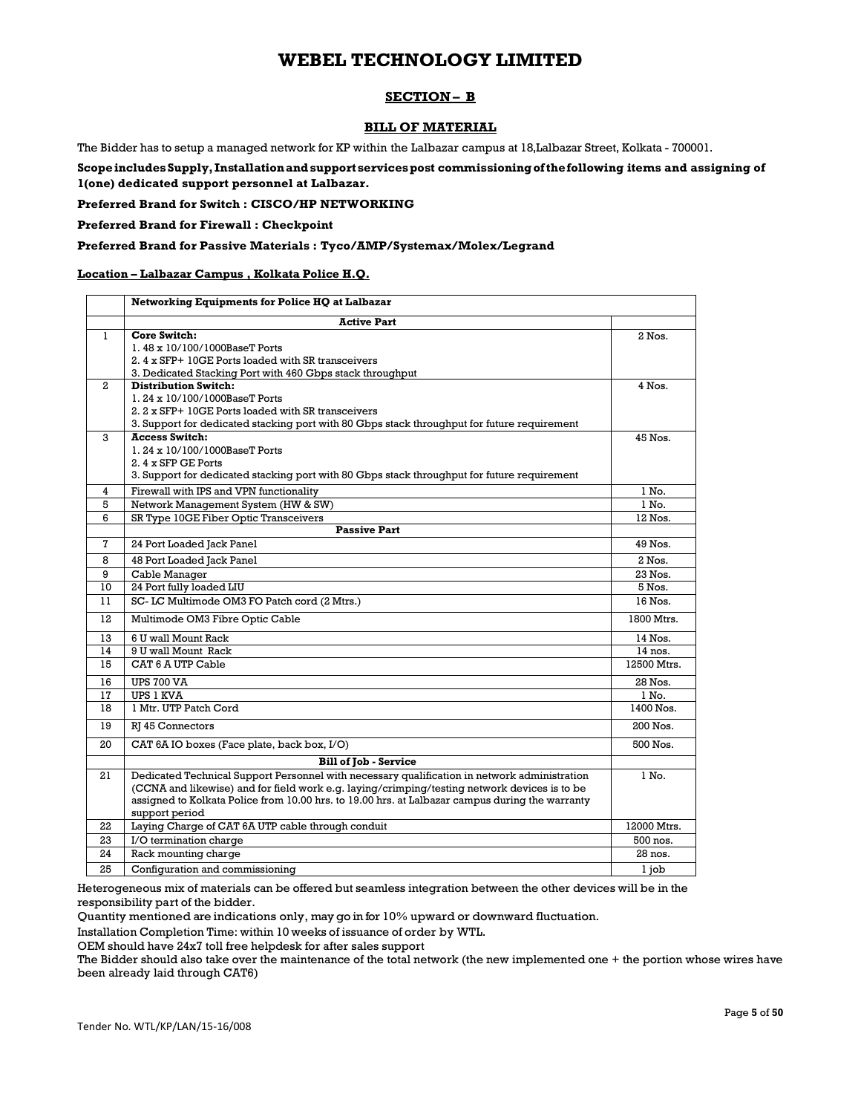## **SECTION – B**

### **BILL OF MATERIAL**

The Bidder has to setup a managed network for KP within the Lalbazar campus at 18,Lalbazar Street, Kolkata - 700001.

**Scope includes Supply, Installation and support services post commissioning of the following items and assigning of 1(one) dedicated support personnel at Lalbazar.** 

**Preferred Brand for Switch : CISCO/HP NETWORKING** 

**Preferred Brand for Firewall : Checkpoint** 

### **Preferred Brand for Passive Materials : Tyco/AMP/Systemax/Molex/Legrand**

#### **Location – Lalbazar Campus , Kolkata Police H.Q.**

|                     | Networking Equipments for Police HQ at Lalbazar                                                 |                |
|---------------------|-------------------------------------------------------------------------------------------------|----------------|
|                     | <b>Active Part</b>                                                                              |                |
| 1                   | Core Switch:                                                                                    | 2 Nos.         |
|                     | 1.48 x 10/100/1000BaseT Ports                                                                   |                |
|                     | 2.4 x SFP+ 10GE Ports loaded with SR transceivers                                               |                |
|                     | 3. Dedicated Stacking Port with 460 Gbps stack throughput                                       |                |
| $\mathbf{2}$        | <b>Distribution Switch:</b>                                                                     | 4 Nos.         |
|                     | 1.24 x 10/100/1000BaseT Ports                                                                   |                |
|                     | 2. 2 x SFP+ 10GE Ports loaded with SR transceivers                                              |                |
|                     | 3. Support for dedicated stacking port with 80 Gbps stack throughput for future requirement     |                |
| 3                   | <b>Access Switch:</b><br>1.24 x 10/100/1000BaseT Ports                                          | 45 Nos.        |
|                     | 2. 4 x SFP GE Ports                                                                             |                |
|                     | 3. Support for dedicated stacking port with 80 Gbps stack throughput for future requirement     |                |
|                     |                                                                                                 |                |
| $\overline{4}$<br>5 | Firewall with IPS and VPN functionality<br>Network Management System (HW & SW)                  | 1 No.<br>1 No. |
| 6                   | SR Type 10GE Fiber Optic Transceivers                                                           | 12 Nos.        |
|                     | <b>Passive Part</b>                                                                             |                |
| $\mathbf 7$         | 24 Port Loaded Jack Panel                                                                       | 49 Nos.        |
| 8                   | 48 Port Loaded Jack Panel                                                                       | $2$ Nos.       |
| 9                   | Cable Manager                                                                                   | 23 Nos.        |
| 10                  | 24 Port fully loaded LIU                                                                        | 5 Nos.         |
| 11                  | SC-LC Multimode OM3 FO Patch cord (2 Mtrs.)                                                     | 16 Nos.        |
| 12                  | Multimode OM3 Fibre Optic Cable                                                                 | 1800 Mtrs.     |
| 13                  | 6 U wall Mount Rack                                                                             | 14 Nos.        |
| 14                  | 9 U wall Mount Rack                                                                             | 14 nos.        |
| 15                  | CAT 6 A UTP Cable                                                                               | 12500 Mtrs.    |
| 16                  | <b>UPS 700 VA</b>                                                                               | 28 Nos.        |
| 17                  | <b>UPS 1 KVA</b>                                                                                | 1 No.          |
| 18                  | 1 Mtr. UTP Patch Cord                                                                           | 1400 Nos.      |
| 19                  | RI 45 Connectors                                                                                | 200 Nos.       |
| 20                  | CAT 6A IO boxes (Face plate, back box, I/O)                                                     | 500 Nos.       |
|                     | <b>Bill of Job - Service</b>                                                                    |                |
| 21                  | Dedicated Technical Support Personnel with necessary qualification in network administration    | 1 No.          |
|                     | (CCNA and likewise) and for field work e.g. laying/crimping/testing network devices is to be    |                |
|                     | assigned to Kolkata Police from 10.00 hrs. to 19.00 hrs. at Lalbazar campus during the warranty |                |
|                     | support period                                                                                  |                |
| 22                  | Laying Charge of CAT 6A UTP cable through conduit                                               | 12000 Mtrs.    |
| 23                  | I/O termination charge                                                                          | 500 nos.       |
| 24                  | Rack mounting charge                                                                            | 28 nos.        |
| 25                  | Configuration and commissioning                                                                 | 1 iob          |

Heterogeneous mix of materials can be offered but seamless integration between the other devices will be in the responsibility part of the bidder.

Quantity mentioned are indications only, may go in for 10% upward or downward fluctuation.

Installation Completion Time: within 10 weeks of issuance of order by WTL.

OEM should have 24x7 toll free helpdesk for after sales support

The Bidder should also take over the maintenance of the total network (the new implemented one + the portion whose wires have been already laid through CAT6)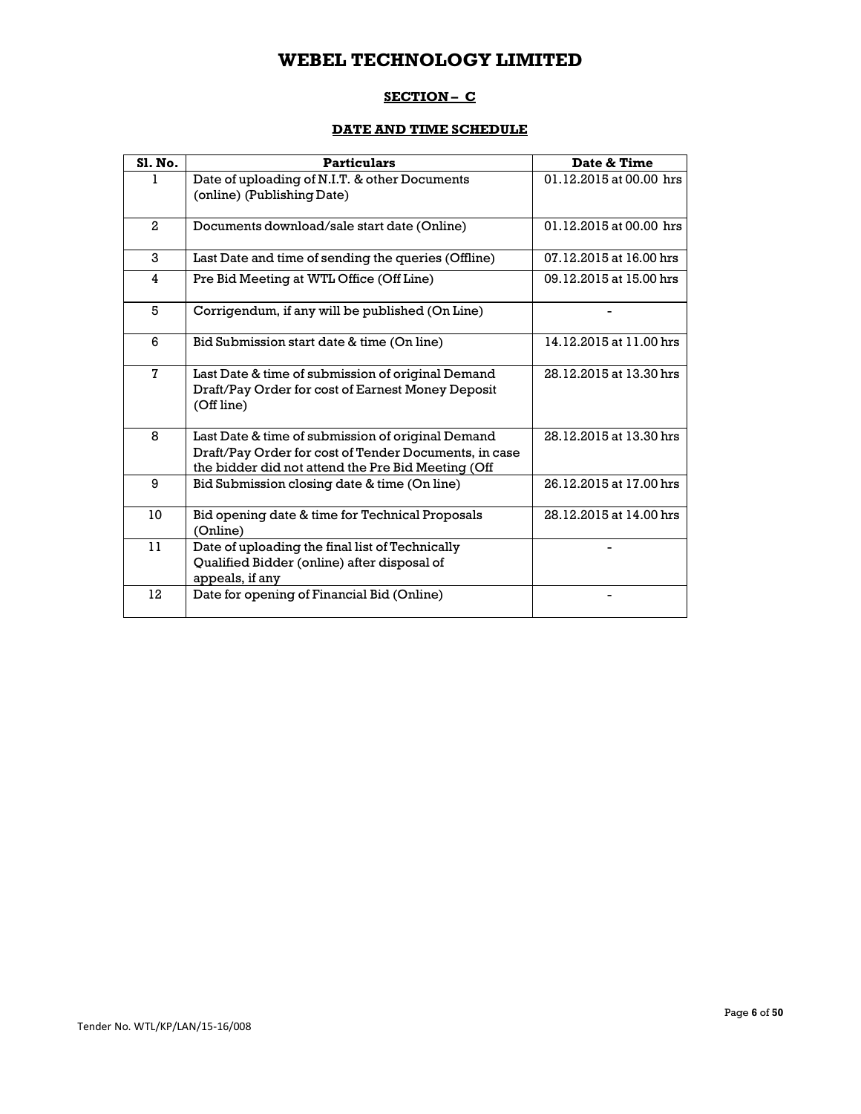## **SECTION – C**

## **DATE AND TIME SCHEDULE**

| <b>S1. No.</b> | <b>Particulars</b>                                                                                                                                               | Date & Time             |
|----------------|------------------------------------------------------------------------------------------------------------------------------------------------------------------|-------------------------|
| 1              | Date of uploading of N.I.T. & other Documents<br>(online) (Publishing Date)                                                                                      | 01.12.2015 at 00.00 hrs |
| $\overline{a}$ | Documents download/sale start date (Online)                                                                                                                      | 01.12.2015 at 00.00 hrs |
| 3              | Last Date and time of sending the queries (Offline)                                                                                                              | 07.12.2015 at 16.00 hrs |
| 4              | Pre Bid Meeting at WTL Office (Off Line)                                                                                                                         | 09.12.2015 at 15.00 hrs |
| 5              | Corrigendum, if any will be published (On Line)                                                                                                                  |                         |
| 6              | Bid Submission start date & time (On line)                                                                                                                       | 14.12.2015 at 11.00 hrs |
| $\mathbf{7}$   | Last Date & time of submission of original Demand<br>Draft/Pay Order for cost of Earnest Money Deposit<br>(Off line)                                             | 28.12.2015 at 13.30 hrs |
| 8              | Last Date & time of submission of original Demand<br>Draft/Pay Order for cost of Tender Documents, in case<br>the bidder did not attend the Pre Bid Meeting (Off | 28.12.2015 at 13.30 hrs |
| 9              | Bid Submission closing date & time (On line)                                                                                                                     | 26.12.2015 at 17.00 hrs |
| 10             | Bid opening date & time for Technical Proposals<br>(Online)                                                                                                      | 28.12.2015 at 14.00 hrs |
| 11             | Date of uploading the final list of Technically<br>Qualified Bidder (online) after disposal of<br>appeals, if any                                                |                         |
| 12             | Date for opening of Financial Bid (Online)                                                                                                                       |                         |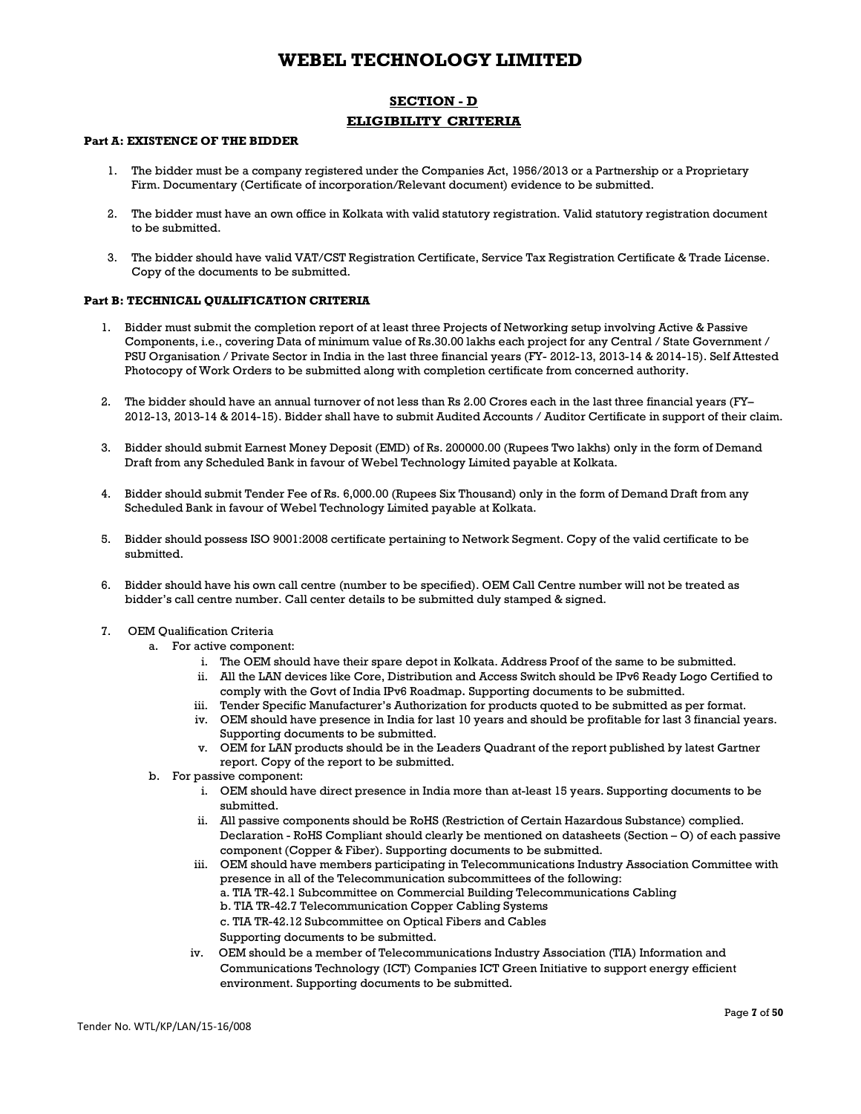## **SECTION - D ELIGIBILITY CRITERIA**

## **Part A: EXISTENCE OF THE BIDDER**

- 1. The bidder must be a company registered under the Companies Act, 1956/2013 or a Partnership or a Proprietary Firm. Documentary (Certificate of incorporation/Relevant document) evidence to be submitted.
- 2. The bidder must have an own office in Kolkata with valid statutory registration. Valid statutory registration document to be submitted.
- 3. The bidder should have valid VAT/CST Registration Certificate, Service Tax Registration Certificate & Trade License. Copy of the documents to be submitted.

#### **Part B: TECHNICAL QUALIFICATION CRITERIA**

- 1. Bidder must submit the completion report of at least three Projects of Networking setup involving Active & Passive Components, i.e., covering Data of minimum value of Rs.30.00 lakhs each project for any Central / State Government / PSU Organisation / Private Sector in India in the last three financial years (FY- 2012-13, 2013-14 & 2014-15). Self Attested Photocopy of Work Orders to be submitted along with completion certificate from concerned authority.
- 2. The bidder should have an annual turnover of not less than Rs 2.00 Crores each in the last three financial years (FY– 2012-13, 2013-14 & 2014-15). Bidder shall have to submit Audited Accounts / Auditor Certificate in support of their claim.
- 3. Bidder should submit Earnest Money Deposit (EMD) of Rs. 200000.00 (Rupees Two lakhs) only in the form of Demand Draft from any Scheduled Bank in favour of Webel Technology Limited payable at Kolkata.
- 4. Bidder should submit Tender Fee of Rs. 6,000.00 (Rupees Six Thousand) only in the form of Demand Draft from any Scheduled Bank in favour of Webel Technology Limited payable at Kolkata.
- 5. Bidder should possess ISO 9001:2008 certificate pertaining to Network Segment. Copy of the valid certificate to be submitted.
- 6. Bidder should have his own call centre (number to be specified). OEM Call Centre number will not be treated as bidder's call centre number. Call center details to be submitted duly stamped & signed.
- 7. OEM Qualification Criteria
	- a. For active component:
		- i. The OEM should have their spare depot in Kolkata. Address Proof of the same to be submitted.
		- ii. All the LAN devices like Core, Distribution and Access Switch should be IPv6 Ready Logo Certified to comply with the Govt of India IPv6 Roadmap. Supporting documents to be submitted.
		- iii. Tender Specific Manufacturer's Authorization for products quoted to be submitted as per format.
		- iv. OEM should have presence in India for last 10 years and should be profitable for last 3 financial years. Supporting documents to be submitted.
		- v. OEM for LAN products should be in the Leaders Quadrant of the report published by latest Gartner report. Copy of the report to be submitted.
	- b. For passive component:
		- i. OEM should have direct presence in India more than at-least 15 years. Supporting documents to be submitted.
		- ii. All passive components should be RoHS (Restriction of Certain Hazardous Substance) complied. Declaration - RoHS Compliant should clearly be mentioned on datasheets (Section – O) of each passive component (Copper & Fiber). Supporting documents to be submitted.
		- iii. OEM should have members participating in Telecommunications Industry Association Committee with presence in all of the Telecommunication subcommittees of the following:
			- a. TIA TR-42.1 Subcommittee on Commercial Building Telecommunications Cabling
			- b. TIA TR-42.7 Telecommunication Copper Cabling Systems
			- c. TIA TR-42.12 Subcommittee on Optical Fibers and Cables
			- Supporting documents to be submitted.
		- iv. OEM should be a member of Telecommunications Industry Association (TIA) Information and Communications Technology (ICT) Companies ICT Green Initiative to support energy efficient environment. Supporting documents to be submitted.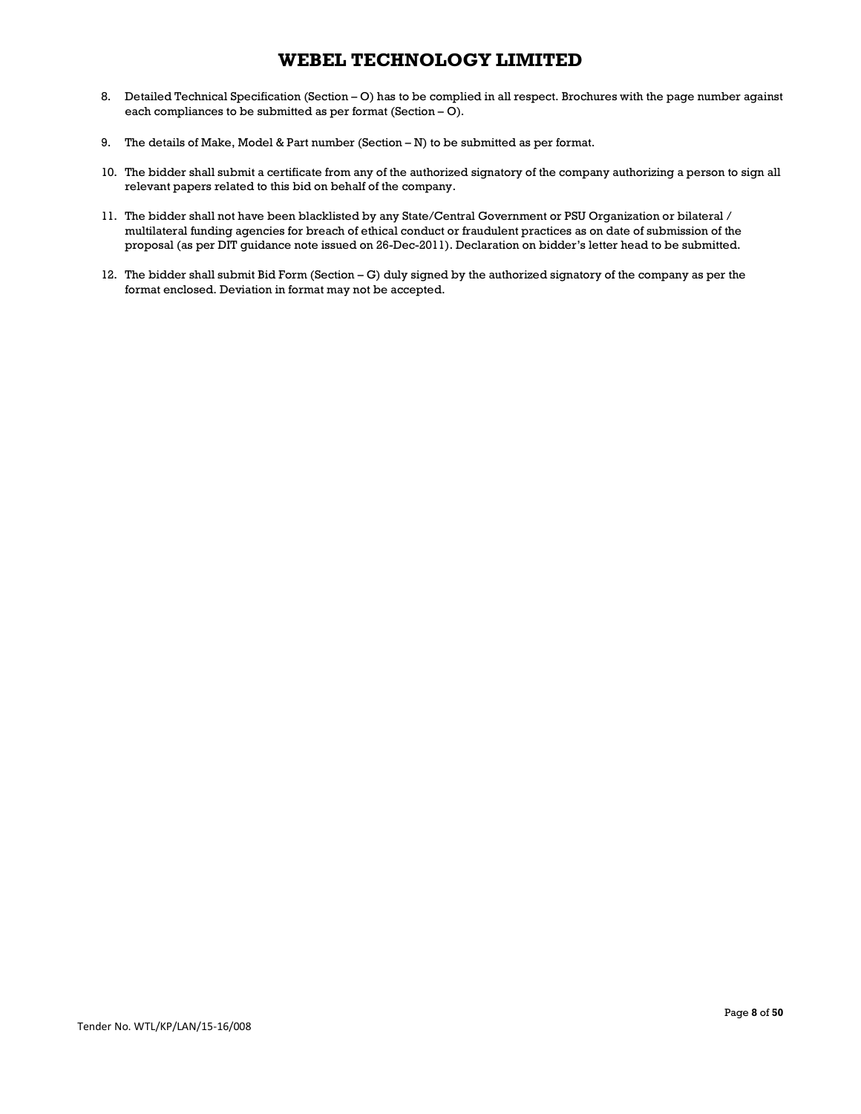- 8. Detailed Technical Specification (Section O) has to be complied in all respect. Brochures with the page number against each compliances to be submitted as per format (Section – O).
- 9. The details of Make, Model & Part number (Section N) to be submitted as per format.
- 10. The bidder shall submit a certificate from any of the authorized signatory of the company authorizing a person to sign all relevant papers related to this bid on behalf of the company.
- 11. The bidder shall not have been blacklisted by any State/Central Government or PSU Organization or bilateral / multilateral funding agencies for breach of ethical conduct or fraudulent practices as on date of submission of the proposal (as per DIT guidance note issued on 26-Dec-2011). Declaration on bidder's letter head to be submitted.
- 12. The bidder shall submit Bid Form (Section G) duly signed by the authorized signatory of the company as per the format enclosed. Deviation in format may not be accepted.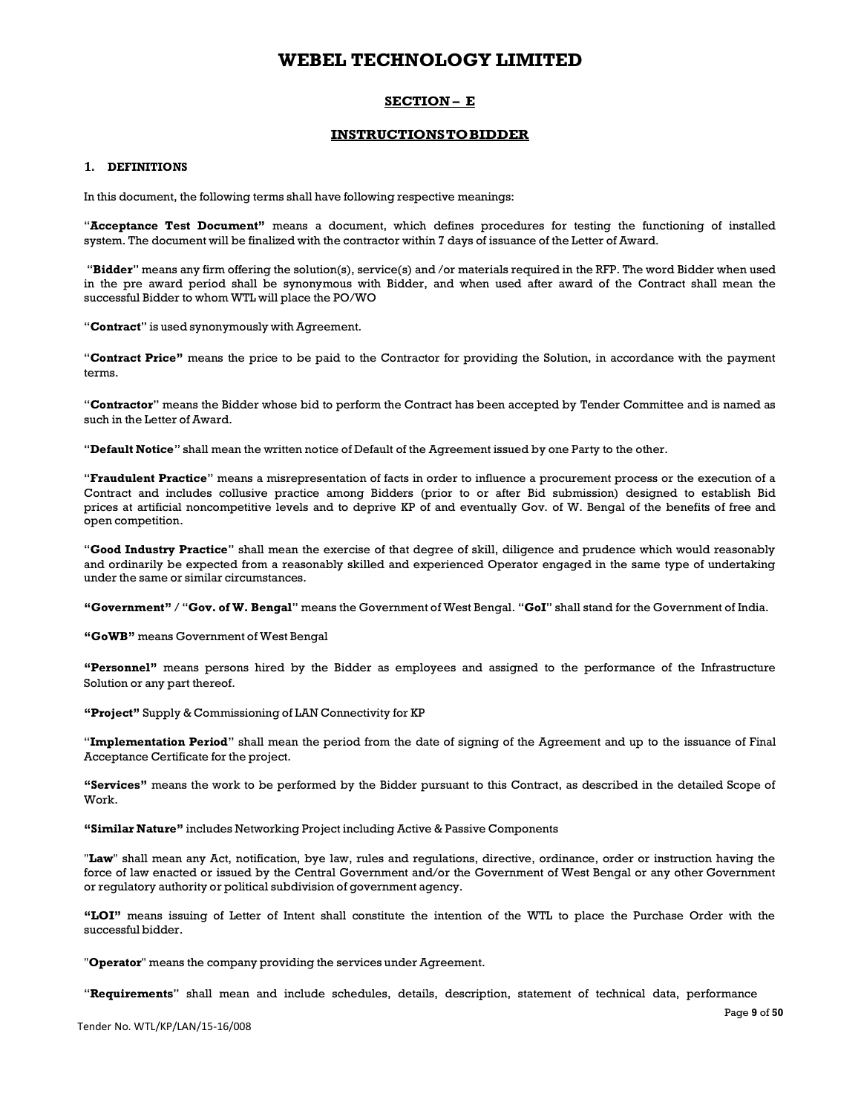### **SECTION – E**

### **INSTRUCTIONS TO BIDDER**

#### **1. DEFINITIONS**

In this document, the following terms shall have following respective meanings:

"**Acceptance Test Document"** means a document, which defines procedures for testing the functioning of installed system. The document will be finalized with the contractor within 7 days of issuance of the Letter of Award.

"**Bidder**" means any firm offering the solution(s), service(s) and /or materials required in the RFP. The word Bidder when used in the pre award period shall be synonymous with Bidder, and when used after award of the Contract shall mean the successful Bidder to whom WTL will place the PO/WO

"**Contract**" is used synonymously with Agreement.

"**Contract Price"** means the price to be paid to the Contractor for providing the Solution, in accordance with the payment terms.

"**Contractor**" means the Bidder whose bid to perform the Contract has been accepted by Tender Committee and is named as such in the Letter of Award.

"**Default Notice**" shall mean the written notice of Default of the Agreement issued by one Party to the other.

"**Fraudulent Practice**" means a misrepresentation of facts in order to influence a procurement process or the execution of a Contract and includes collusive practice among Bidders (prior to or after Bid submission) designed to establish Bid prices at artificial noncompetitive levels and to deprive KP of and eventually Gov. of W. Bengal of the benefits of free and open competition.

"**Good Industry Practice**" shall mean the exercise of that degree of skill, diligence and prudence which would reasonably and ordinarily be expected from a reasonably skilled and experienced Operator engaged in the same type of undertaking under the same or similar circumstances.

**"Government"** / "**Gov. of W. Bengal**" means the Government of West Bengal. "**GoI**" shall stand for the Government of India.

**"GoWB"** means Government of West Bengal

**"Personnel"** means persons hired by the Bidder as employees and assigned to the performance of the Infrastructure Solution or any part thereof.

**"Project"** Supply & Commissioning of LAN Connectivity for KP

"**Implementation Period**" shall mean the period from the date of signing of the Agreement and up to the issuance of Final Acceptance Certificate for the project.

**"Services"** means the work to be performed by the Bidder pursuant to this Contract, as described in the detailed Scope of Work.

**"Similar Nature"** includes Networking Project including Active & Passive Components

"**Law**" shall mean any Act, notification, bye law, rules and regulations, directive, ordinance, order or instruction having the force of law enacted or issued by the Central Government and/or the Government of West Bengal or any other Government or regulatory authority or political subdivision of government agency.

**"LOI"** means issuing of Letter of Intent shall constitute the intention of the WTL to place the Purchase Order with the successful bidder.

"**Operator**" means the company providing the services under Agreement.

"**Requirements**" shall mean and include schedules, details, description, statement of technical data, performance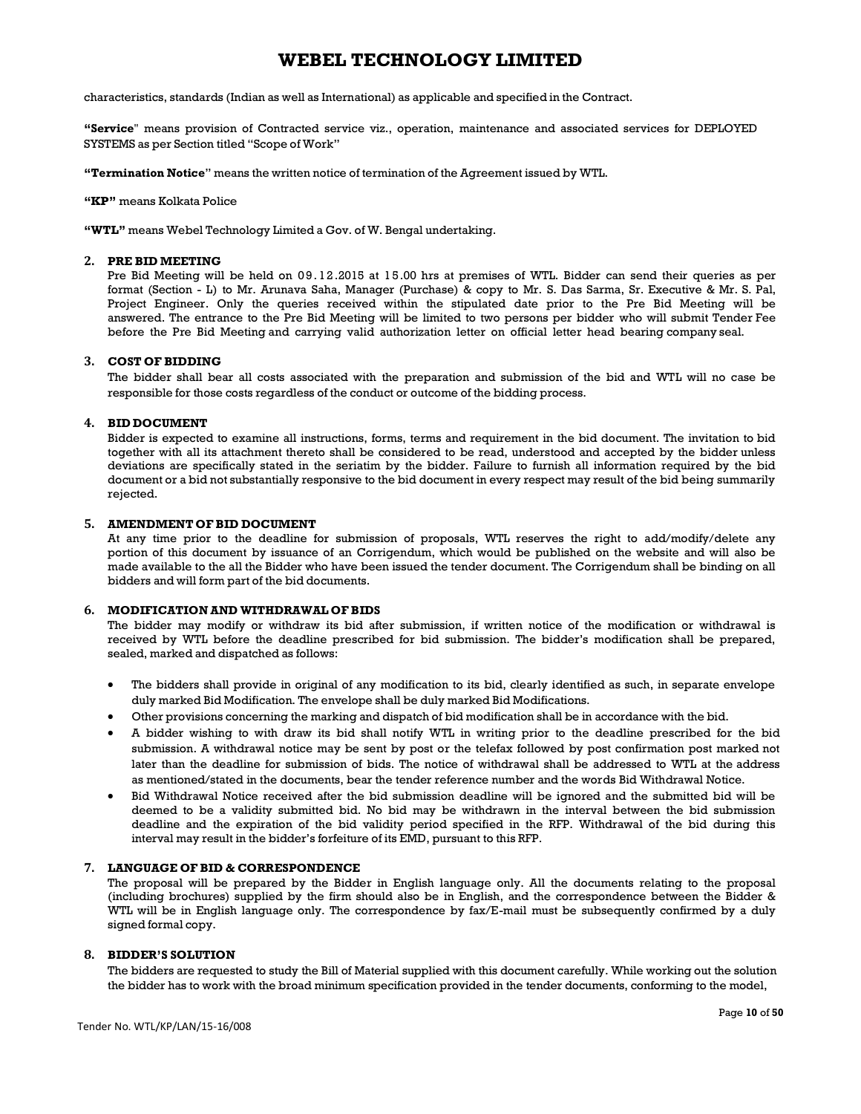characteristics, standards (Indian as well as International) as applicable and specified in the Contract.

**"Service**" means provision of Contracted service viz., operation, maintenance and associated services for DEPLOYED SYSTEMS as per Section titled "Scope of Work"

**"Termination Notice**" means the written notice of termination of the Agreement issued by WTL.

**"KP"** means Kolkata Police

**"WTL"** means Webel Technology Limited a Gov. of W. Bengal undertaking.

#### **2. PRE BID MEETING**

Pre Bid Meeting will be held on 09.12.2015 at 15.00 hrs at premises of WTL. Bidder can send their queries as per format (Section - L) to Mr. Arunava Saha, Manager (Purchase) & copy to Mr. S. Das Sarma, Sr. Executive & Mr. S. Pal, Project Engineer. Only the queries received within the stipulated date prior to the Pre Bid Meeting will be answered. The entrance to the Pre Bid Meeting will be limited to two persons per bidder who will submit Tender Fee before the Pre Bid Meeting and carrying valid authorization letter on official letter head bearing company seal.

#### **3. COST OF BIDDING**

The bidder shall bear all costs associated with the preparation and submission of the bid and WTL will no case be responsible for those costs regardless of the conduct or outcome of the bidding process.

## **4. BID DOCUMENT**

Bidder is expected to examine all instructions, forms, terms and requirement in the bid document. The invitation to bid together with all its attachment thereto shall be considered to be read, understood and accepted by the bidder unless deviations are specifically stated in the seriatim by the bidder. Failure to furnish all information required by the bid document or a bid not substantially responsive to the bid document in every respect may result of the bid being summarily rejected.

#### **5. AMENDMENT OF BID DOCUMENT**

At any time prior to the deadline for submission of proposals, WTL reserves the right to add/modify/delete any portion of this document by issuance of an Corrigendum, which would be published on the website and will also be made available to the all the Bidder who have been issued the tender document. The Corrigendum shall be binding on all bidders and will form part of the bid documents.

#### **6. MODIFICATION AND WITHDRAWAL OF BIDS**

The bidder may modify or withdraw its bid after submission, if written notice of the modification or withdrawal is received by WTL before the deadline prescribed for bid submission. The bidder's modification shall be prepared, sealed, marked and dispatched as follows:

- The bidders shall provide in original of any modification to its bid, clearly identified as such, in separate envelope duly marked Bid Modification. The envelope shall be duly marked Bid Modifications.
- Other provisions concerning the marking and dispatch of bid modification shall be in accordance with the bid.
- A bidder wishing to with draw its bid shall notify WTL in writing prior to the deadline prescribed for the bid submission. A withdrawal notice may be sent by post or the telefax followed by post confirmation post marked not later than the deadline for submission of bids. The notice of withdrawal shall be addressed to WTL at the address as mentioned/stated in the documents, bear the tender reference number and the words Bid Withdrawal Notice.
- Bid Withdrawal Notice received after the bid submission deadline will be ignored and the submitted bid will be deemed to be a validity submitted bid. No bid may be withdrawn in the interval between the bid submission deadline and the expiration of the bid validity period specified in the RFP. Withdrawal of the bid during this interval may result in the bidder's forfeiture of its EMD, pursuant to this RFP.

#### **7. LANGUAGE OF BID & CORRESPONDENCE**

The proposal will be prepared by the Bidder in English language only. All the documents relating to the proposal (including brochures) supplied by the firm should also be in English, and the correspondence between the Bidder & WTL will be in English language only. The correspondence by fax/E-mail must be subsequently confirmed by a duly signed formal copy.

#### **8. BIDDER'S SOLUTION**

The bidders are requested to study the Bill of Material supplied with this document carefully. While working out the solution the bidder has to work with the broad minimum specification provided in the tender documents, conforming to the model,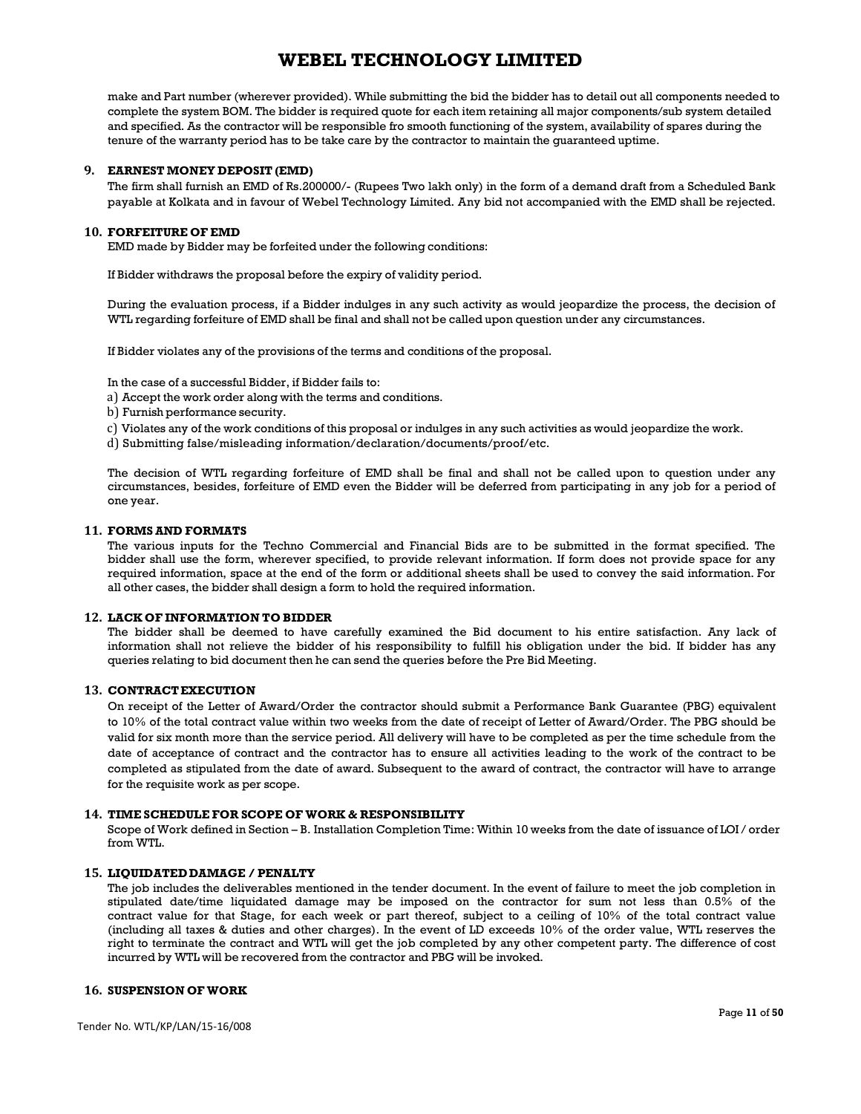make and Part number (wherever provided). While submitting the bid the bidder has to detail out all components needed to complete the system BOM. The bidder is required quote for each item retaining all major components/sub system detailed and specified. As the contractor will be responsible fro smooth functioning of the system, availability of spares during the tenure of the warranty period has to be take care by the contractor to maintain the guaranteed uptime.

### **9. EARNEST MONEY DEPOSIT (EMD)**

The firm shall furnish an EMD of Rs.200000/- (Rupees Two lakh only) in the form of a demand draft from a Scheduled Bank payable at Kolkata and in favour of Webel Technology Limited. Any bid not accompanied with the EMD shall be rejected.

#### **10. FORFEITURE OF EMD**

EMD made by Bidder may be forfeited under the following conditions:

If Bidder withdraws the proposal before the expiry of validity period.

During the evaluation process, if a Bidder indulges in any such activity as would jeopardize the process, the decision of WTL regarding forfeiture of EMD shall be final and shall not be called upon question under any circumstances.

If Bidder violates any of the provisions of the terms and conditions of the proposal.

In the case of a successful Bidder, if Bidder fails to:

- a) Accept the work order along with the terms and conditions.
- b) Furnish performance security.
- c) Violates any of the work conditions of this proposal or indulges in any such activities as would jeopardize the work.
- d) Submitting false/misleading information/declaration/documents/proof/etc.

The decision of WTL regarding forfeiture of EMD shall be final and shall not be called upon to question under any circumstances, besides, forfeiture of EMD even the Bidder will be deferred from participating in any job for a period of one year.

#### **11. FORMS AND FORMATS**

The various inputs for the Techno Commercial and Financial Bids are to be submitted in the format specified. The bidder shall use the form, wherever specified, to provide relevant information. If form does not provide space for any required information, space at the end of the form or additional sheets shall be used to convey the said information. For all other cases, the bidder shall design a form to hold the required information.

#### **12. LACK OF INFORMATION TO BIDDER**

The bidder shall be deemed to have carefully examined the Bid document to his entire satisfaction. Any lack of information shall not relieve the bidder of his responsibility to fulfill his obligation under the bid. If bidder has any queries relating to bid document then he can send the queries before the Pre Bid Meeting.

#### **13. CONTRACT EXECUTION**

On receipt of the Letter of Award/Order the contractor should submit a Performance Bank Guarantee (PBG) equivalent to 10% of the total contract value within two weeks from the date of receipt of Letter of Award/Order. The PBG should be valid for six month more than the service period. All delivery will have to be completed as per the time schedule from the date of acceptance of contract and the contractor has to ensure all activities leading to the work of the contract to be completed as stipulated from the date of award. Subsequent to the award of contract, the contractor will have to arrange for the requisite work as per scope.

#### **14. TIME SCHEDULE FOR SCOPE OF WORK & RESPONSIBILITY**

Scope of Work defined in Section – B. Installation Completion Time: Within 10 weeks from the date of issuance of LOI / order from WTL.

### **15. LIQUIDATED DAMAGE / PENALTY**

The job includes the deliverables mentioned in the tender document. In the event of failure to meet the job completion in stipulated date/time liquidated damage may be imposed on the contractor for sum not less than 0.5% of the contract value for that Stage, for each week or part thereof, subject to a ceiling of 10% of the total contract value (including all taxes & duties and other charges). In the event of LD exceeds 10% of the order value, WTL reserves the right to terminate the contract and WTL will get the job completed by any other competent party. The difference of cost incurred by WTL will be recovered from the contractor and PBG will be invoked.

## **16. SUSPENSION OF WORK**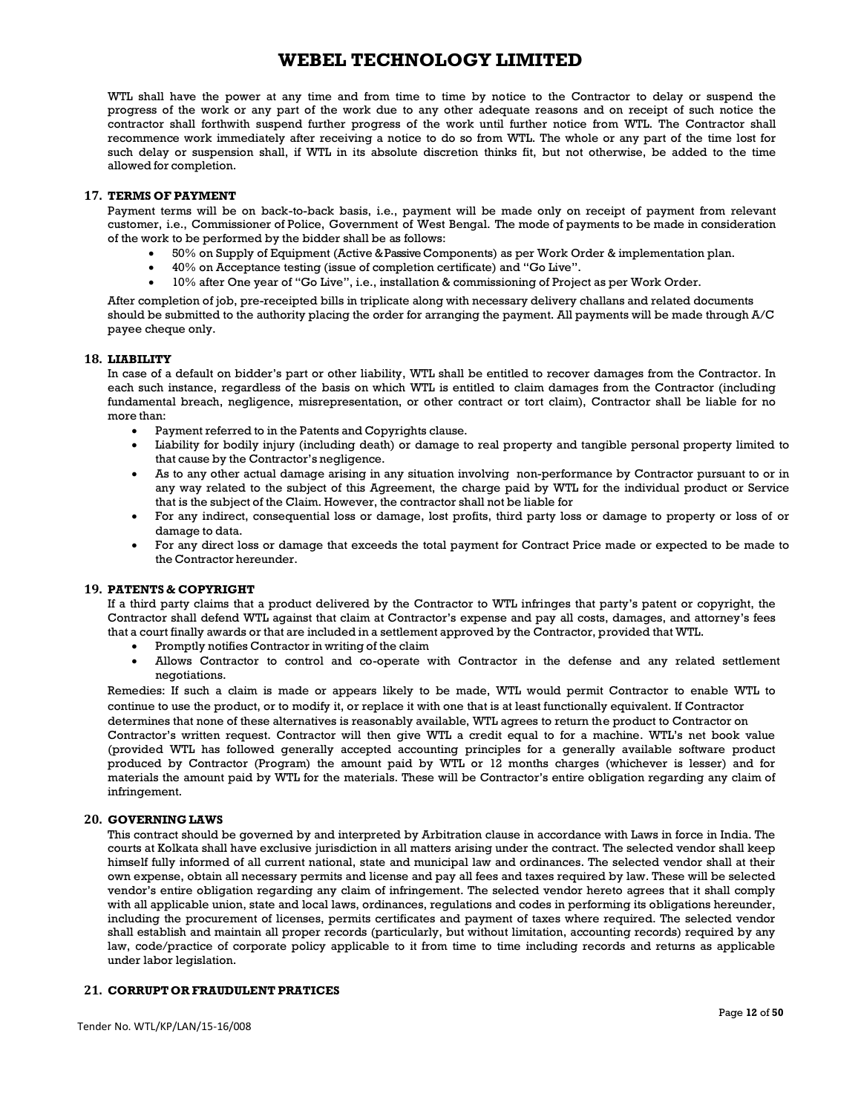WTL shall have the power at any time and from time to time by notice to the Contractor to delay or suspend the progress of the work or any part of the work due to any other adequate reasons and on receipt of such notice the contractor shall forthwith suspend further progress of the work until further notice from WTL. The Contractor shall recommence work immediately after receiving a notice to do so from WTL. The whole or any part of the time lost for such delay or suspension shall, if WTL in its absolute discretion thinks fit, but not otherwise, be added to the time allowed for completion.

#### **17. TERMS OF PAYMENT**

Payment terms will be on back-to-back basis, i.e., payment will be made only on receipt of payment from relevant customer, i.e., Commissioner of Police, Government of West Bengal. The mode of payments to be made in consideration of the work to be performed by the bidder shall be as follows:

- 50% on Supply of Equipment (Active & Passive Components) as per Work Order & implementation plan.
- 40% on Acceptance testing (issue of completion certificate) and "Go Live".
- 10% after One year of "Go Live", i.e., installation & commissioning of Project as per Work Order.

After completion of job, pre-receipted bills in triplicate along with necessary delivery challans and related documents should be submitted to the authority placing the order for arranging the payment. All payments will be made through A/C payee cheque only.

### **18. LIABILITY**

In case of a default on bidder's part or other liability, WTL shall be entitled to recover damages from the Contractor. In each such instance, regardless of the basis on which WTL is entitled to claim damages from the Contractor (including fundamental breach, negligence, misrepresentation, or other contract or tort claim), Contractor shall be liable for no more than:

- Payment referred to in the Patents and Copyrights clause.
- Liability for bodily injury (including death) or damage to real property and tangible personal property limited to that cause by the Contractor's negligence.
- As to any other actual damage arising in any situation involving non-performance by Contractor pursuant to or in any way related to the subject of this Agreement, the charge paid by WTL for the individual product or Service that is the subject of the Claim. However, the contractor shall not be liable for
- For any indirect, consequential loss or damage, lost profits, third party loss or damage to property or loss of or damage to data.
- For any direct loss or damage that exceeds the total payment for Contract Price made or expected to be made to the Contractor hereunder.

## **19. PATENTS & COPYRIGHT**

If a third party claims that a product delivered by the Contractor to WTL infringes that party's patent or copyright, the Contractor shall defend WTL against that claim at Contractor's expense and pay all costs, damages, and attorney's fees that a court finally awards or that are included in a settlement approved by the Contractor, provided that WTL.

- Promptly notifies Contractor in writing of the claim
- Allows Contractor to control and co-operate with Contractor in the defense and any related settlement negotiations.

Remedies: If such a claim is made or appears likely to be made, WTL would permit Contractor to enable WTL to continue to use the product, or to modify it, or replace it with one that is at least functionally equivalent. If Contractor

determines that none of these alternatives is reasonably available, WTL agrees to return the product to Contractor on Contractor's written request. Contractor will then give WTL a credit equal to for a machine. WTL's net book value (provided WTL has followed generally accepted accounting principles for a generally available software product produced by Contractor (Program) the amount paid by WTL or 12 months charges (whichever is lesser) and for materials the amount paid by WTL for the materials. These will be Contractor's entire obligation regarding any claim of infringement.

#### **20. GOVERNING LAWS**

This contract should be governed by and interpreted by Arbitration clause in accordance with Laws in force in India. The courts at Kolkata shall have exclusive jurisdiction in all matters arising under the contract. The selected vendor shall keep himself fully informed of all current national, state and municipal law and ordinances. The selected vendor shall at their own expense, obtain all necessary permits and license and pay all fees and taxes required by law. These will be selected vendor's entire obligation regarding any claim of infringement. The selected vendor hereto agrees that it shall comply with all applicable union, state and local laws, ordinances, regulations and codes in performing its obligations hereunder, including the procurement of licenses, permits certificates and payment of taxes where required. The selected vendor shall establish and maintain all proper records (particularly, but without limitation, accounting records) required by any law, code/practice of corporate policy applicable to it from time to time including records and returns as applicable under labor legislation.

## **21. CORRUPT OR FRAUDULENT PRATICES**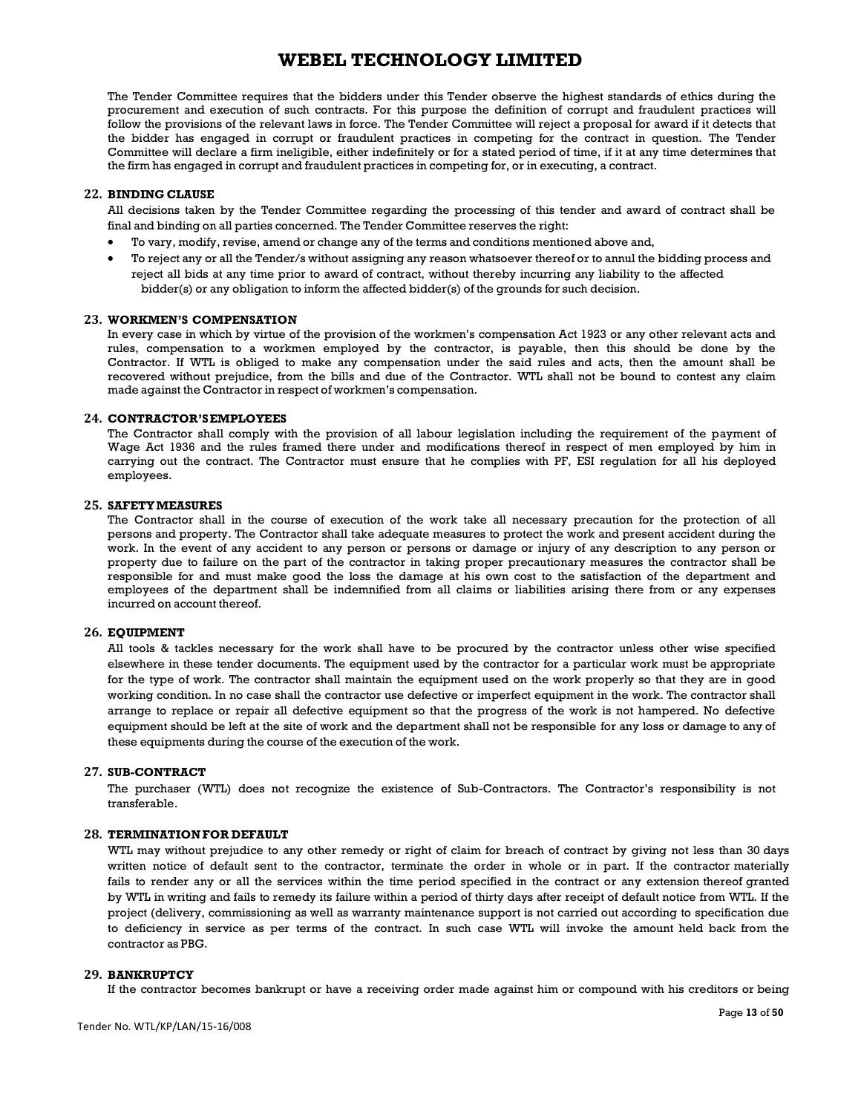The Tender Committee requires that the bidders under this Tender observe the highest standards of ethics during the procurement and execution of such contracts. For this purpose the definition of corrupt and fraudulent practices will follow the provisions of the relevant laws in force. The Tender Committee will reject a proposal for award if it detects that the bidder has engaged in corrupt or fraudulent practices in competing for the contract in question. The Tender Committee will declare a firm ineligible, either indefinitely or for a stated period of time, if it at any time determines that the firm has engaged in corrupt and fraudulent practices in competing for, or in executing, a contract.

#### **22. BINDING CLAUSE**

All decisions taken by the Tender Committee regarding the processing of this tender and award of contract shall be final and binding on all parties concerned. The Tender Committee reserves the right:

- To vary, modify, revise, amend or change any of the terms and conditions mentioned above and,
- To reject any or all the Tender/s without assigning any reason whatsoever thereof or to annul the bidding process and reject all bids at any time prior to award of contract, without thereby incurring any liability to the affected bidder(s) or any obligation to inform the affected bidder(s) of the grounds for such decision.

#### **23. WORKMEN'S COMPENSATION**

In every case in which by virtue of the provision of the workmen's compensation Act 1923 or any other relevant acts and rules, compensation to a workmen employed by the contractor, is payable, then this should be done by the Contractor. If WTL is obliged to make any compensation under the said rules and acts, then the amount shall be recovered without prejudice, from the bills and due of the Contractor. WTL shall not be bound to contest any claim made against the Contractor in respect of workmen's compensation.

#### **24. CONTRACTOR'S EMPLOYEES**

The Contractor shall comply with the provision of all labour legislation including the requirement of the payment of Wage Act 1936 and the rules framed there under and modifications thereof in respect of men employed by him in carrying out the contract. The Contractor must ensure that he complies with PF, ESI regulation for all his deployed employees.

#### **25. SAFETY MEASURES**

The Contractor shall in the course of execution of the work take all necessary precaution for the protection of all persons and property. The Contractor shall take adequate measures to protect the work and present accident during the work. In the event of any accident to any person or persons or damage or injury of any description to any person or property due to failure on the part of the contractor in taking proper precautionary measures the contractor shall be responsible for and must make good the loss the damage at his own cost to the satisfaction of the department and employees of the department shall be indemnified from all claims or liabilities arising there from or any expenses incurred on account thereof.

### **26. EQUIPMENT**

All tools & tackles necessary for the work shall have to be procured by the contractor unless other wise specified elsewhere in these tender documents. The equipment used by the contractor for a particular work must be appropriate for the type of work. The contractor shall maintain the equipment used on the work properly so that they are in good working condition. In no case shall the contractor use defective or imperfect equipment in the work. The contractor shall arrange to replace or repair all defective equipment so that the progress of the work is not hampered. No defective equipment should be left at the site of work and the department shall not be responsible for any loss or damage to any of these equipments during the course of the execution of the work.

#### **27. SUB-CONTRACT**

The purchaser (WTL) does not recognize the existence of Sub-Contractors. The Contractor's responsibility is not transferable.

#### **28. TERMINATION FOR DEFAULT**

WTL may without prejudice to any other remedy or right of claim for breach of contract by giving not less than 30 days written notice of default sent to the contractor, terminate the order in whole or in part. If the contractor materially fails to render any or all the services within the time period specified in the contract or any extension thereof granted by WTL in writing and fails to remedy its failure within a period of thirty days after receipt of default notice from WTL. If the project (delivery, commissioning as well as warranty maintenance support is not carried out according to specification due to deficiency in service as per terms of the contract. In such case WTL will invoke the amount held back from the contractor as PBG.

### **29. BANKRUPTCY**

If the contractor becomes bankrupt or have a receiving order made against him or compound with his creditors or being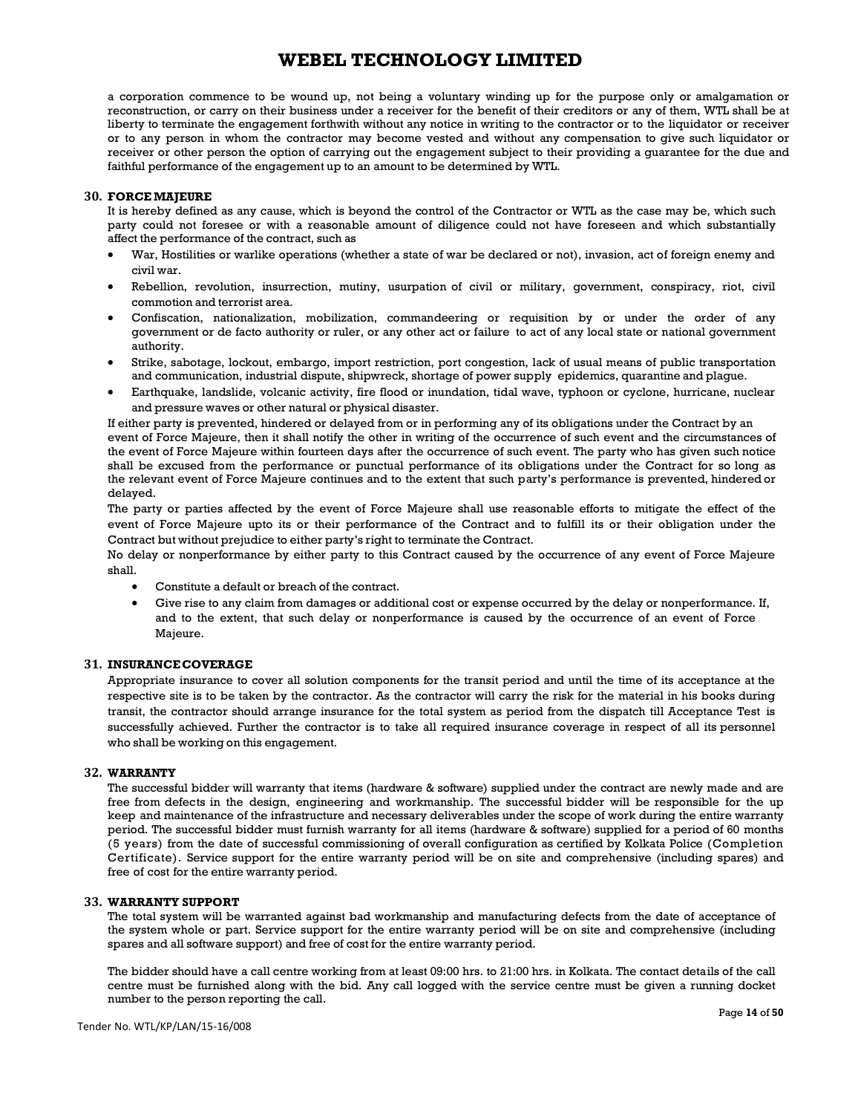a corporation commence to be wound up, not being a voluntary winding up for the purpose only or amalgamation or reconstruction, or carry on their business under a receiver for the benefit of their creditors or any of them, WTL shall be at liberty to terminate the engagement forthwith without any notice in writing to the contractor or to the liquidator or receiver or to any person in whom the contractor may become vested and without any compensation to give such liquidator or receiver or other person the option of carrying out the engagement subject to their providing a guarantee for the due and faithful performance of the engagement up to an amount to be determined by WTL.

### **30. FORCE MAJEURE**

It is hereby defined as any cause, which is beyond the control of the Contractor or WTL as the case may be, which such party could not foresee or with a reasonable amount of diligence could not have foreseen and which substantially affect the performance of the contract, such as

- War, Hostilities or warlike operations (whether a state of war be declared or not), invasion, act of foreign enemy and civil war.
- Rebellion, revolution, insurrection, mutiny, usurpation of civil or military, government, conspiracy, riot, civil commotion and terrorist area.
- Confiscation, nationalization, mobilization, commandeering or requisition by or under the order of any government or de facto authority or ruler, or any other act or failure to act of any local state or national government authority.
- Strike, sabotage, lockout, embargo, import restriction, port congestion, lack of usual means of public transportation and communication, industrial dispute, shipwreck, shortage of power supply epidemics, quarantine and plague.
- Earthquake, landslide, volcanic activity, fire flood or inundation, tidal wave, typhoon or cyclone, hurricane, nuclear and pressure waves or other natural or physical disaster.

If either party is prevented, hindered or delayed from or in performing any of its obligations under the Contract by an event of Force Majeure, then it shall notify the other in writing of the occurrence of such event and the circumstances of the event of Force Majeure within fourteen days after the occurrence of such event. The party who has given such notice shall be excused from the performance or punctual performance of its obligations under the Contract for so long as the relevant event of Force Majeure continues and to the extent that such party's performance is prevented, hindered or delayed.

The party or parties affected by the event of Force Majeure shall use reasonable efforts to mitigate the effect of the event of Force Majeure upto its or their performance of the Contract and to fulfill its or their obligation under the Contract but without prejudice to either party's right to terminate the Contract.

No delay or nonperformance by either party to this Contract caused by the occurrence of any event of Force Majeure shall.

- Constitute a default or breach of the contract.
- Give rise to any claim from damages or additional cost or expense occurred by the delay or nonperformance. If, and to the extent, that such delay or nonperformance is caused by the occurrence of an event of Force Majeure.

#### **31. INSURANCE COVERAGE**

Appropriate insurance to cover all solution components for the transit period and until the time of its acceptance at the respective site is to be taken by the contractor. As the contractor will carry the risk for the material in his books during transit, the contractor should arrange insurance for the total system as period from the dispatch till Acceptance Test is successfully achieved. Further the contractor is to take all required insurance coverage in respect of all its personnel who shall be working on this engagement.

#### **32. WARRANTY**

The successful bidder will warranty that items (hardware & software) supplied under the contract are newly made and are free from defects in the design, engineering and workmanship. The successful bidder will be responsible for the up keep and maintenance of the infrastructure and necessary deliverables under the scope of work during the entire warranty period. The successful bidder must furnish warranty for all items (hardware & software) supplied for a period of 60 months (5 years) from the date of successful commissioning of overall configuration as certified by Kolkata Police (Completion Certificate). Service support for the entire warranty period will be on site and comprehensive (including spares) and free of cost for the entire warranty period.

#### **33. WARRANTY SUPPORT**

The total system will be warranted against bad workmanship and manufacturing defects from the date of acceptance of the system whole or part. Service support for the entire warranty period will be on site and comprehensive (including spares and all software support) and free of cost for the entire warranty period.

The bidder should have a call centre working from at least 09:00 hrs. to 21:00 hrs. in Kolkata. The contact details of the call centre must be furnished along with the bid. Any call logged with the service centre must be given a running docket number to the person reporting the call.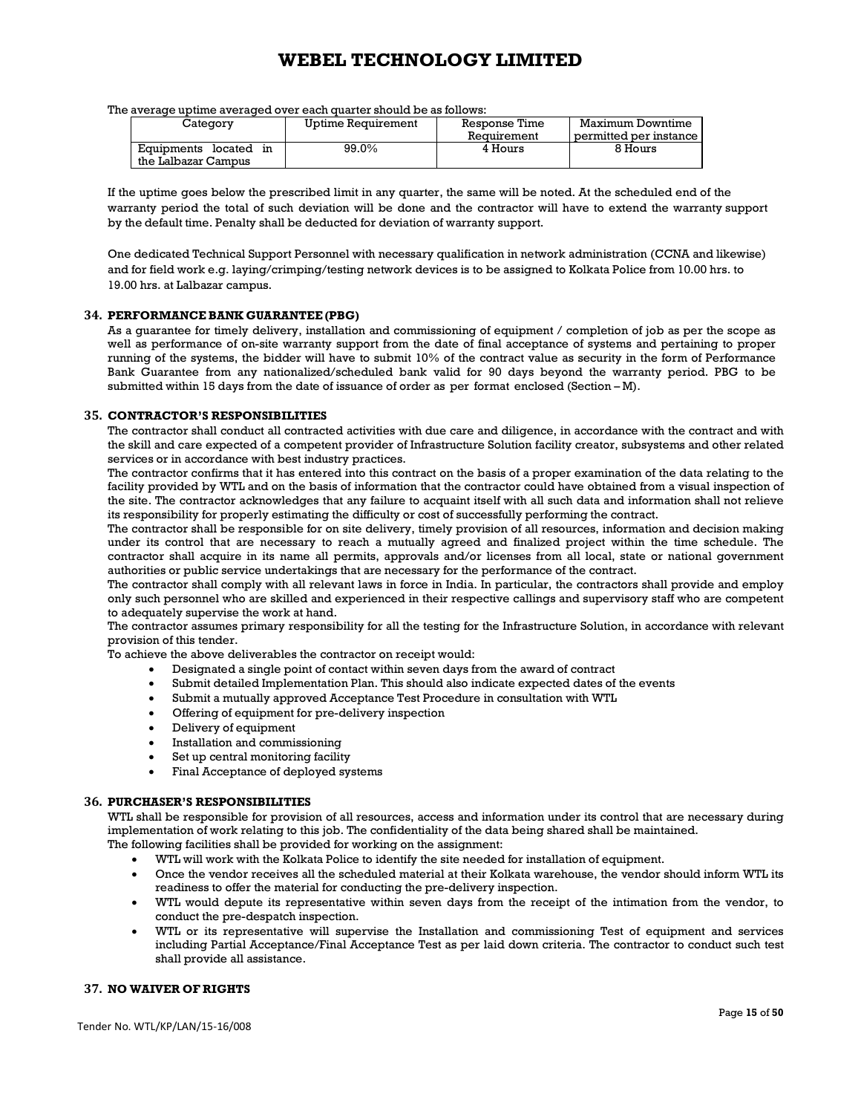The average uptime averaged over each quarter should be as follows:

| Category              | Uptime Requirement | Response Time | Maximum Downtime       |  |
|-----------------------|--------------------|---------------|------------------------|--|
|                       |                    | Requirement   | permitted per instance |  |
| Equipments located in | 99.0%              | 4 Hours       | 8 Hours                |  |
| the Lalbazar Campus   |                    |               |                        |  |

If the uptime goes below the prescribed limit in any quarter, the same will be noted. At the scheduled end of the warranty period the total of such deviation will be done and the contractor will have to extend the warranty support by the default time. Penalty shall be deducted for deviation of warranty support.

One dedicated Technical Support Personnel with necessary qualification in network administration (CCNA and likewise) and for field work e.g. laying/crimping/testing network devices is to be assigned to Kolkata Police from 10.00 hrs. to 19.00 hrs. at Lalbazar campus.

#### **34. PERFORMANCE BANK GUARANTEE (PBG)**

As a guarantee for timely delivery, installation and commissioning of equipment / completion of job as per the scope as well as performance of on-site warranty support from the date of final acceptance of systems and pertaining to proper running of the systems, the bidder will have to submit 10% of the contract value as security in the form of Performance Bank Guarantee from any nationalized/scheduled bank valid for 90 days beyond the warranty period. PBG to be submitted within 15 days from the date of issuance of order as per format enclosed (Section – M).

#### **35. CONTRACTOR'S RESPONSIBILITIES**

The contractor shall conduct all contracted activities with due care and diligence, in accordance with the contract and with the skill and care expected of a competent provider of Infrastructure Solution facility creator, subsystems and other related services or in accordance with best industry practices.

The contractor confirms that it has entered into this contract on the basis of a proper examination of the data relating to the facility provided by WTL and on the basis of information that the contractor could have obtained from a visual inspection of the site. The contractor acknowledges that any failure to acquaint itself with all such data and information shall not relieve its responsibility for properly estimating the difficulty or cost of successfully performing the contract.

The contractor shall be responsible for on site delivery, timely provision of all resources, information and decision making under its control that are necessary to reach a mutually agreed and finalized project within the time schedule. The contractor shall acquire in its name all permits, approvals and/or licenses from all local, state or national government authorities or public service undertakings that are necessary for the performance of the contract.

The contractor shall comply with all relevant laws in force in India. In particular, the contractors shall provide and employ only such personnel who are skilled and experienced in their respective callings and supervisory staff who are competent to adequately supervise the work at hand.

The contractor assumes primary responsibility for all the testing for the Infrastructure Solution, in accordance with relevant provision of this tender.

To achieve the above deliverables the contractor on receipt would:

- Designated a single point of contact within seven days from the award of contract
- Submit detailed Implementation Plan. This should also indicate expected dates of the events
- Submit a mutually approved Acceptance Test Procedure in consultation with WTL
- Offering of equipment for pre-delivery inspection
- Delivery of equipment
- Installation and commissioning
- Set up central monitoring facility
- Final Acceptance of deployed systems

#### **36. PURCHASER'S RESPONSIBILITIES**

WTL shall be responsible for provision of all resources, access and information under its control that are necessary during implementation of work relating to this job. The confidentiality of the data being shared shall be maintained.

The following facilities shall be provided for working on the assignment:

- WTL will work with the Kolkata Police to identify the site needed for installation of equipment.
- Once the vendor receives all the scheduled material at their Kolkata warehouse, the vendor should inform WTL its readiness to offer the material for conducting the pre-delivery inspection.
- WTL would depute its representative within seven days from the receipt of the intimation from the vendor, to conduct the pre-despatch inspection.
- WTL or its representative will supervise the Installation and commissioning Test of equipment and services including Partial Acceptance/Final Acceptance Test as per laid down criteria. The contractor to conduct such test shall provide all assistance.

## **37. NO WAIVER OF RIGHTS**

Tender No. WTL/KP/LAN/15-16/008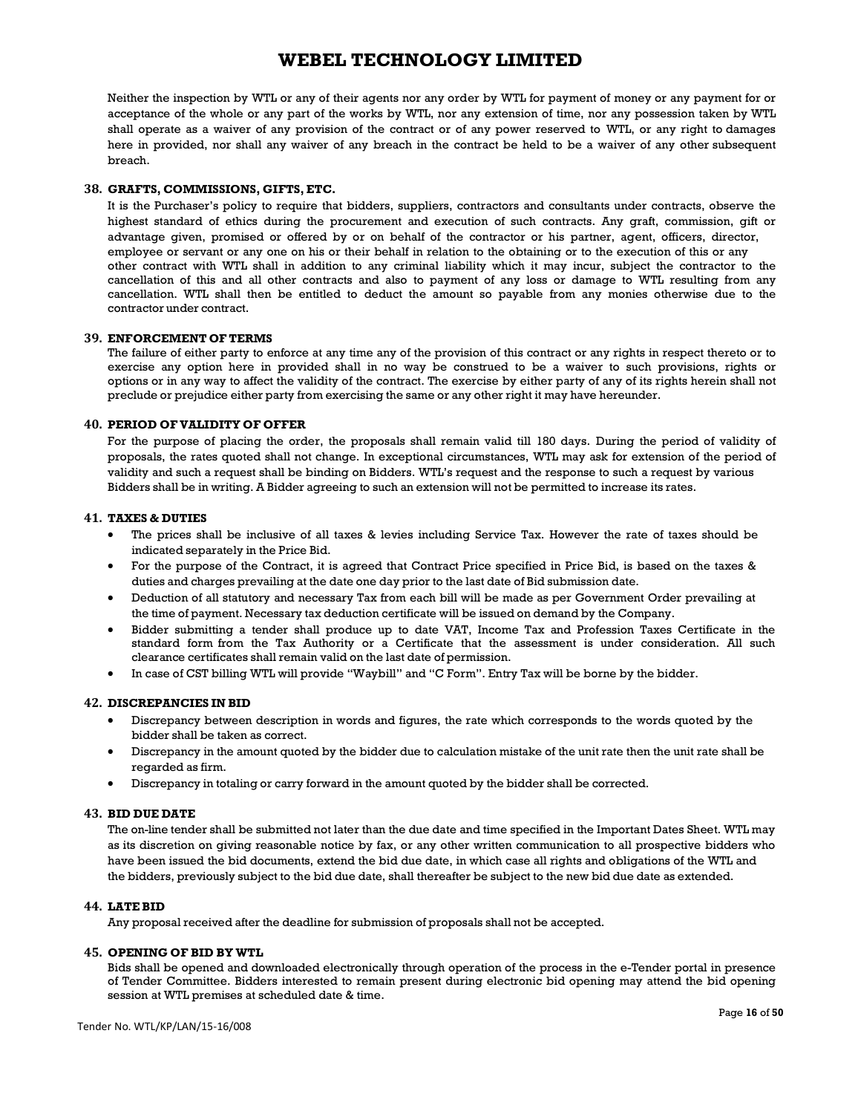Neither the inspection by WTL or any of their agents nor any order by WTL for payment of money or any payment for or acceptance of the whole or any part of the works by WTL, nor any extension of time, nor any possession taken by WTL shall operate as a waiver of any provision of the contract or of any power reserved to WTL, or any right to damages here in provided, nor shall any waiver of any breach in the contract be held to be a waiver of any other subsequent breach.

### **38. GRAFTS, COMMISSIONS, GIFTS, ETC.**

It is the Purchaser's policy to require that bidders, suppliers, contractors and consultants under contracts, observe the highest standard of ethics during the procurement and execution of such contracts. Any graft, commission, gift or advantage given, promised or offered by or on behalf of the contractor or his partner, agent, officers, director, employee or servant or any one on his or their behalf in relation to the obtaining or to the execution of this or any other contract with WTL shall in addition to any criminal liability which it may incur, subject the contractor to the cancellation of this and all other contracts and also to payment of any loss or damage to WTL resulting from any cancellation. WTL shall then be entitled to deduct the amount so payable from any monies otherwise due to the contractor under contract.

#### **39. ENFORCEMENT OF TERMS**

The failure of either party to enforce at any time any of the provision of this contract or any rights in respect thereto or to exercise any option here in provided shall in no way be construed to be a waiver to such provisions, rights or options or in any way to affect the validity of the contract. The exercise by either party of any of its rights herein shall not preclude or prejudice either party from exercising the same or any other right it may have hereunder.

## **40. PERIOD OF VALIDITY OF OFFER**

For the purpose of placing the order, the proposals shall remain valid till 180 days. During the period of validity of proposals, the rates quoted shall not change. In exceptional circumstances, WTL may ask for extension of the period of validity and such a request shall be binding on Bidders. WTL's request and the response to such a request by various Bidders shall be in writing. A Bidder agreeing to such an extension will not be permitted to increase its rates.

### **41. TAXES & DUTIES**

- The prices shall be inclusive of all taxes & levies including Service Tax. However the rate of taxes should be indicated separately in the Price Bid.
- For the purpose of the Contract, it is agreed that Contract Price specified in Price Bid, is based on the taxes & duties and charges prevailing at the date one day prior to the last date of Bid submission date.
- Deduction of all statutory and necessary Tax from each bill will be made as per Government Order prevailing at the time of payment. Necessary tax deduction certificate will be issued on demand by the Company.
- Bidder submitting a tender shall produce up to date VAT, Income Tax and Profession Taxes Certificate in the standard form from the Tax Authority or a Certificate that the assessment is under consideration. All such clearance certificates shall remain valid on the last date of permission.
- In case of CST billing WTL will provide "Waybill" and "C Form". Entry Tax will be borne by the bidder.

#### **42. DISCREPANCIES IN BID**

- Discrepancy between description in words and figures, the rate which corresponds to the words quoted by the bidder shall be taken as correct.
- Discrepancy in the amount quoted by the bidder due to calculation mistake of the unit rate then the unit rate shall be regarded as firm.
- Discrepancy in totaling or carry forward in the amount quoted by the bidder shall be corrected.

#### **43. BID DUE DATE**

The on-line tender shall be submitted not later than the due date and time specified in the Important Dates Sheet. WTL may as its discretion on giving reasonable notice by fax, or any other written communication to all prospective bidders who have been issued the bid documents, extend the bid due date, in which case all rights and obligations of the WTL and the bidders, previously subject to the bid due date, shall thereafter be subject to the new bid due date as extended.

### **44. LATE BID**

Any proposal received after the deadline for submission of proposals shall not be accepted.

#### **45. OPENING OF BID BY WTL**

Bids shall be opened and downloaded electronically through operation of the process in the e-Tender portal in presence of Tender Committee. Bidders interested to remain present during electronic bid opening may attend the bid opening session at WTL premises at scheduled date & time.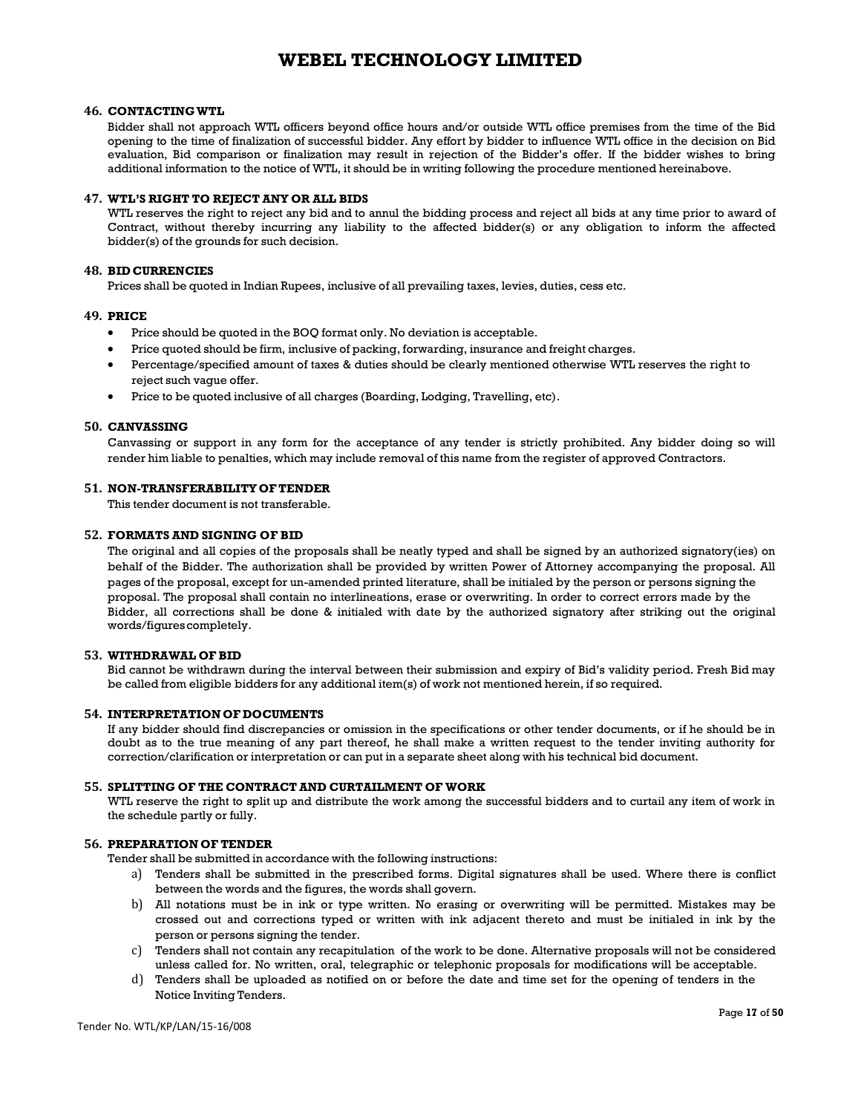#### **46. CONTACTING WTL**

Bidder shall not approach WTL officers beyond office hours and/or outside WTL office premises from the time of the Bid opening to the time of finalization of successful bidder. Any effort by bidder to influence WTL office in the decision on Bid evaluation, Bid comparison or finalization may result in rejection of the Bidder's offer. If the bidder wishes to bring additional information to the notice of WTL, it should be in writing following the procedure mentioned hereinabove.

#### **47. WTL'S RIGHT TO REJECT ANY OR ALL BIDS**

WTL reserves the right to reject any bid and to annul the bidding process and reject all bids at any time prior to award of Contract, without thereby incurring any liability to the affected bidder(s) or any obligation to inform the affected bidder(s) of the grounds for such decision.

#### **48. BID CURRENCIES**

Prices shall be quoted in Indian Rupees, inclusive of all prevailing taxes, levies, duties, cess etc.

#### **49. PRICE**

- Price should be quoted in the BOQ format only. No deviation is acceptable.
- Price quoted should be firm, inclusive of packing, forwarding, insurance and freight charges.
- Percentage/specified amount of taxes & duties should be clearly mentioned otherwise WTL reserves the right to reject such vague offer.
- Price to be quoted inclusive of all charges (Boarding, Lodging, Travelling, etc).

#### **50. CANVASSING**

Canvassing or support in any form for the acceptance of any tender is strictly prohibited. Any bidder doing so will render him liable to penalties, which may include removal of this name from the register of approved Contractors.

## **51. NON-TRANSFERABILITY OF TENDER**

This tender document is not transferable.

#### **52. FORMATS AND SIGNING OF BID**

The original and all copies of the proposals shall be neatly typed and shall be signed by an authorized signatory(ies) on behalf of the Bidder. The authorization shall be provided by written Power of Attorney accompanying the proposal. All pages of the proposal, except for un-amended printed literature, shall be initialed by the person or persons signing the proposal. The proposal shall contain no interlineations, erase or overwriting. In order to correct errors made by the Bidder, all corrections shall be done & initialed with date by the authorized signatory after striking out the original words/figures completely.

#### **53. WITHDRAWAL OF BID**

Bid cannot be withdrawn during the interval between their submission and expiry of Bid's validity period. Fresh Bid may be called from eligible bidders for any additional item(s) of work not mentioned herein, if so required.

#### **54. INTERPRETATION OF DOCUMENTS**

If any bidder should find discrepancies or omission in the specifications or other tender documents, or if he should be in doubt as to the true meaning of any part thereof, he shall make a written request to the tender inviting authority for correction/clarification or interpretation or can put in a separate sheet along with his technical bid document.

#### **55. SPLITTING OF THE CONTRACT AND CURTAILMENT OF WORK**

WTL reserve the right to split up and distribute the work among the successful bidders and to curtail any item of work in the schedule partly or fully.

## **56. PREPARATION OF TENDER**

Tender shall be submitted in accordance with the following instructions:

- a) Tenders shall be submitted in the prescribed forms. Digital signatures shall be used. Where there is conflict between the words and the figures, the words shall govern.
- b) All notations must be in ink or type written. No erasing or overwriting will be permitted. Mistakes may be crossed out and corrections typed or written with ink adjacent thereto and must be initialed in ink by the person or persons signing the tender.
- c) Tenders shall not contain any recapitulation of the work to be done. Alternative proposals will not be considered unless called for. No written, oral, telegraphic or telephonic proposals for modifications will be acceptable.
- d) Tenders shall be uploaded as notified on or before the date and time set for the opening of tenders in the Notice Inviting Tenders.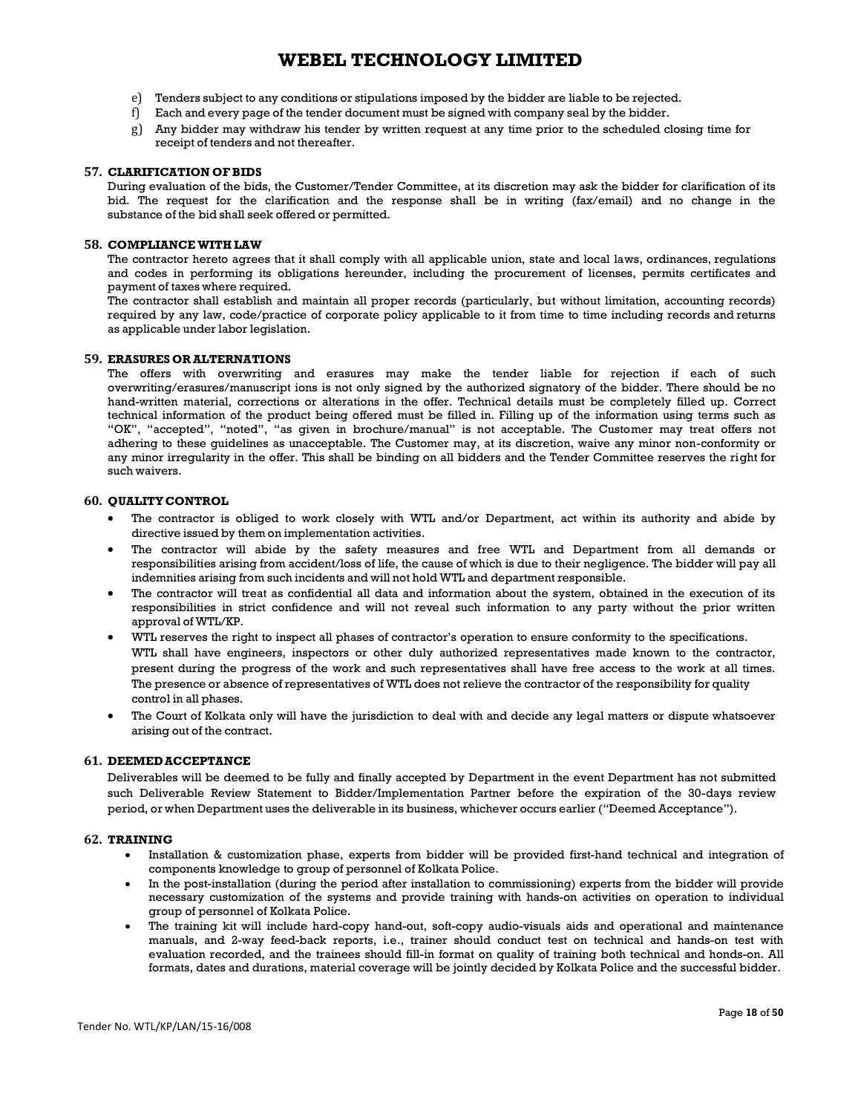- e) Tenders subject to any conditions or stipulations imposed by the bidder are liable to be rejected.
- f) Each and every page of the tender document must be signed with company seal by the bidder.
- g) Any bidder may withdraw his tender by written request at any time prior to the scheduled closing time for receipt of tenders and not thereafter.

#### **57. CLARIFICATION OF BIDS**

During evaluation of the bids, the Customer/Tender Committee, at its discretion may ask the bidder for clarification of its bid. The request for the clarification and the response shall be in writing (fax/email) and no change in the substance of the bid shall seek offered or permitted.

#### **58. COMPLIANCE WITH LAW**

The contractor hereto agrees that it shall comply with all applicable union, state and local laws, ordinances, regulations and codes in performing its obligations hereunder, including the procurement of licenses, permits certificates and payment of taxes where required.

The contractor shall establish and maintain all proper records (particularly, but without limitation, accounting records) required by any law, code/practice of corporate policy applicable to it from time to time including records and returns as applicable under labor legislation.

#### **59. ERASURES OR ALTERNATIONS**

The offers with overwriting and erasures may make the tender liable for rejection if each of such overwriting/erasures/manuscript ions is not only signed by the authorized signatory of the bidder. There should be no hand-written material, corrections or alterations in the offer. Technical details must be completely filled up. Correct technical information of the product being offered must be filled in. Filling up of the information using terms such as "OK", "accepted", "noted", "as given in brochure/manual" is not acceptable. The Customer may treat offers not adhering to these guidelines as unacceptable. The Customer may, at its discretion, waive any minor non-conformity or any minor irregularity in the offer. This shall be binding on all bidders and the Tender Committee reserves the right for such waivers.

#### **60. QUALITY CONTROL**

- The contractor is obliged to work closely with WTL and/or Department, act within its authority and abide by directive issued by them on implementation activities.
- The contractor will abide by the safety measures and free WTL and Department from all demands or responsibilities arising from accident/loss of life, the cause of which is due to their negligence. The bidder will pay all indemnities arising from such incidents and will not hold WTL and department responsible.
- The contractor will treat as confidential all data and information about the system, obtained in the execution of its responsibilities in strict confidence and will not reveal such information to any party without the prior written approval of WTL/KP.
- WTL reserves the right to inspect all phases of contractor's operation to ensure conformity to the specifications. WTL shall have engineers, inspectors or other duly authorized representatives made known to the contractor, present during the progress of the work and such representatives shall have free access to the work at all times. The presence or absence of representatives of WTL does not relieve the contractor of the responsibility for quality control in all phases.
- The Court of Kolkata only will have the jurisdiction to deal with and decide any legal matters or dispute whatsoever arising out of the contract.

#### **61. DEEMED ACCEPTANCE**

Deliverables will be deemed to be fully and finally accepted by Department in the event Department has not submitted such Deliverable Review Statement to Bidder/Implementation Partner before the expiration of the 30-days review period, or when Department uses the deliverable in its business, whichever occurs earlier ("Deemed Acceptance").

#### **62. TRAINING**

- Installation & customization phase, experts from bidder will be provided first-hand technical and integration of components knowledge to group of personnel of Kolkata Police.
- In the post-installation (during the period after installation to commissioning) experts from the bidder will provide necessary customization of the systems and provide training with hands-on activities on operation to individual group of personnel of Kolkata Police.
- The training kit will include hard-copy hand-out, soft-copy audio-visuals aids and operational and maintenance manuals, and 2-way feed-back reports, i.e., trainer should conduct test on technical and hands-on test with evaluation recorded, and the trainees should fill-in format on quality of training both technical and honds-on. All formats, dates and durations, material coverage will be jointly decided by Kolkata Police and the successful bidder.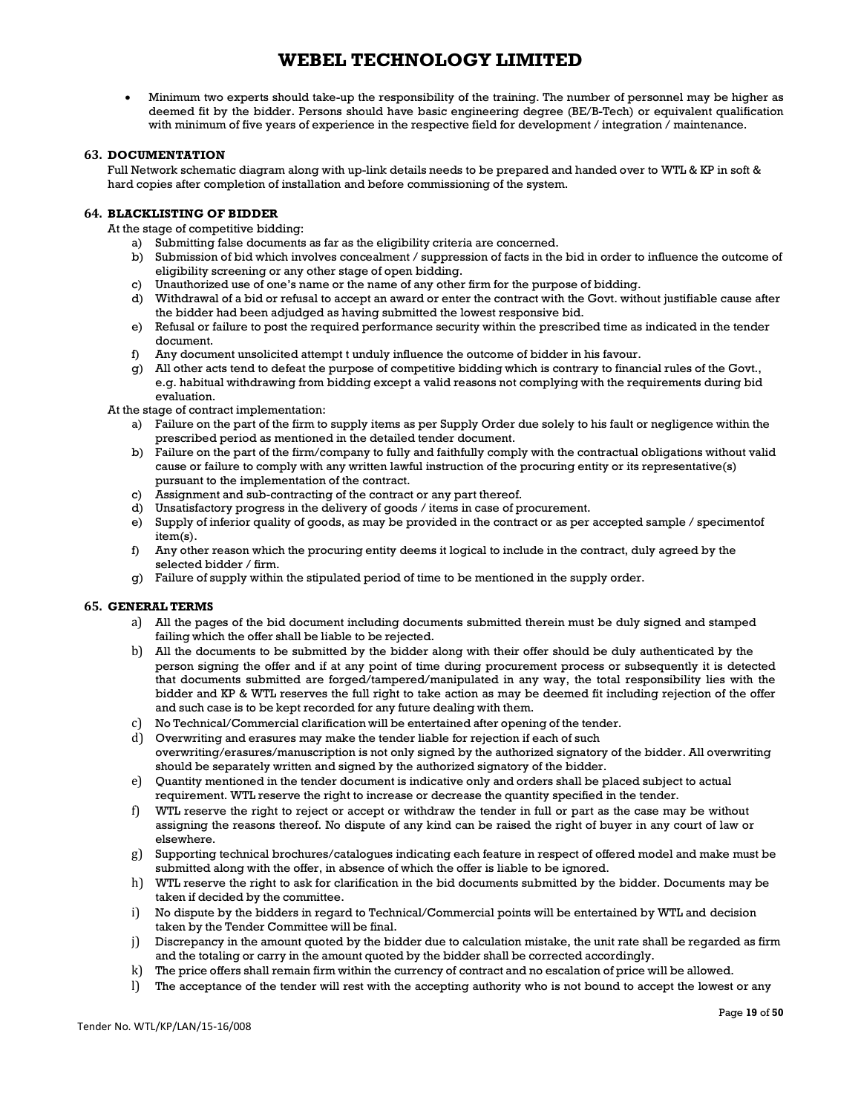• Minimum two experts should take-up the responsibility of the training. The number of personnel may be higher as deemed fit by the bidder. Persons should have basic engineering degree (BE/B-Tech) or equivalent qualification with minimum of five years of experience in the respective field for development / integration / maintenance.

### **63. DOCUMENTATION**

Full Network schematic diagram along with up-link details needs to be prepared and handed over to WTL & KP in soft & hard copies after completion of installation and before commissioning of the system.

### **64. BLACKLISTING OF BIDDER**

At the stage of competitive bidding:

- a) Submitting false documents as far as the eligibility criteria are concerned.
- b) Submission of bid which involves concealment / suppression of facts in the bid in order to influence the outcome of eligibility screening or any other stage of open bidding.
- c) Unauthorized use of one's name or the name of any other firm for the purpose of bidding.
- d) Withdrawal of a bid or refusal to accept an award or enter the contract with the Govt. without justifiable cause after the bidder had been adjudged as having submitted the lowest responsive bid.
- e) Refusal or failure to post the required performance security within the prescribed time as indicated in the tender document.
- f) Any document unsolicited attempt t unduly influence the outcome of bidder in his favour.
- g) All other acts tend to defeat the purpose of competitive bidding which is contrary to financial rules of the Govt., e.g. habitual withdrawing from bidding except a valid reasons not complying with the requirements during bid evaluation.

At the stage of contract implementation:

- a) Failure on the part of the firm to supply items as per Supply Order due solely to his fault or negligence within the prescribed period as mentioned in the detailed tender document.
- b) Failure on the part of the firm/company to fully and faithfully comply with the contractual obligations without valid cause or failure to comply with any written lawful instruction of the procuring entity or its representative(s) pursuant to the implementation of the contract.
- c) Assignment and sub-contracting of the contract or any part thereof.
- d) Unsatisfactory progress in the delivery of goods / items in case of procurement.
- e) Supply of inferior quality of goods, as may be provided in the contract or as per accepted sample / specimentof item(s).
- f) Any other reason which the procuring entity deems it logical to include in the contract, duly agreed by the selected bidder / firm.
- g) Failure of supply within the stipulated period of time to be mentioned in the supply order.

#### **65. GENERAL TERMS**

- a) All the pages of the bid document including documents submitted therein must be duly signed and stamped failing which the offer shall be liable to be rejected.
- b) All the documents to be submitted by the bidder along with their offer should be duly authenticated by the person signing the offer and if at any point of time during procurement process or subsequently it is detected that documents submitted are forged/tampered/manipulated in any way, the total responsibility lies with the bidder and KP & WTL reserves the full right to take action as may be deemed fit including rejection of the offer and such case is to be kept recorded for any future dealing with them.
- c) No Technical/Commercial clarification will be entertained after opening of the tender.
- d) Overwriting and erasures may make the tender liable for rejection if each of such overwriting/erasures/manuscription is not only signed by the authorized signatory of the bidder. All overwriting should be separately written and signed by the authorized signatory of the bidder.
- e) Quantity mentioned in the tender document is indicative only and orders shall be placed subject to actual requirement. WTL reserve the right to increase or decrease the quantity specified in the tender.
- f) WTL reserve the right to reject or accept or withdraw the tender in full or part as the case may be without assigning the reasons thereof. No dispute of any kind can be raised the right of buyer in any court of law or elsewhere.
- g) Supporting technical brochures/catalogues indicating each feature in respect of offered model and make must be submitted along with the offer, in absence of which the offer is liable to be ignored.
- h) WTL reserve the right to ask for clarification in the bid documents submitted by the bidder. Documents may be taken if decided by the committee.
- i) No dispute by the bidders in regard to Technical/Commercial points will be entertained by WTL and decision taken by the Tender Committee will be final.
- j) Discrepancy in the amount quoted by the bidder due to calculation mistake, the unit rate shall be regarded as firm and the totaling or carry in the amount quoted by the bidder shall be corrected accordingly.
- k) The price offers shall remain firm within the currency of contract and no escalation of price will be allowed.
- l) The acceptance of the tender will rest with the accepting authority who is not bound to accept the lowest or any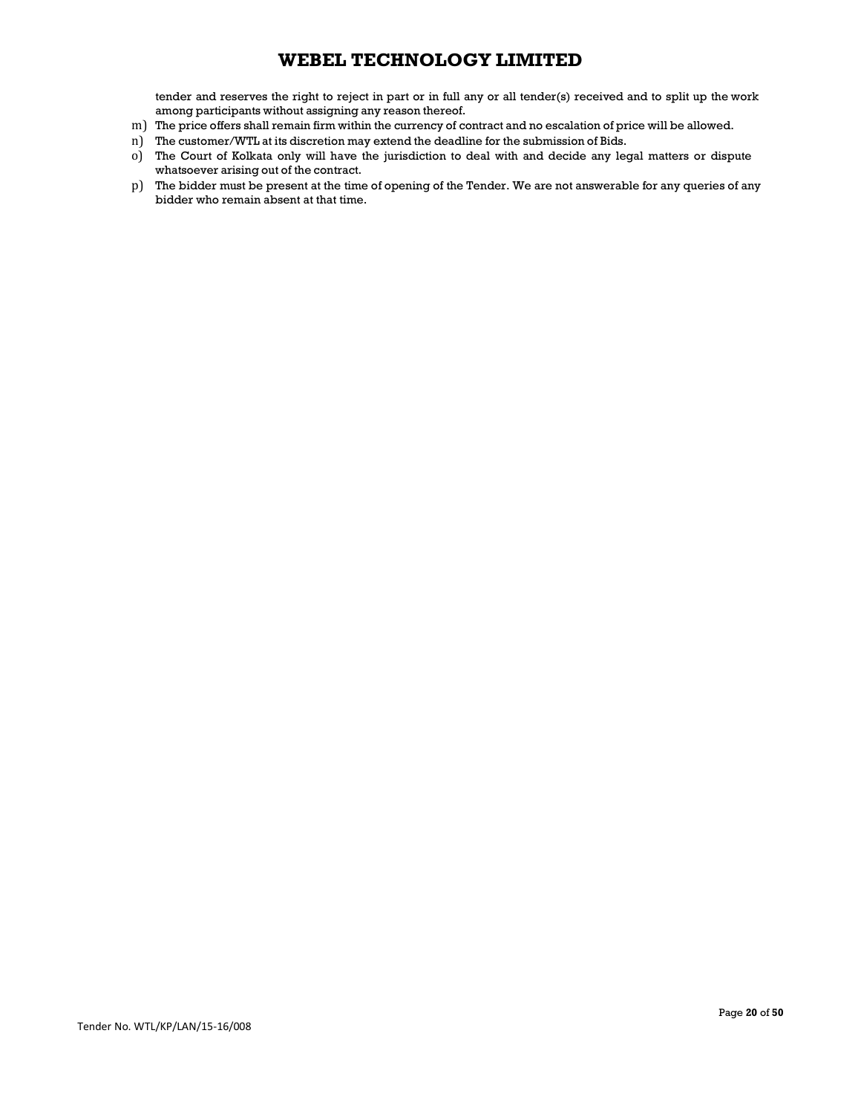tender and reserves the right to reject in part or in full any or all tender(s) received and to split up the work among participants without assigning any reason thereof.

- m) The price offers shall remain firm within the currency of contract and no escalation of price will be allowed.
- n) The customer/WTL at its discretion may extend the deadline for the submission of Bids.
- o) The Court of Kolkata only will have the jurisdiction to deal with and decide any legal matters or dispute whatsoever arising out of the contract.
- p) The bidder must be present at the time of opening of the Tender. We are not answerable for any queries of any bidder who remain absent at that time.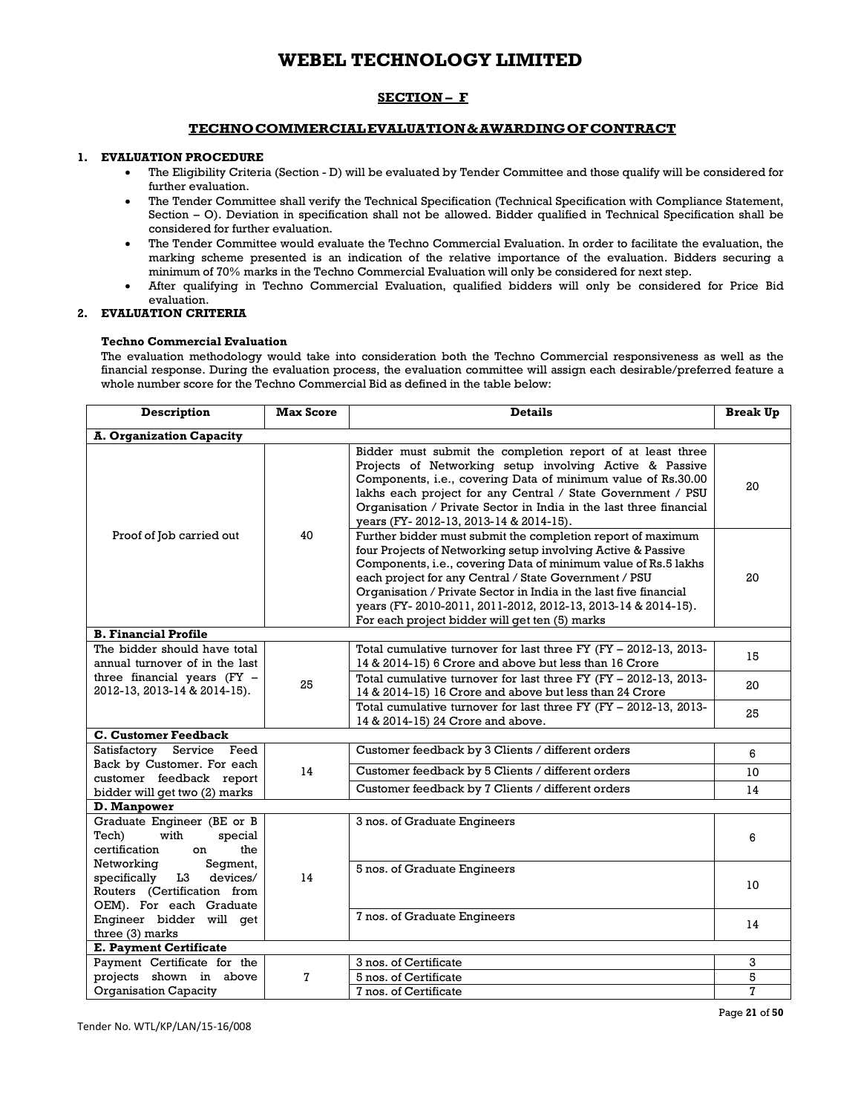## **SECTION – F**

## **TECHNO COMMERCIAL EVALUATION & AWARDING OF CONTRACT**

## **1. EVALUATION PROCEDURE**

- The Eligibility Criteria (Section D) will be evaluated by Tender Committee and those qualify will be considered for further evaluation.
- The Tender Committee shall verify the Technical Specification (Technical Specification with Compliance Statement, Section – O). Deviation in specification shall not be allowed. Bidder qualified in Technical Specification shall be considered for further evaluation.
- The Tender Committee would evaluate the Techno Commercial Evaluation. In order to facilitate the evaluation, the marking scheme presented is an indication of the relative importance of the evaluation. Bidders securing a minimum of 70% marks in the Techno Commercial Evaluation will only be considered for next step.
- After qualifying in Techno Commercial Evaluation, qualified bidders will only be considered for Price Bid evaluation.

### **2. EVALUATION CRITERIA**

#### **Techno Commercial Evaluation**

The evaluation methodology would take into consideration both the Techno Commercial responsiveness as well as the financial response. During the evaluation process, the evaluation committee will assign each desirable/preferred feature a whole number score for the Techno Commercial Bid as defined in the table below:

| Description                                                                                                                           | <b>Max Score</b> | <b>Details</b>                                                                                                                                                                                                                                                                                                                                                                                                                                |    |
|---------------------------------------------------------------------------------------------------------------------------------------|------------------|-----------------------------------------------------------------------------------------------------------------------------------------------------------------------------------------------------------------------------------------------------------------------------------------------------------------------------------------------------------------------------------------------------------------------------------------------|----|
| <b>A. Organization Capacity</b>                                                                                                       |                  |                                                                                                                                                                                                                                                                                                                                                                                                                                               |    |
|                                                                                                                                       |                  | Bidder must submit the completion report of at least three<br>Projects of Networking setup involving Active & Passive<br>Components, i.e., covering Data of minimum value of Rs.30.00<br>lakhs each project for any Central / State Government / PSU<br>Organisation / Private Sector in India in the last three financial<br>years (FY-2012-13, 2013-14 & 2014-15).                                                                          | 20 |
| 40<br>Proof of Job carried out                                                                                                        |                  | Further bidder must submit the completion report of maximum<br>four Projects of Networking setup involving Active & Passive<br>Components, i.e., covering Data of minimum value of Rs.5 lakhs<br>each project for any Central / State Government / PSU<br>Organisation / Private Sector in India in the last five financial<br>years (FY-2010-2011, 2011-2012, 2012-13, 2013-14 & 2014-15).<br>For each project bidder will get ten (5) marks | 20 |
| <b>B. Financial Profile</b>                                                                                                           |                  |                                                                                                                                                                                                                                                                                                                                                                                                                                               |    |
| The bidder should have total<br>annual turnover of in the last<br>three financial years $(FY -$<br>25<br>2012-13, 2013-14 & 2014-15). |                  | Total cumulative turnover for last three FY (FY - 2012-13, 2013-<br>14 & 2014-15) 6 Crore and above but less than 16 Crore                                                                                                                                                                                                                                                                                                                    | 15 |
|                                                                                                                                       |                  | Total cumulative turnover for last three FY (FY - 2012-13, 2013-<br>14 & 2014-15) 16 Crore and above but less than 24 Crore                                                                                                                                                                                                                                                                                                                   | 20 |
|                                                                                                                                       |                  | Total cumulative turnover for last three FY (FY - 2012-13, 2013-<br>14 & 2014-15) 24 Crore and above.                                                                                                                                                                                                                                                                                                                                         | 25 |
| <b>C. Customer Feedback</b>                                                                                                           |                  |                                                                                                                                                                                                                                                                                                                                                                                                                                               |    |
| Satisfactory Service Feed<br>Back by Customer. For each                                                                               |                  | Customer feedback by 3 Clients / different orders                                                                                                                                                                                                                                                                                                                                                                                             | 6  |
| customer feedback report                                                                                                              | 14               | Customer feedback by 5 Clients / different orders                                                                                                                                                                                                                                                                                                                                                                                             | 10 |
| bidder will get two (2) marks                                                                                                         |                  | Customer feedback by 7 Clients / different orders                                                                                                                                                                                                                                                                                                                                                                                             | 14 |
| D. Manpower                                                                                                                           |                  |                                                                                                                                                                                                                                                                                                                                                                                                                                               |    |
| Graduate Engineer (BE or B<br>with<br>Tech)<br>special<br>certification<br>the<br>on                                                  |                  | 3 nos. of Graduate Engineers                                                                                                                                                                                                                                                                                                                                                                                                                  | 6  |
| Networking<br>Segment,<br>specifically L3 devices/<br>Routers (Certification from<br>OEM). For each Graduate                          | 14               | 5 nos. of Graduate Engineers                                                                                                                                                                                                                                                                                                                                                                                                                  |    |
| Engineer bidder will get<br>three (3) marks                                                                                           |                  | 7 nos. of Graduate Engineers                                                                                                                                                                                                                                                                                                                                                                                                                  | 14 |
| <b>E. Payment Certificate</b>                                                                                                         |                  |                                                                                                                                                                                                                                                                                                                                                                                                                                               |    |
| Payment Certificate for the                                                                                                           |                  | 3 nos. of Certificate                                                                                                                                                                                                                                                                                                                                                                                                                         | 3  |
| projects shown in above                                                                                                               | 7                | 5 nos. of Certificate                                                                                                                                                                                                                                                                                                                                                                                                                         | 5  |
| Organisation Capacity                                                                                                                 |                  | 7 nos. of Certificate                                                                                                                                                                                                                                                                                                                                                                                                                         | 7  |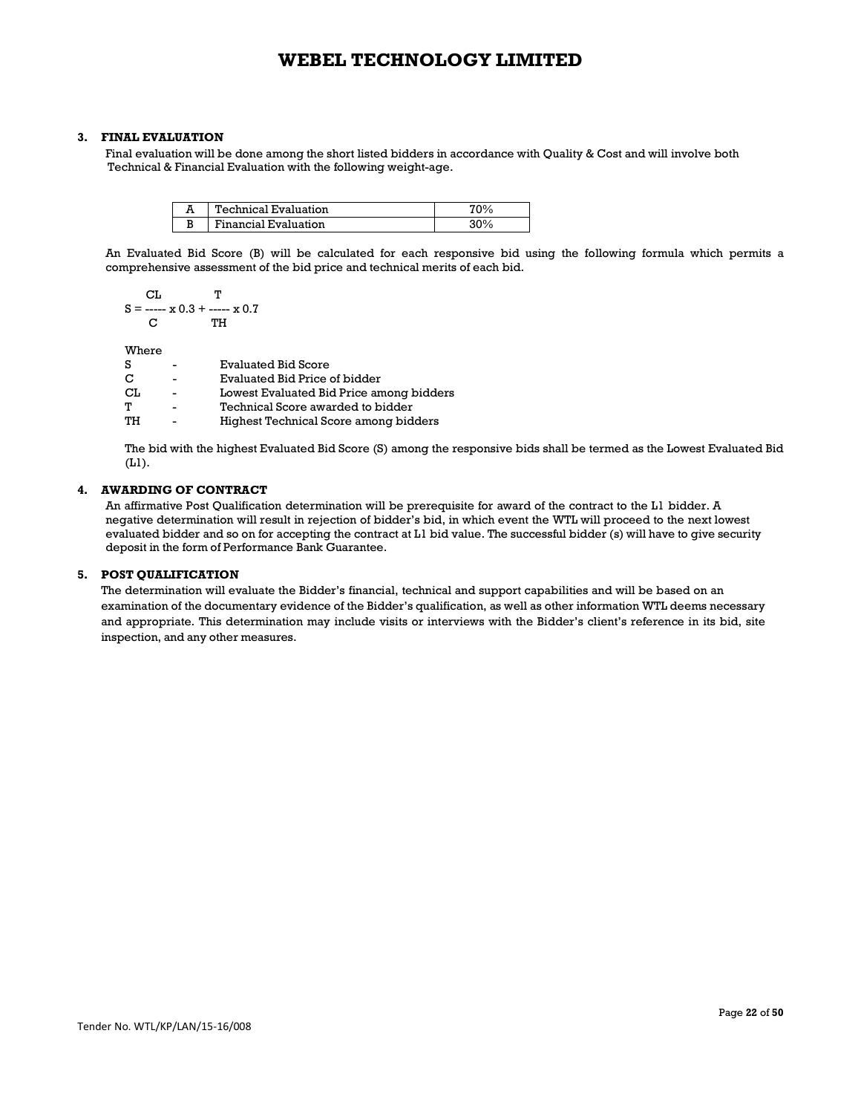### **3. FINAL EVALUATION**

 Final evaluation will be done among the short listed bidders in accordance with Quality & Cost and will involve both Technical & Financial Evaluation with the following weight-age.

|        | Technical Evaluation |  |
|--------|----------------------|--|
| ה<br>Đ | Financial Evaluation |  |

An Evaluated Bid Score (B) will be calculated for each responsive bid using the following formula which permits a comprehensive assessment of the bid price and technical merits of each bid.

$$
S = \frac{CL}{C} \quad T
$$
  
C \quad T  
C \quad TH

Where

|   | $\overline{\phantom{a}}$       |                          | Evaluated Bid Score                      |
|---|--------------------------------|--------------------------|------------------------------------------|
| c | $\overline{\phantom{a}}$       |                          | Evaluated Bid Price of bidder            |
|   | СL                             | $\overline{\phantom{a}}$ | Lowest Evaluated Bid Price among bidders |
| Т |                                | $\overline{\phantom{a}}$ | Technical Score awarded to bidder        |
|   | TH<br>$\overline{\phantom{a}}$ |                          | Highest Technical Score among bidders    |

The bid with the highest Evaluated Bid Score (S) among the responsive bids shall be termed as the Lowest Evaluated Bid (L1).

## **4. AWARDING OF CONTRACT**

An affirmative Post Qualification determination will be prerequisite for award of the contract to the L1 bidder. A negative determination will result in rejection of bidder's bid, in which event the WTL will proceed to the next lowest evaluated bidder and so on for accepting the contract at L1 bid value. The successful bidder (s) will have to give security deposit in the form of Performance Bank Guarantee.

#### **5. POST QUALIFICATION**

The determination will evaluate the Bidder's financial, technical and support capabilities and will be based on an examination of the documentary evidence of the Bidder's qualification, as well as other information WTL deems necessary and appropriate. This determination may include visits or interviews with the Bidder's client's reference in its bid, site inspection, and any other measures.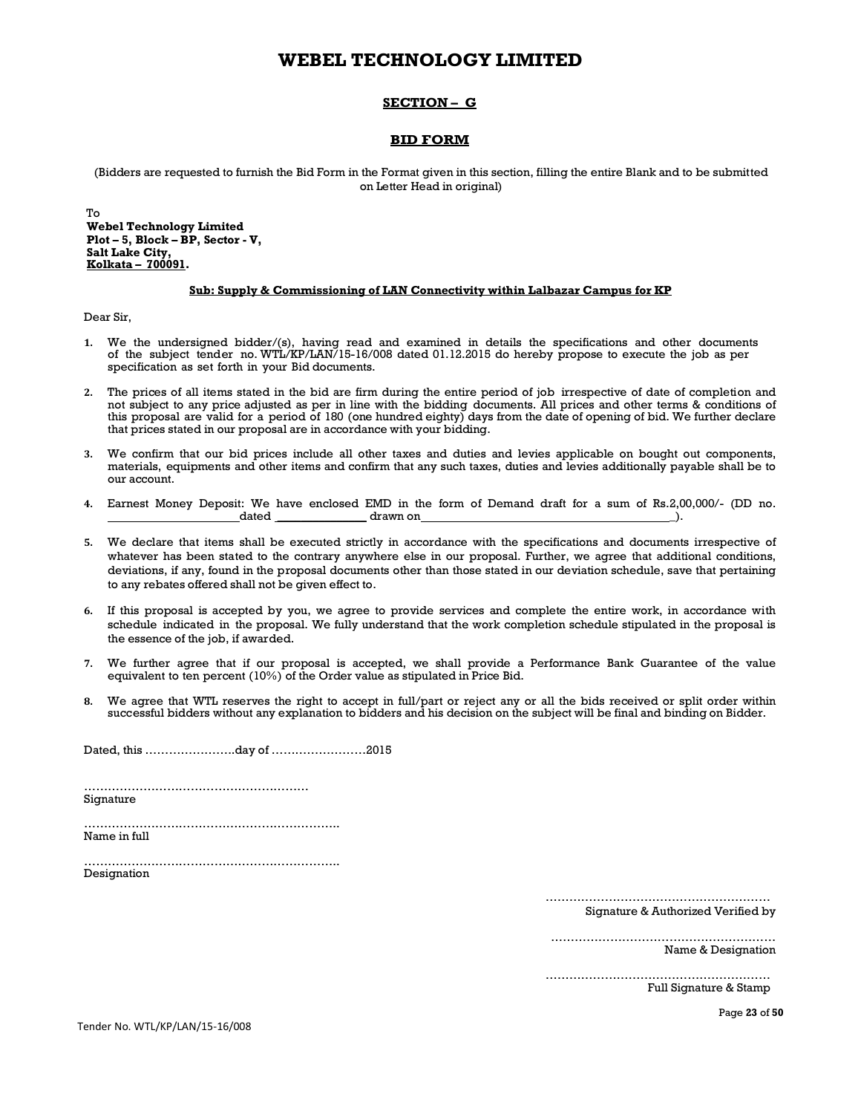## **SECTION – G**

## **BID FORM**

(Bidders are requested to furnish the Bid Form in the Format given in this section, filling the entire Blank and to be submitted on Letter Head in original)

To **Webel Technology Limited Plot – 5, Block – BP, Sector - V, Salt Lake City, Kolkata – 700091.**

#### **Sub: Supply & Commissioning of LAN Connectivity within Lalbazar Campus for KP**

Dear Sir,

- **1.** We the undersigned bidder/(s), having read and examined in details the specifications and other documents of the subject tender no. WTL/KP/LAN/15-16/008 dated 01.12.2015 do hereby propose to execute the job as per specification as set forth in your Bid documents.
- **2.** The prices of all items stated in the bid are firm during the entire period of job irrespective of date of completion and not subject to any price adjusted as per in line with the bidding documents. All prices and other terms & conditions of this proposal are valid for a period of 180 (one hundred eighty) days from the date of opening of bid. We further declare that prices stated in our proposal are in accordance with your bidding.
- **3.** We confirm that our bid prices include all other taxes and duties and levies applicable on bought out components, materials, equipments and other items and confirm that any such taxes, duties and levies additionally payable shall be to our account.
- **4.** Earnest Money Deposit: We have enclosed EMD in the form of Demand draft for a sum of Rs.2,00,000/- (DD no.  $drawn$  on
- **5.** We declare that items shall be executed strictly in accordance with the specifications and documents irrespective of whatever has been stated to the contrary anywhere else in our proposal. Further, we agree that additional conditions, deviations, if any, found in the proposal documents other than those stated in our deviation schedule, save that pertaining to any rebates offered shall not be given effect to.
- **6.** If this proposal is accepted by you, we agree to provide services and complete the entire work, in accordance with schedule indicated in the proposal. We fully understand that the work completion schedule stipulated in the proposal is the essence of the job, if awarded.
- **7.** We further agree that if our proposal is accepted, we shall provide a Performance Bank Guarantee of the value equivalent to ten percent (10%) of the Order value as stipulated in Price Bid.
- **8.** We agree that WTL reserves the right to accept in full/part or reject any or all the bids received or split order within successful bidders without any explanation to bidders and his decision on the subject will be final and binding on Bidder.

Dated, this …………………..day of ……………………2015

………………………………………………… Signature

……………………………………………………….. Name in full

……………………………………………………….. Designation

…………………………………………………

Signature & Authorized Verified by

………………………………………………… Name & Designation

………………………………………………… Full Signature & Stamp

Tender No. WTL/KP/LAN/15-16/008

Page **23** of **50**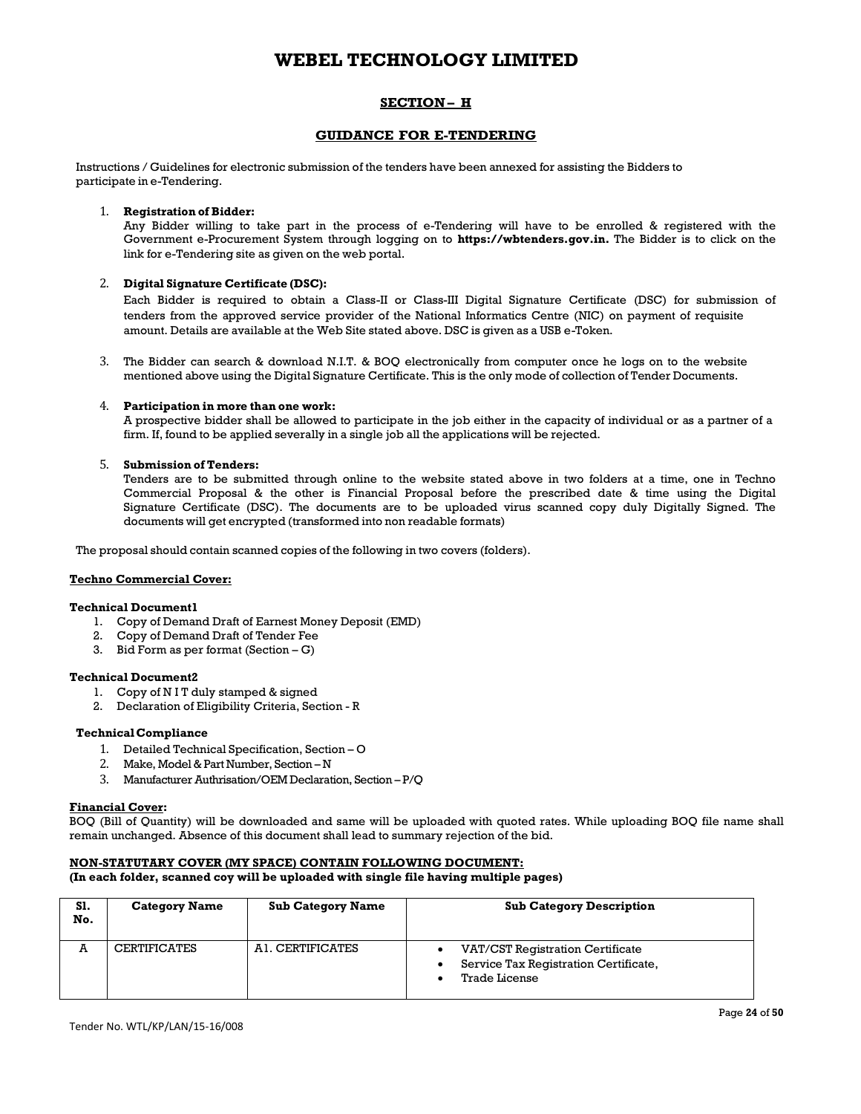## **SECTION – H**

## **GUIDANCE FOR E-TENDERING**

Instructions / Guidelines for electronic submission of the tenders have been annexed for assisting the Bidders to participate in e-Tendering.

#### 1. **Registration of Bidder:**

Any Bidder willing to take part in the process of e-Tendering will have to be enrolled & registered with the Government e-Procurement System through logging on to **https://wbtenders.gov.in.** The Bidder is to click on the link for e-Tendering site as given on the web portal.

#### 2. **Digital Signature Certificate (DSC):**

Each Bidder is required to obtain a Class-II or Class-III Digital Signature Certificate (DSC) for submission of tenders from the approved service provider of the National Informatics Centre (NIC) on payment of requisite amount. Details are available at the Web Site stated above. DSC is given as a USB e-Token.

3. The Bidder can search & download N.I.T. & BOQ electronically from computer once he logs on to the website mentioned above using the Digital Signature Certificate. This is the only mode of collection of Tender Documents.

#### 4. **Participation in more than one work:**

A prospective bidder shall be allowed to participate in the job either in the capacity of individual or as a partner of a firm. If, found to be applied severally in a single job all the applications will be rejected.

#### 5. **Submission of Tenders:**

Tenders are to be submitted through online to the website stated above in two folders at a time, one in Techno Commercial Proposal & the other is Financial Proposal before the prescribed date & time using the Digital Signature Certificate (DSC). The documents are to be uploaded virus scanned copy duly Digitally Signed. The documents will get encrypted (transformed into non readable formats)

The proposal should contain scanned copies of the following in two covers (folders).

### **Techno Commercial Cover:**

#### **Technical Document1**

- 1. Copy of Demand Draft of Earnest Money Deposit (EMD)
- 2. Copy of Demand Draft of Tender Fee
- 3. Bid Form as per format  $(Section G)$

#### **Technical Document2**

- 1. Copy of N I T duly stamped & signed
- 2. Declaration of Eligibility Criteria, Section R

#### **Technical Compliance**

- 1. Detailed Technical Specification, Section O
- 2. Make, Model & Part Number, Section N
- 3. Manufacturer Authrisation/OEM Declaration, Section P/Q

#### **Financial Cover:**

BOQ (Bill of Quantity) will be downloaded and same will be uploaded with quoted rates. While uploading BOQ file name shall remain unchanged. Absence of this document shall lead to summary rejection of the bid.

### **NON-STATUTARY COVER (MY SPACE) CONTAIN FOLLOWING DOCUMENT:**

**(In each folder, scanned coy will be uploaded with single file having multiple pages)** 

| S1.<br>No. | <b>Category Name</b> | <b>Sub Category Name</b> | <b>Sub Category Description</b>                                                            |
|------------|----------------------|--------------------------|--------------------------------------------------------------------------------------------|
| A          | <b>CERTIFICATES</b>  | AI. CERTIFICATES         | VAT/CST Registration Certificate<br>Service Tax Registration Certificate,<br>Trade License |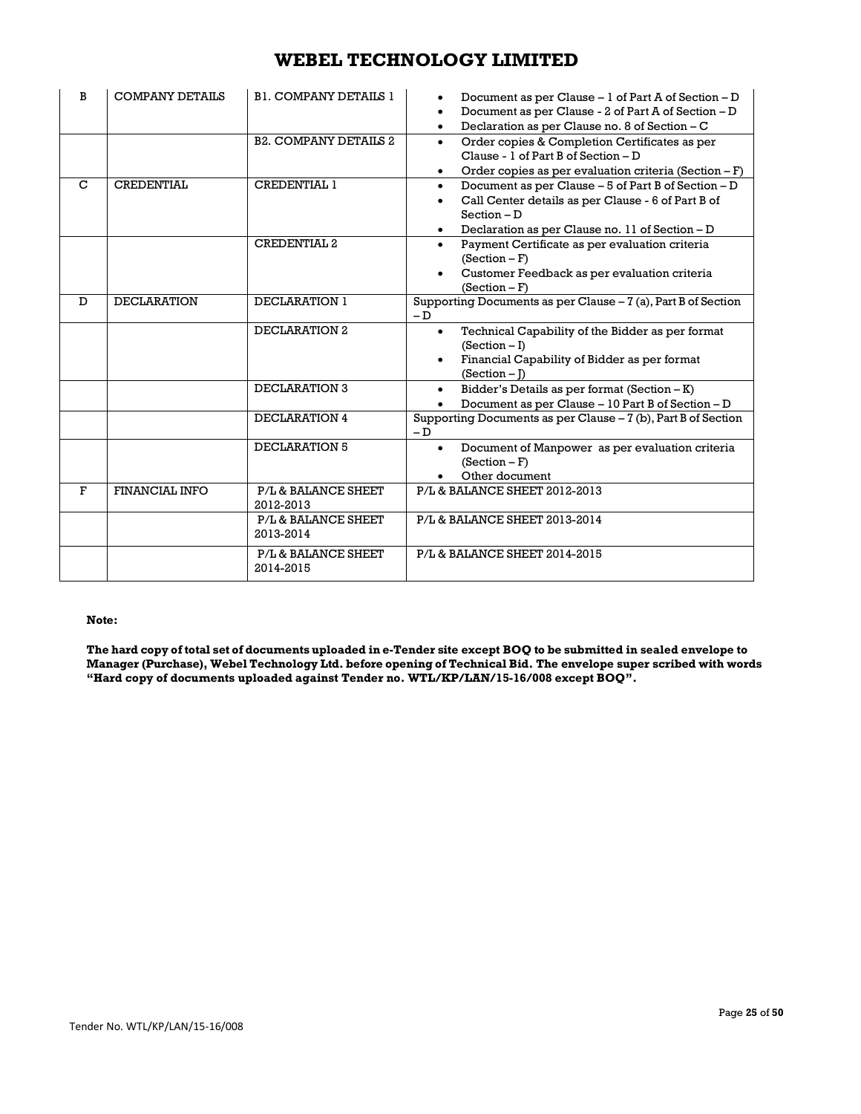| B            | <b>COMPANY DETAILS</b> | <b>B1. COMPANY DETAILS 1</b>     | Document as per Clause - 1 of Part A of Section - D<br>Document as per Clause - 2 of Part A of Section - D<br>$\bullet$<br>Declaration as per Clause no. 8 of Section - C<br>$\bullet$                  |
|--------------|------------------------|----------------------------------|---------------------------------------------------------------------------------------------------------------------------------------------------------------------------------------------------------|
|              |                        | <b>B2. COMPANY DETAILS 2</b>     | Order copies & Completion Certificates as per<br>$\bullet$<br>Clause - 1 of Part B of Section - D<br>Order copies as per evaluation criteria (Section $-F$ )                                            |
| $\mathbf C$  | <b>CREDENTIAL</b>      | <b>CREDENTIAL 1</b>              | Document as per Clause – 5 of Part B of Section – D<br>$\bullet$<br>Call Center details as per Clause - 6 of Part B of<br>$\bullet$<br>$Section - D$<br>Declaration as per Clause no. 11 of Section - D |
|              |                        | <b>CREDENTIAL 2</b>              | Payment Certificate as per evaluation criteria<br>$\bullet$<br>$(Section - F)$<br>Customer Feedback as per evaluation criteria<br>$\bullet$<br>$(Section - F)$                                          |
| D            | <b>DECLARATION</b>     | DECLARATION 1                    | Supporting Documents as per Clause - 7 (a), Part B of Section<br>$-$ D                                                                                                                                  |
|              |                        | DECLARATION 2                    | Technical Capability of the Bidder as per format<br>$\bullet$<br>$(Section - I)$<br>Financial Capability of Bidder as per format<br>$(Section - I)$                                                     |
|              |                        | DECLARATION 3                    | Bidder's Details as per format (Section $-K$ )<br>$\bullet$<br>Document as per Clause - 10 Part B of Section - D                                                                                        |
|              |                        | DECLARATION 4                    | Supporting Documents as per Clause - 7 (b), Part B of Section<br>$-D$                                                                                                                                   |
|              |                        | DECLARATION 5                    | Document of Manpower as per evaluation criteria<br>$(Section - F)$<br>Other document                                                                                                                    |
| $\mathbf{F}$ | FINANCIAL INFO         | P/L & BALANCE SHEET<br>2012-2013 | P/L & BALANCE SHEET 2012-2013                                                                                                                                                                           |
|              |                        | P/L & BALANCE SHEET<br>2013-2014 | P/L & BALANCE SHEET 2013-2014                                                                                                                                                                           |
|              |                        | P/L & BALANCE SHEET<br>2014-2015 | P/L & BALANCE SHEET 2014-2015                                                                                                                                                                           |

### **Note:**

**The hard copy of total set of documents uploaded in e-Tender site except BOQ to be submitted in sealed envelope to Manager (Purchase), Webel Technology Ltd. before opening of Technical Bid. The envelope super scribed with words "Hard copy of documents uploaded against Tender no. WTL/KP/LAN/15-16/008 except BOQ".**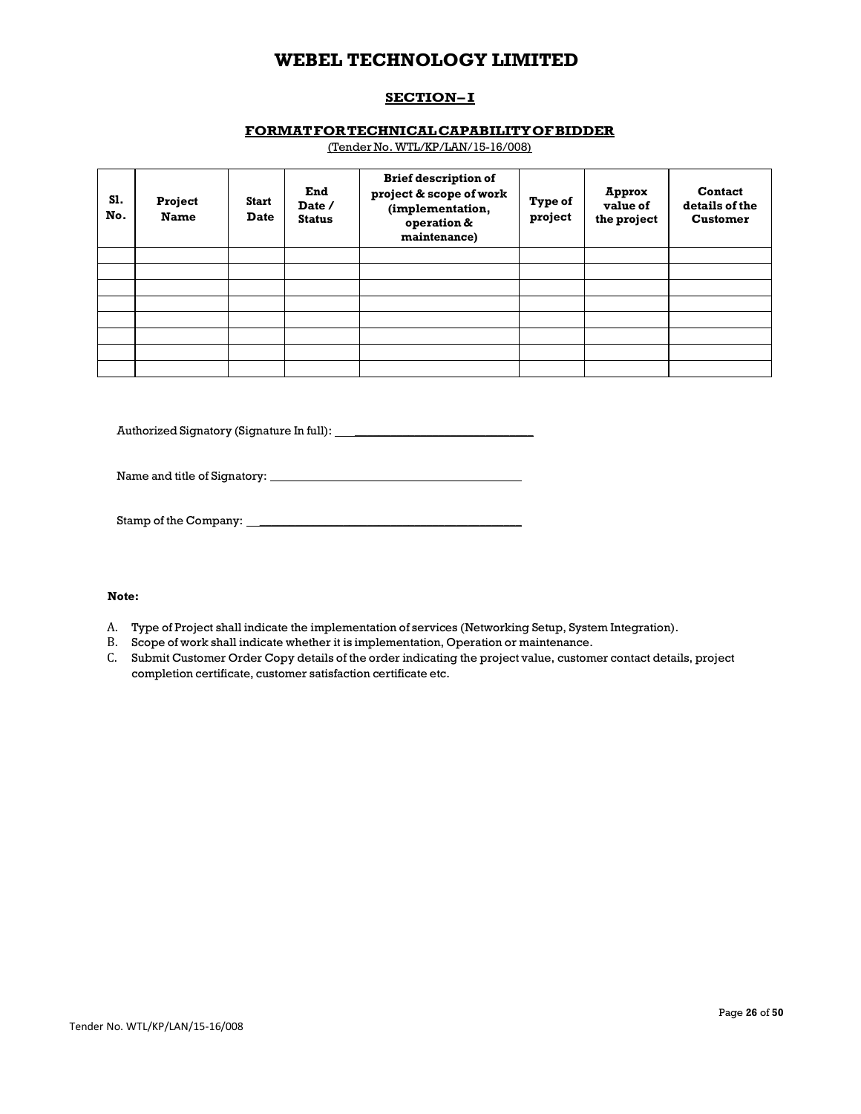## **SECTION-I**

## **FORMAT FOR TECHNICAL CAPABILITY OF BIDDER**

(Tender No. WTL/KP/LAN/15-16/008)

| S1.<br>No. | Project<br><b>Name</b> | Start<br><b>Date</b> | End<br>Date /<br><b>Status</b> | <b>Brief description of</b><br>project & scope of work<br>(implementation,<br>operation &<br>maintenance) | Type of<br>project | Approx<br>value of<br>the project | <b>Contact</b><br>details of the<br><b>Customer</b> |
|------------|------------------------|----------------------|--------------------------------|-----------------------------------------------------------------------------------------------------------|--------------------|-----------------------------------|-----------------------------------------------------|
|            |                        |                      |                                |                                                                                                           |                    |                                   |                                                     |
|            |                        |                      |                                |                                                                                                           |                    |                                   |                                                     |
|            |                        |                      |                                |                                                                                                           |                    |                                   |                                                     |
|            |                        |                      |                                |                                                                                                           |                    |                                   |                                                     |
|            |                        |                      |                                |                                                                                                           |                    |                                   |                                                     |
|            |                        |                      |                                |                                                                                                           |                    |                                   |                                                     |
|            |                        |                      |                                |                                                                                                           |                    |                                   |                                                     |
|            |                        |                      |                                |                                                                                                           |                    |                                   |                                                     |

Authorized Signatory (Signature In full): \_\_\_\_\_\_\_\_\_\_\_\_\_\_\_\_\_\_\_\_\_\_\_\_\_\_\_\_\_\_

Name and title of Signatory: \_\_\_\_\_\_\_\_\_\_\_\_\_\_\_\_\_\_\_\_\_\_\_\_\_\_\_\_\_\_\_\_\_\_\_\_

Stamp of the Company: \_\_\_\_\_\_\_\_\_\_\_\_\_\_\_\_\_\_\_\_\_\_\_\_\_\_\_\_\_\_\_\_\_\_\_\_\_\_\_\_\_\_\_\_

## **Note:**

- A. Type of Project shall indicate the implementation of services (Networking Setup, System Integration).
- B. Scope of work shall indicate whether it is implementation, Operation or maintenance.
- C. Submit Customer Order Copy details of the order indicating the project value, customer contact details, project completion certificate, customer satisfaction certificate etc.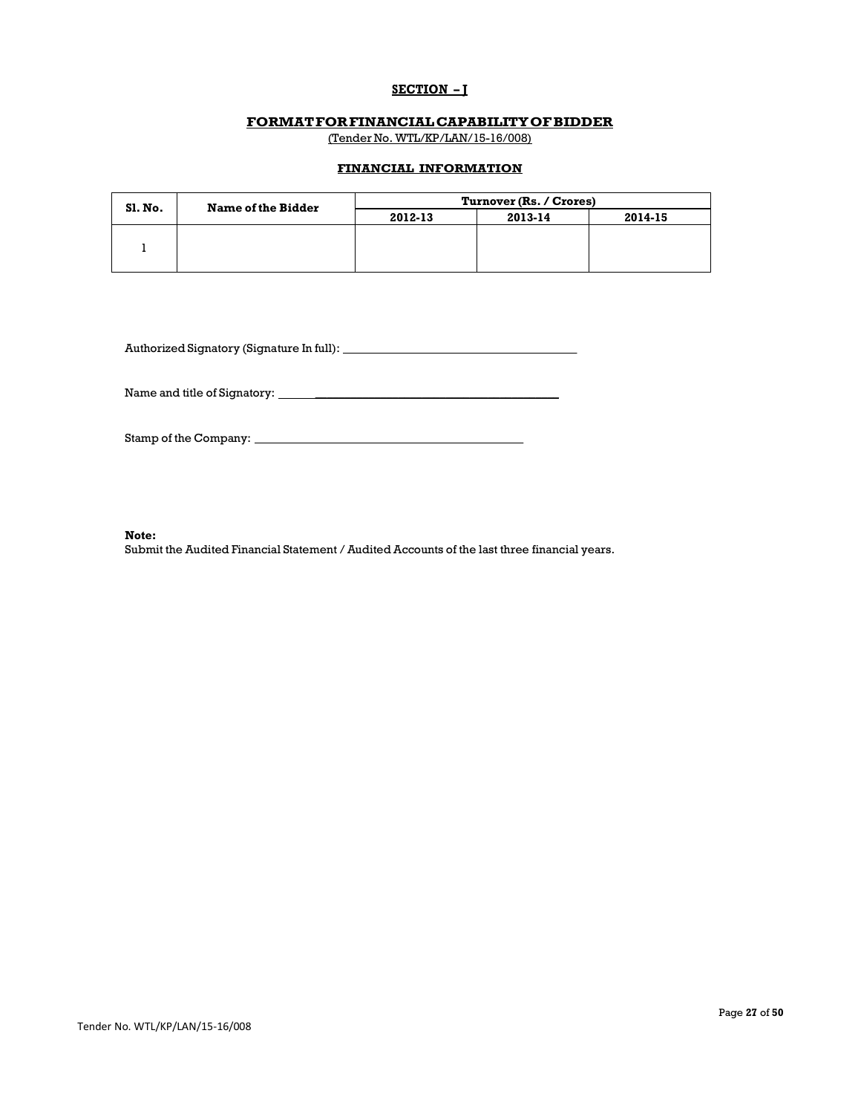## **SECTION – J**

### **FORMAT FOR FINANCIAL CAPABILITY OF BIDDER**

(Tender No. WTL/KP/LAN/15-16/008)

## **FINANCIAL INFORMATION**

| Sl. No. | <b>Name of the Bidder</b> | Turnover (Rs. / Crores) |         |         |  |
|---------|---------------------------|-------------------------|---------|---------|--|
|         |                           | 2012-13                 | 2013-14 | 2014-15 |  |
|         |                           |                         |         |         |  |
|         |                           |                         |         |         |  |
|         |                           |                         |         |         |  |

Authorized Signatory (Signature In full): \_\_\_\_\_\_\_\_\_\_\_\_\_\_\_\_\_\_\_\_\_\_\_\_\_\_\_\_\_\_\_\_\_\_\_\_

Name and title of Signatory: \_\_\_\_\_\_\_\_\_\_\_\_\_\_\_\_\_\_\_\_\_\_\_\_\_\_\_\_\_\_\_\_\_\_\_\_\_\_\_\_\_

Stamp of the Company: \_\_\_\_\_\_\_\_\_\_\_\_\_\_\_\_\_\_\_\_\_\_\_\_\_\_\_\_\_\_\_\_\_\_\_\_\_\_\_\_\_\_\_

 **Note:**

Submit the Audited Financial Statement / Audited Accounts of the last three financial years.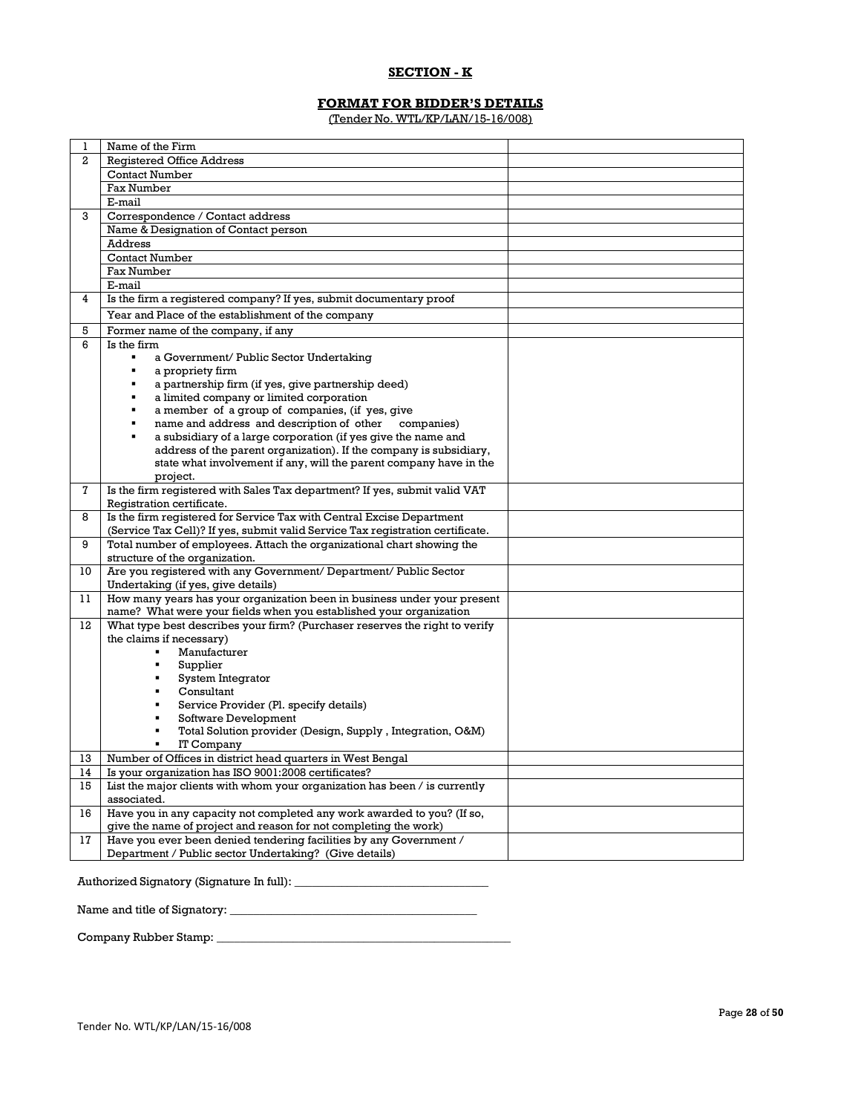## **SECTION - K**

# **FORMAT FOR BIDDER'S DETAILS**

(Tender No. WTL/KP/LAN/15-16/008)

| 1  | Name of the Firm                                                                |
|----|---------------------------------------------------------------------------------|
| 2  | <b>Registered Office Address</b>                                                |
|    | <b>Contact Number</b>                                                           |
|    | Fax Number                                                                      |
|    | E-mail                                                                          |
| 3  | Correspondence / Contact address                                                |
|    | Name & Designation of Contact person                                            |
|    | Address                                                                         |
|    | <b>Contact Number</b>                                                           |
|    | <b>Fax Number</b>                                                               |
|    | E-mail                                                                          |
| 4  | Is the firm a registered company? If yes, submit documentary proof              |
|    | Year and Place of the establishment of the company                              |
|    |                                                                                 |
| 5  | Former name of the company, if any                                              |
| 6  | Is the firm<br>$\blacksquare$                                                   |
|    | a Government/ Public Sector Undertaking                                         |
|    | a propriety firm<br>$\blacksquare$                                              |
|    | a partnership firm (if yes, give partnership deed)                              |
|    | a limited company or limited corporation                                        |
|    | a member of a group of companies, (if yes, give<br>٠                            |
|    | name and address and description of other<br>companies)<br>$\blacksquare$       |
|    | a subsidiary of a large corporation (if yes give the name and<br>$\blacksquare$ |
|    | address of the parent organization). If the company is subsidiary,              |
|    | state what involvement if any, will the parent company have in the              |
|    | project.                                                                        |
| 7  | Is the firm registered with Sales Tax department? If yes, submit valid VAT      |
|    | Registration certificate.                                                       |
| 8  | Is the firm registered for Service Tax with Central Excise Department           |
|    | (Service Tax Cell)? If yes, submit valid Service Tax registration certificate.  |
| 9  | Total number of employees. Attach the organizational chart showing the          |
|    | structure of the organization.                                                  |
| 10 | Are you registered with any Government/ Department/ Public Sector               |
|    | Undertaking (if yes, give details)                                              |
| 11 | How many years has your organization been in business under your present        |
|    | name? What were your fields when you established your organization              |
| 12 | What type best describes your firm? (Purchaser reserves the right to verify     |
|    | the claims if necessary)                                                        |
|    | Manufacturer                                                                    |
|    | Supplier<br>٠                                                                   |
|    | System Integrator                                                               |
|    | Consultant                                                                      |
|    | Service Provider (Pl. specify details)<br>٠                                     |
|    | Software Development                                                            |
|    | Total Solution provider (Design, Supply, Integration, O&M)                      |
|    | IT Company                                                                      |
| 13 | Number of Offices in district head quarters in West Bengal                      |
| 14 | Is your organization has ISO 9001:2008 certificates?                            |
| 15 | List the major clients with whom your organization has been / is currently      |
|    | associated.                                                                     |
| 16 | Have you in any capacity not completed any work awarded to you? (If so,         |
|    | give the name of project and reason for not completing the work)                |
| 17 | Have you ever been denied tendering facilities by any Government /              |
|    | Department / Public sector Undertaking? (Give details)                          |
|    |                                                                                 |

Authorized Signatory (Signature In full): \_\_\_\_\_\_\_\_\_\_\_\_\_\_\_\_\_\_\_\_\_\_\_\_\_\_\_\_\_\_\_\_\_

Name and title of Signatory: \_\_\_\_\_\_\_\_\_\_\_\_\_\_\_\_\_\_\_\_\_\_\_\_\_\_\_\_\_\_\_\_\_\_\_\_\_\_\_\_\_\_

Company Rubber Stamp: \_\_\_\_\_\_\_\_\_\_\_\_\_\_\_\_\_\_\_\_\_\_\_\_\_\_\_\_\_\_\_\_\_\_\_\_\_\_\_\_\_\_\_\_\_\_\_\_\_\_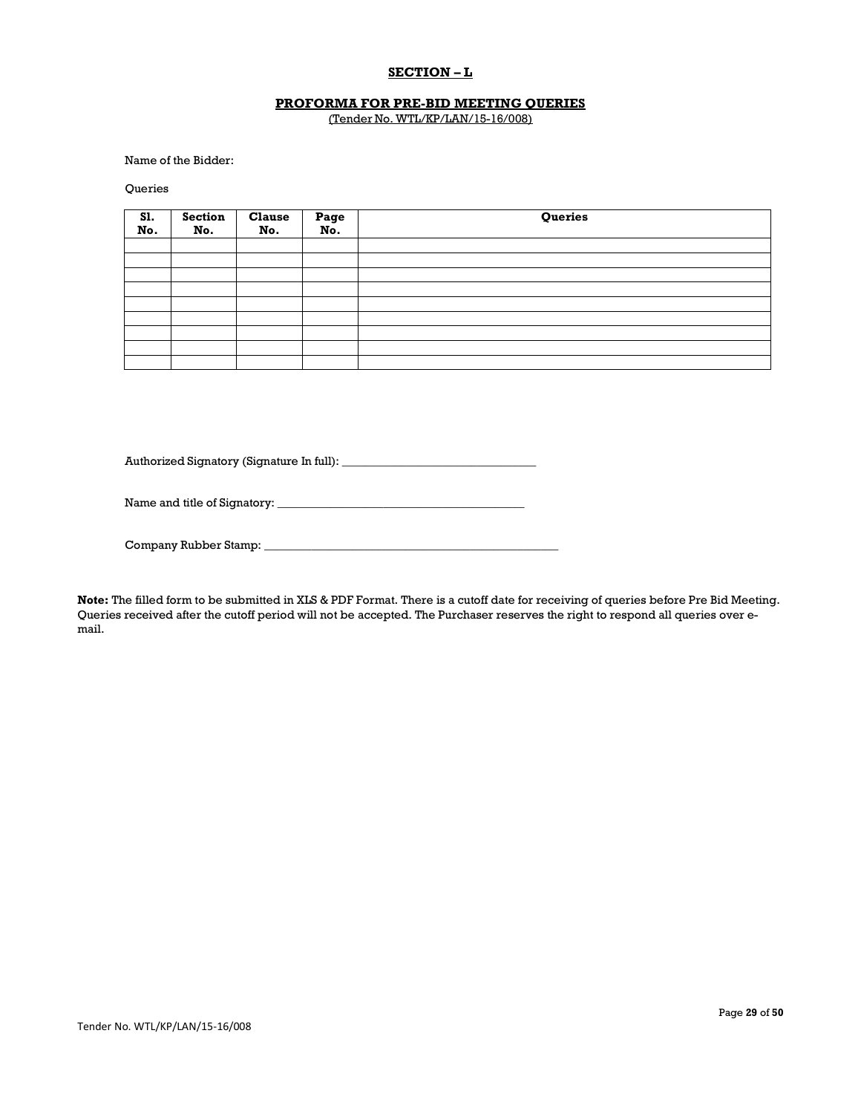## **SECTION – L**

### **PROFORMA FOR PRE-BID MEETING QUERIES** (Tender No. WTL/KP/LAN/15-16/008)

Name of the Bidder:

**Oueries** 

| S1.<br>No. | <b>Section</b><br>No. | <b>Clause</b><br>No. | Page<br>No. | Queries |
|------------|-----------------------|----------------------|-------------|---------|
|            |                       |                      |             |         |
|            |                       |                      |             |         |
|            |                       |                      |             |         |
|            |                       |                      |             |         |
|            |                       |                      |             |         |
|            |                       |                      |             |         |
|            |                       |                      |             |         |
|            |                       |                      |             |         |
|            |                       |                      |             |         |

Authorized Signatory (Signature In full): \_\_\_\_\_\_\_\_\_\_\_\_\_\_\_\_\_\_\_\_\_\_\_\_\_\_\_\_\_\_\_\_\_

Name and title of Signatory: \_\_\_\_\_\_\_\_\_\_\_\_\_\_\_\_\_\_\_\_\_\_\_\_\_\_\_\_\_\_\_\_\_\_\_\_\_\_\_\_\_\_

Company Rubber Stamp: \_\_\_\_\_\_\_\_\_\_\_\_\_\_\_\_\_\_\_\_\_\_\_\_\_\_\_\_\_\_\_\_\_\_\_\_\_\_\_\_\_\_\_\_\_\_\_\_\_\_

**Note:** The filled form to be submitted in XLS & PDF Format. There is a cutoff date for receiving of queries before Pre Bid Meeting. Queries received after the cutoff period will not be accepted. The Purchaser reserves the right to respond all queries over email.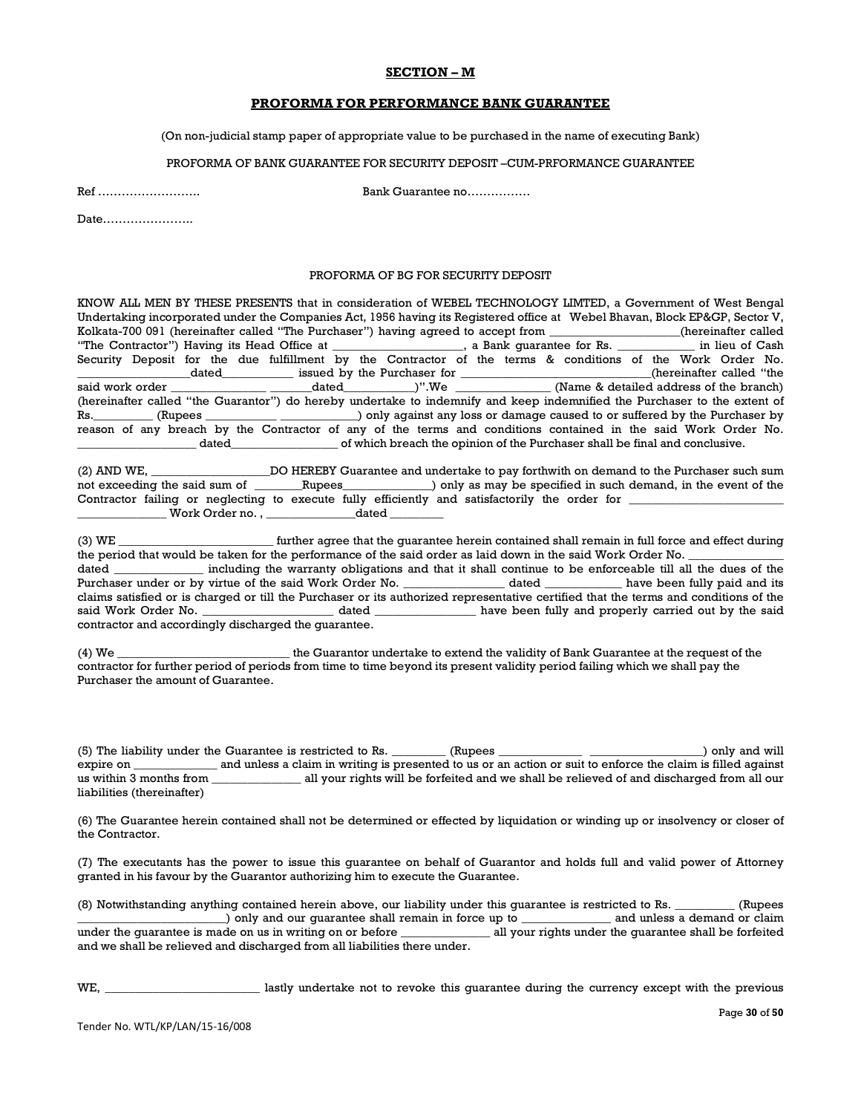#### **SECTION – M**

#### **PROFORMA FOR PERFORMANCE BANK GUARANTEE**

(On non-judicial stamp paper of appropriate value to be purchased in the name of executing Bank)

#### PROFORMA OF BANK GUARANTEE FOR SECURITY DEPOSIT –CUM-PRFORMANCE GUARANTEE

Ref …………………….. Bank Guarantee no…………….

Date…………………..

#### PROFORMA OF BG FOR SECURITY DEPOSIT

KNOW ALL MEN BY THESE PRESENTS that in consideration of WEBEL TECHNOLOGY LIMTED, a Government of West Bengal Undertaking incorporated under the Companies Act, 1956 having its Registered office at Webel Bhavan, Block EP&GP, Sector V,<br>Kolkata-700 091 (hereinafter called "The Purchaser") having agreed to accept from \_\_\_\_\_\_\_\_\_\_\_\_\_\_\_\_ Kolkata-700 091 (hereinafter called "The Purchaser") having agreed to accept from \_\_\_\_ "The Contractor") Having its Head Office at \_\_\_\_\_\_\_\_\_\_\_\_\_\_\_\_\_\_\_\_\_\_, a Bank guarantee for Rs. \_\_\_\_\_\_\_\_\_\_\_\_\_ in lieu of Cash Security Deposit for the due fulfillment by the Contractor of the terms & conditions of the Work Order No. \_\_\_\_\_\_\_\_\_\_\_\_\_\_\_\_\_\_\_dated\_\_\_\_\_\_\_\_\_\_\_\_ issued by the Purchaser for \_\_\_\_\_\_\_\_\_\_\_\_\_\_\_\_\_\_\_\_\_\_\_\_\_\_\_\_\_\_\_\_(hereinafter called "the dated\_\_\_\_\_\_\_\_\_\_\_\_\_)".We \_\_\_\_\_\_\_\_\_\_\_\_\_\_\_\_\_\_\_\_(Name  $\&$  detailed address of the branch) (hereinafter called "the Guarantor") do hereby undertake to indemnify and keep indemnified the Purchaser to the extent of Rs. (Rupees \_\_\_\_\_\_\_\_\_\_\_\_\_\_\_\_\_\_\_\_\_\_\_\_\_\_\_\_\_\_\_\_\_\_) only against any loss or damage caused to or suffered by the Purchaser by reason of any breach by the Contractor of any of the terms and conditions contained in the said Work Order No. \_\_\_\_\_\_\_\_\_\_\_\_\_\_\_\_\_\_\_\_ dated\_\_\_\_\_\_\_\_\_\_\_\_\_\_\_\_\_\_ of which breach the opinion of the Purchaser shall be final and conclusive.

(2) AND WE, \_\_\_\_\_\_\_\_\_\_\_\_\_\_\_\_\_\_\_\_DO HEREBY Guarantee and undertake to pay forthwith on demand to the Purchaser such sum not exceeding the said sum of \_\_\_\_\_\_\_\_Rupees\_\_\_\_\_\_\_\_\_\_\_\_\_\_\_) only as may be specified in such demand, in the event of the Contractor failing or neglecting to execute fully efficiently and satisfactorily the order for \_ \_ Work Order no. , \_\_\_\_\_\_\_\_\_\_\_\_\_\_\_\_\_\_\_\_\_dated \_

(3) WE \_\_\_\_\_\_\_\_\_\_\_\_\_\_\_\_\_\_\_\_\_\_\_\_\_\_ further agree that the guarantee herein contained shall remain in full force and effect during the period that would be taken for the performance of the said order as laid down in the said Work Order No. dated \_\_\_\_\_\_\_\_\_\_\_\_\_\_\_ including the warranty obligations and that it shall continue to be enforceable till all the dues of the Purchaser under or by virtue of the said Work Order No. 2012 and dated a lawe been fully paid and its claims satisfied or is charged or till the Purchaser or its authorized representative certified that the terms and conditions of the said Work Order No. \_\_\_\_\_\_\_\_\_\_\_\_\_\_\_\_\_\_\_\_\_\_\_\_ dated \_\_\_\_\_\_\_\_\_\_\_\_\_\_\_\_\_\_ have been fully and properly carried out by the said contractor and accordingly discharged the guarantee.

(4) We \_\_\_\_\_\_\_\_\_\_\_\_\_\_\_\_\_\_\_\_\_\_\_\_\_\_\_\_\_ the Guarantor undertake to extend the validity of Bank Guarantee at the request of the contractor for further period of periods from time to time beyond its present validity period failing which we shall pay the Purchaser the amount of Guarantee.

(5) The liability under the Guarantee is restricted to Rs. \_\_\_\_\_\_\_\_ (Rupees \_\_\_\_\_\_\_\_\_\_\_\_\_\_\_\_\_\_\_\_\_\_\_\_\_\_\_\_\_\_\_\_\_\_) only and will expire on \_\_\_\_\_\_\_\_\_\_\_\_\_\_ and unless a claim in writing is presented to us or an action or suit to enforce the claim is filled against us within 3 months from \_\_\_\_\_\_\_\_\_\_\_\_\_\_\_ all your rights will be forfeited and we shall be relieved of and discharged from all our liabilities (thereinafter)

(6) The Guarantee herein contained shall not be determined or effected by liquidation or winding up or insolvency or closer of the Contractor.

(7) The executants has the power to issue this guarantee on behalf of Guarantor and holds full and valid power of Attorney granted in his favour by the Guarantor authorizing him to execute the Guarantee.

(8) Notwithstanding anything contained herein above, our liability under this guarantee is restricted to Rs. \_\_\_\_\_\_\_\_\_\_ (Rupees \_\_\_\_\_\_\_\_\_\_\_\_\_\_\_\_\_\_\_\_\_\_\_\_\_) only and our guarantee shall remain in force up to \_\_\_\_\_\_\_\_\_\_\_\_\_\_\_ and unless a demand or claim under the guarantee is made on us in writing on or before \_\_\_\_\_\_\_\_\_\_\_\_\_\_\_ all your rights under the guarantee shall be forfeited and we shall be relieved and discharged from all liabilities there under.

WE, \_\_\_\_\_\_\_\_\_\_\_\_\_\_\_\_\_\_\_\_\_\_\_\_\_\_ lastly undertake not to revoke this guarantee during the currency except with the previous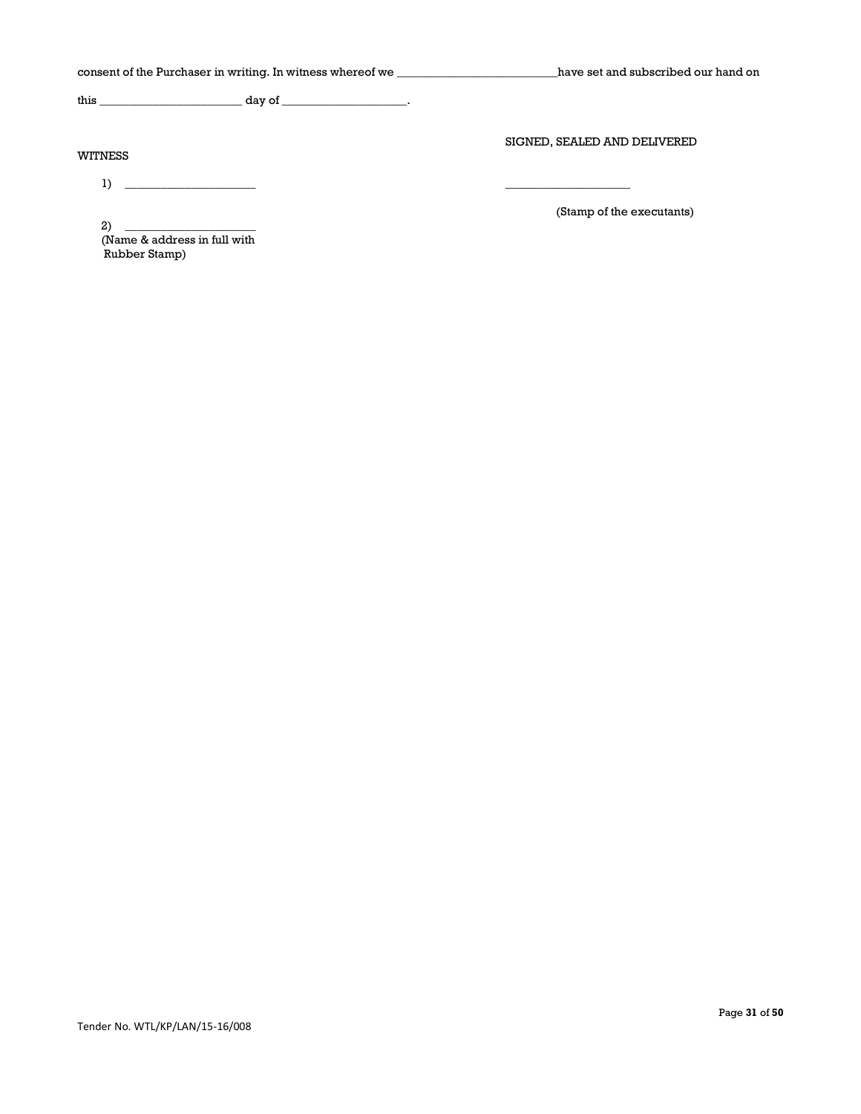| consent of the Purchaser in writing. In witness whereof we                                                                                                                                          | have set and subscribed our hand on |
|-----------------------------------------------------------------------------------------------------------------------------------------------------------------------------------------------------|-------------------------------------|
|                                                                                                                                                                                                     |                                     |
| WITNESS                                                                                                                                                                                             | SIGNED, SEALED AND DELIVERED        |
| $1)$ $\qquad \qquad$<br>2)<br><u> 1980 - Jan James James Barbara, politik eta politik eta politik eta politik eta politik eta politik eta poli</u><br>(Name & address in full with<br>Rubber Stamp) | (Stamp of the executants)           |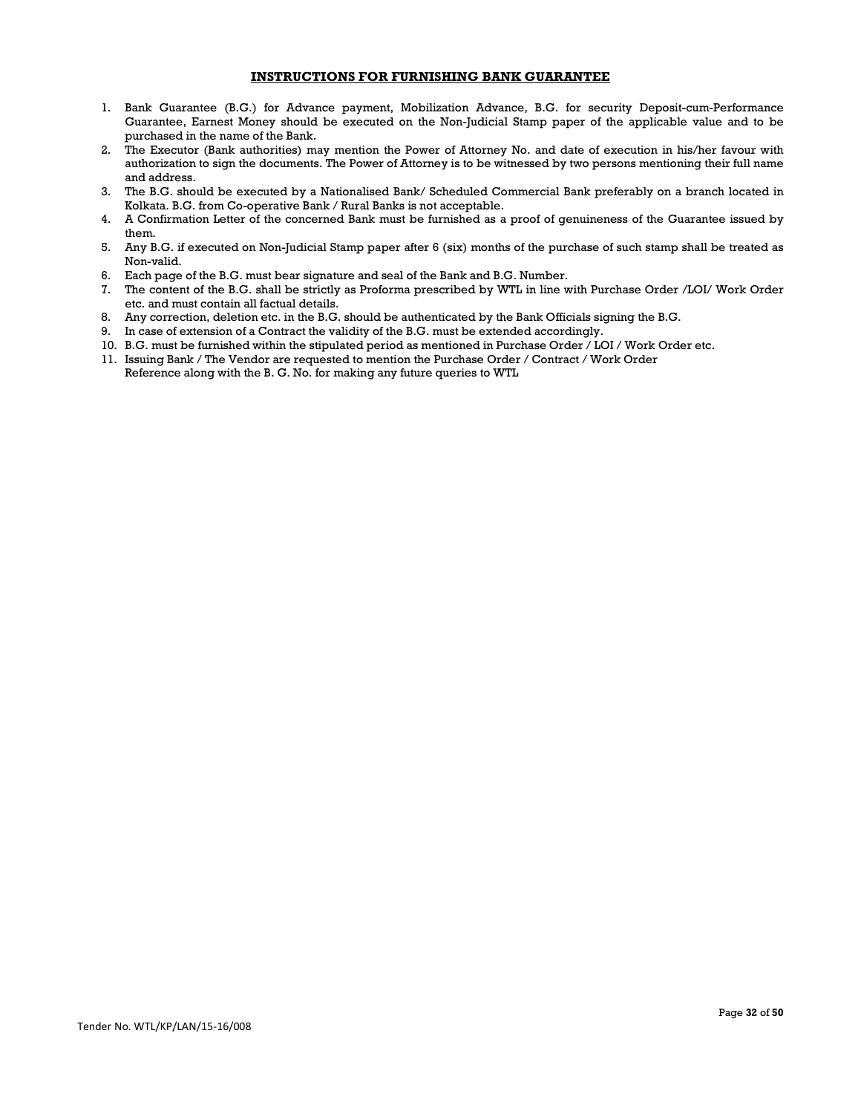### **INSTRUCTIONS FOR FURNISHING BANK GUARANTEE**

- 1. Bank Guarantee (B.G.) for Advance payment, Mobilization Advance, B.G. for security Deposit-cum-Performance Guarantee, Earnest Money should be executed on the Non-Judicial Stamp paper of the applicable value and to be purchased in the name of the Bank.
- 2. The Executor (Bank authorities) may mention the Power of Attorney No. and date of execution in his/her favour with authorization to sign the documents. The Power of Attorney is to be witnessed by two persons mentioning their full name and address.
- 3. The B.G. should be executed by a Nationalised Bank/ Scheduled Commercial Bank preferably on a branch located in Kolkata. B.G. from Co-operative Bank / Rural Banks is not acceptable.
- 4. A Confirmation Letter of the concerned Bank must be furnished as a proof of genuineness of the Guarantee issued by them.
- 5. Any B.G. if executed on Non-Judicial Stamp paper after 6 (six) months of the purchase of such stamp shall be treated as Non-valid.
- 6. Each page of the B.G. must bear signature and seal of the Bank and B.G. Number.
- 7. The content of the B.G. shall be strictly as Proforma prescribed by WTL in line with Purchase Order /LOI/ Work Order etc. and must contain all factual details.
- 8. Any correction, deletion etc. in the B.G. should be authenticated by the Bank Officials signing the B.G.
- 9. In case of extension of a Contract the validity of the B.G. must be extended accordingly.
- 10. B.G. must be furnished within the stipulated period as mentioned in Purchase Order / LOI / Work Order etc.
- 11. Issuing Bank / The Vendor are requested to mention the Purchase Order / Contract / Work Order Reference along with the B. G. No. for making any future queries to WTL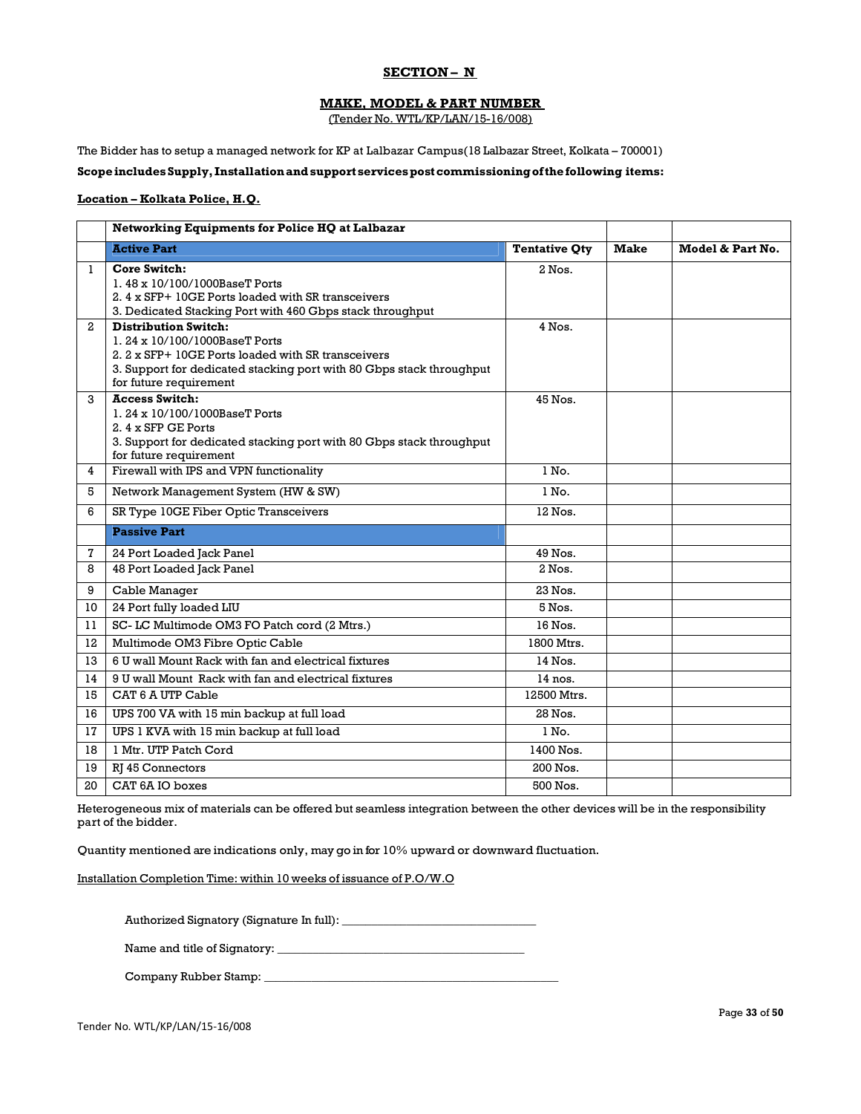### **SECTION – N**

## **MAKE, MODEL & PART NUMBER**

(Tender No. WTL/KP/LAN/15-16/008)

The Bidder has to setup a managed network for KP at Lalbazar Campus(18 Lalbazar Street, Kolkata – 700001)

### **Scope includes Supply, Installation and support services post commissioning of the following items:**

#### **Location – Kolkata Police, H.Q.**

|                 | Networking Equipments for Police HQ at Lalbazar                                                                                                                                                                      |                      |             |                  |
|-----------------|----------------------------------------------------------------------------------------------------------------------------------------------------------------------------------------------------------------------|----------------------|-------------|------------------|
|                 | <b>Active Part</b>                                                                                                                                                                                                   | <b>Tentative Qty</b> | <b>Make</b> | Model & Part No. |
| 1               | Core Switch:<br>1.48 x 10/100/1000BaseT Ports<br>2.4 x SFP+ 10GE Ports loaded with SR transceivers<br>3. Dedicated Stacking Port with 460 Gbps stack throughput                                                      | $2$ Nos.             |             |                  |
| 2               | <b>Distribution Switch:</b><br>1.24 x 10/100/1000BaseT Ports<br>2. 2 x SFP+ 10GE Ports loaded with SR transceivers<br>3. Support for dedicated stacking port with 80 Gbps stack throughput<br>for future requirement | 4 Nos.               |             |                  |
| 3               | <b>Access Switch:</b><br>1.24 x 10/100/1000BaseT Ports<br>2. 4 x SFP GE Ports<br>3. Support for dedicated stacking port with 80 Gbps stack throughput<br>for future requirement                                      | 45 Nos.              |             |                  |
| 4               | Firewall with IPS and VPN functionality                                                                                                                                                                              | $1$ No.              |             |                  |
| 5               | Network Management System (HW & SW)                                                                                                                                                                                  | $1$ No.              |             |                  |
| 6               | SR Type 10GE Fiber Optic Transceivers                                                                                                                                                                                | 12 Nos.              |             |                  |
|                 | <b>Passive Part</b>                                                                                                                                                                                                  |                      |             |                  |
| 7               | 24 Port Loaded Jack Panel                                                                                                                                                                                            | 49 Nos.              |             |                  |
| 8               | 48 Port Loaded Jack Panel                                                                                                                                                                                            | $2$ Nos.             |             |                  |
| 9               | Cable Manager                                                                                                                                                                                                        | 23 Nos.              |             |                  |
| 10 <sup>°</sup> | 24 Port fully loaded LIU                                                                                                                                                                                             | 5 Nos.               |             |                  |
| 11              | SC- LC Multimode OM3 FO Patch cord (2 Mtrs.)                                                                                                                                                                         | 16 Nos.              |             |                  |
| 12              | Multimode OM3 Fibre Optic Cable                                                                                                                                                                                      | 1800 Mtrs.           |             |                  |
| 13              | 6 U wall Mount Rack with fan and electrical fixtures                                                                                                                                                                 | 14 Nos.              |             |                  |
| 14              | 9 U wall Mount Rack with fan and electrical fixtures                                                                                                                                                                 | $14$ nos.            |             |                  |
| 15              | CAT 6 A UTP Cable                                                                                                                                                                                                    | 12500 Mtrs.          |             |                  |
| 16              | UPS 700 VA with 15 min backup at full load                                                                                                                                                                           | 28 Nos.              |             |                  |
| 17              | UPS 1 KVA with 15 min backup at full load                                                                                                                                                                            | $1$ No.              |             |                  |
| 18              | 1 Mtr. UTP Patch Cord                                                                                                                                                                                                | 1400 Nos.            |             |                  |
| 19              | RJ 45 Connectors                                                                                                                                                                                                     | 200 Nos.             |             |                  |
| 20              | CAT 6A IO boxes                                                                                                                                                                                                      | 500 Nos.             |             |                  |

Heterogeneous mix of materials can be offered but seamless integration between the other devices will be in the responsibility part of the bidder.

Quantity mentioned are indications only, may go in for 10% upward or downward fluctuation.

Installation Completion Time: within 10 weeks of issuance of P.O/W.O

Authorized Signatory (Signature In full): \_\_\_\_\_\_\_\_\_\_\_\_\_\_\_\_\_\_\_\_\_\_\_\_\_\_\_\_\_\_\_\_\_

Name and title of Signatory: \_\_\_\_\_\_\_\_\_\_\_\_\_\_\_\_\_\_\_\_\_\_\_\_\_\_\_\_\_\_\_\_\_\_\_\_\_\_\_\_\_\_

Company Rubber Stamp: \_\_\_\_\_\_\_\_\_\_\_\_\_\_\_\_\_\_\_\_\_\_\_\_\_\_\_\_\_\_\_\_\_\_\_\_\_\_\_\_\_\_\_\_\_\_\_\_\_\_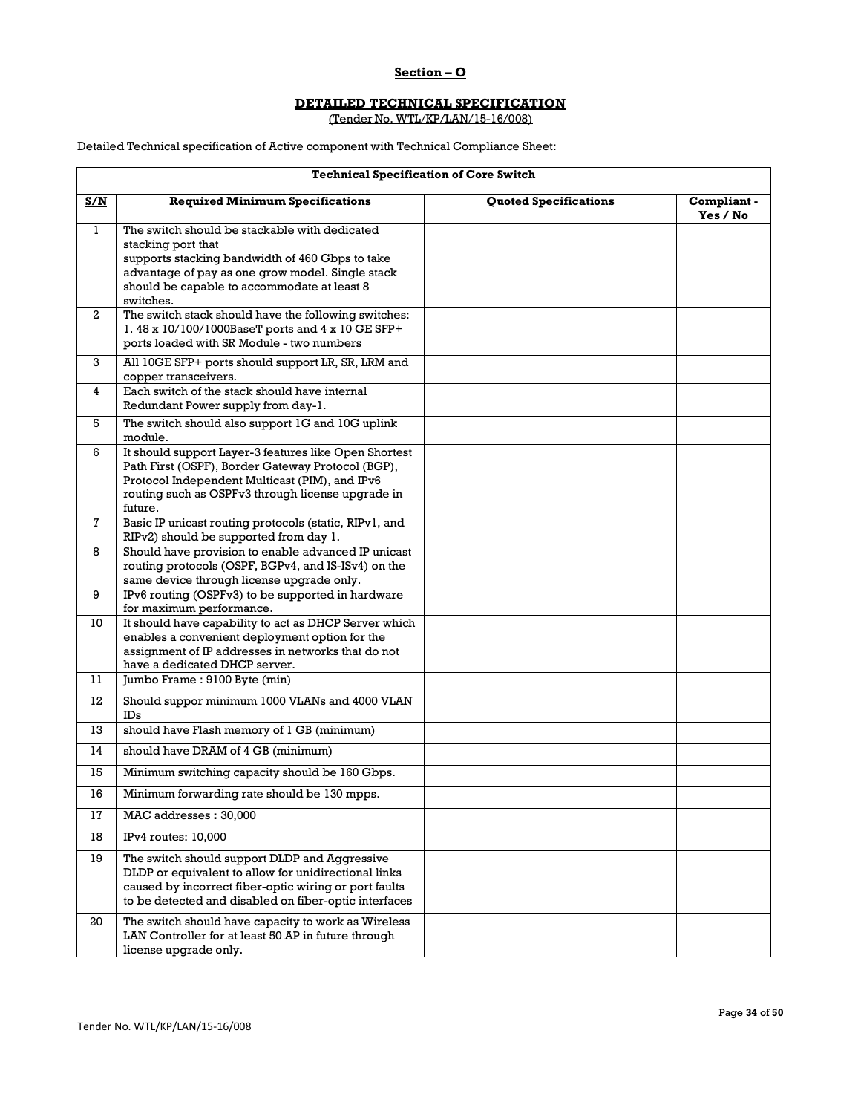## **Section – O**

#### **DETAILED TECHNICAL SPECIFICATION**

(Tender No. WTL/KP/LAN/15-16/008)

Detailed Technical specification of Active component with Technical Compliance Sheet:

Г

|  | <b>Technical Specification of Core Switch</b> |  |  |
|--|-----------------------------------------------|--|--|
|--|-----------------------------------------------|--|--|

| S/N          | <b>Required Minimum Specifications</b>                                                                                                                                                                                                 | <b>Quoted Specifications</b> | Compliant-<br>Yes / No |
|--------------|----------------------------------------------------------------------------------------------------------------------------------------------------------------------------------------------------------------------------------------|------------------------------|------------------------|
| $\mathbf{1}$ | The switch should be stackable with dedicated<br>stacking port that<br>supports stacking bandwidth of 460 Gbps to take<br>advantage of pay as one grow model. Single stack<br>should be capable to accommodate at least 8<br>switches. |                              |                        |
| $\mathbf{2}$ | The switch stack should have the following switches:<br>1.48 x 10/100/1000BaseT ports and 4 x 10 GE SFP+<br>ports loaded with SR Module - two numbers                                                                                  |                              |                        |
| 3            | All 10GE SFP+ ports should support LR, SR, LRM and<br>copper transceivers.                                                                                                                                                             |                              |                        |
| 4            | Each switch of the stack should have internal<br>Redundant Power supply from day-1.                                                                                                                                                    |                              |                        |
| 5            | The switch should also support 1G and 10G uplink<br>module.                                                                                                                                                                            |                              |                        |
| 6            | It should support Layer-3 features like Open Shortest<br>Path First (OSPF), Border Gateway Protocol (BGP),<br>Protocol Independent Multicast (PIM), and IPv6<br>routing such as OSPFv3 through license upgrade in<br>future.           |                              |                        |
| $\mathbf{7}$ | Basic IP unicast routing protocols (static, RIPv1, and<br>RIPv2) should be supported from day 1.                                                                                                                                       |                              |                        |
| 8            | Should have provision to enable advanced IP unicast<br>routing protocols (OSPF, BGPv4, and IS-ISv4) on the<br>same device through license upgrade only.                                                                                |                              |                        |
| 9            | IPv6 routing (OSPFv3) to be supported in hardware<br>for maximum performance.                                                                                                                                                          |                              |                        |
| 10           | It should have capability to act as DHCP Server which<br>enables a convenient deployment option for the<br>assignment of IP addresses in networks that do not<br>have a dedicated DHCP server.                                         |                              |                        |
| 11           | Jumbo Frame: 9100 Byte (min)                                                                                                                                                                                                           |                              |                        |
| 12           | Should suppor minimum 1000 VLANs and 4000 VLAN<br>$_{\rm IDs}$                                                                                                                                                                         |                              |                        |
| 13           | should have Flash memory of 1 GB (minimum)                                                                                                                                                                                             |                              |                        |
| 14           | should have DRAM of 4 GB (minimum)                                                                                                                                                                                                     |                              |                        |
| 15           | Minimum switching capacity should be 160 Gbps.                                                                                                                                                                                         |                              |                        |
| 16           | Minimum forwarding rate should be 130 mpps.                                                                                                                                                                                            |                              |                        |
| 17           | MAC addresses : 30,000                                                                                                                                                                                                                 |                              |                        |
| 18           | IPv4 routes: 10,000                                                                                                                                                                                                                    |                              |                        |
| 19           | The switch should support DLDP and Aggressive<br>DLDP or equivalent to allow for unidirectional links<br>caused by incorrect fiber-optic wiring or port faults<br>to be detected and disabled on fiber-optic interfaces                |                              |                        |
| 20           | The switch should have capacity to work as Wireless<br>LAN Controller for at least 50 AP in future through<br>license upgrade only.                                                                                                    |                              |                        |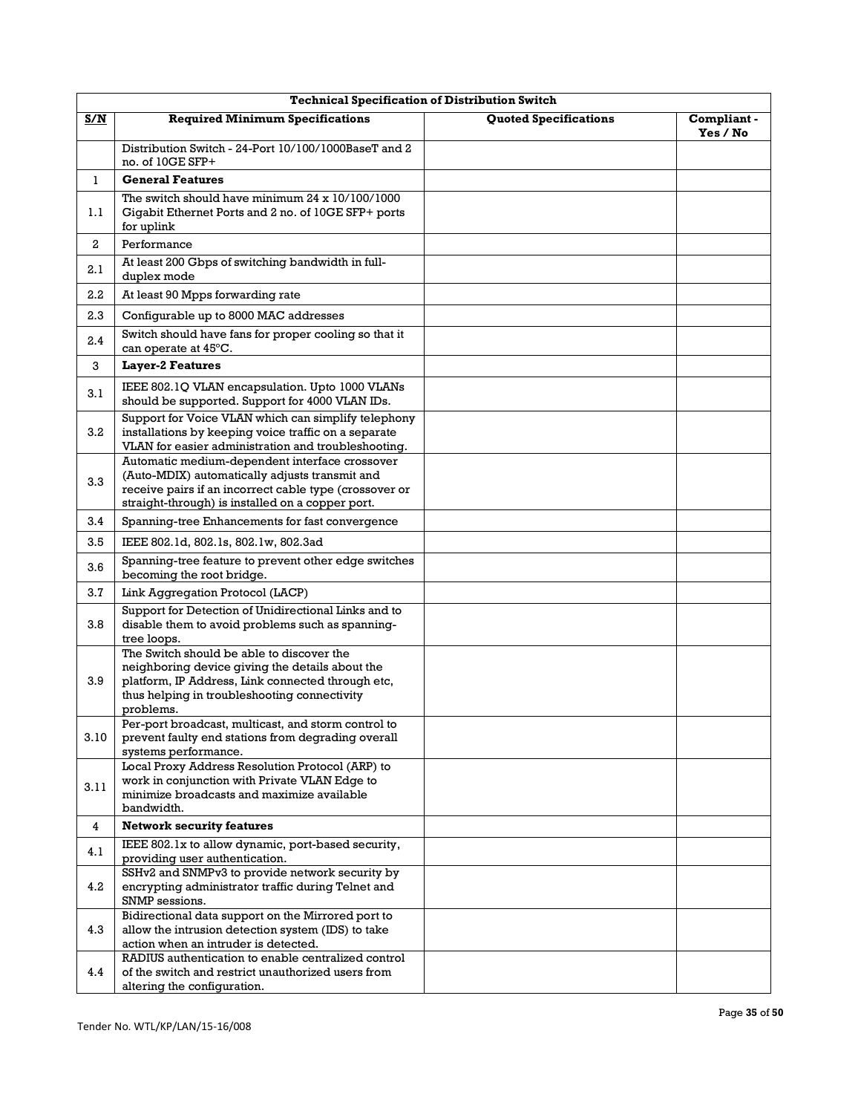|                         | <b>Technical Specification of Distribution Switch</b>                                                                                                                                                          |                              |                         |  |
|-------------------------|----------------------------------------------------------------------------------------------------------------------------------------------------------------------------------------------------------------|------------------------------|-------------------------|--|
| <u>S/N</u>              | <b>Required Minimum Specifications</b>                                                                                                                                                                         | <b>Quoted Specifications</b> | Compliant -<br>Yes / No |  |
|                         | Distribution Switch - 24-Port 10/100/1000BaseT and 2<br>no. of 10GE SFP+                                                                                                                                       |                              |                         |  |
| $\mathbf{1}$            | <b>General Features</b>                                                                                                                                                                                        |                              |                         |  |
| 1.1                     | The switch should have minimum $24 \times 10/100/1000$<br>Gigabit Ethernet Ports and 2 no. of 10GE SFP+ ports<br>for uplink                                                                                    |                              |                         |  |
| 2                       | Performance                                                                                                                                                                                                    |                              |                         |  |
| 2.1                     | At least 200 Gbps of switching bandwidth in full-<br>duplex mode                                                                                                                                               |                              |                         |  |
| 2.2                     | At least 90 Mpps forwarding rate                                                                                                                                                                               |                              |                         |  |
| 2.3                     | Configurable up to 8000 MAC addresses                                                                                                                                                                          |                              |                         |  |
| 2.4                     | Switch should have fans for proper cooling so that it<br>can operate at 45°C.                                                                                                                                  |                              |                         |  |
| 3                       | <b>Layer-2 Features</b>                                                                                                                                                                                        |                              |                         |  |
| 3.1                     | IEEE 802.1Q VLAN encapsulation. Upto 1000 VLANs<br>should be supported. Support for 4000 VLAN IDs.                                                                                                             |                              |                         |  |
| 3.2                     | Support for Voice VLAN which can simplify telephony<br>installations by keeping voice traffic on a separate<br>VLAN for easier administration and troubleshooting.                                             |                              |                         |  |
| 3.3                     | Automatic medium-dependent interface crossover<br>(Auto-MDIX) automatically adjusts transmit and<br>receive pairs if an incorrect cable type (crossover or<br>straight-through) is installed on a copper port. |                              |                         |  |
| 3.4                     | Spanning-tree Enhancements for fast convergence                                                                                                                                                                |                              |                         |  |
| 3.5                     | IEEE 802.1d, 802.1s, 802.1w, 802.3ad                                                                                                                                                                           |                              |                         |  |
| 3.6                     | Spanning-tree feature to prevent other edge switches<br>becoming the root bridge.                                                                                                                              |                              |                         |  |
| 3.7                     | Link Aggregation Protocol (LACP)                                                                                                                                                                               |                              |                         |  |
| 3.8                     | Support for Detection of Unidirectional Links and to<br>disable them to avoid problems such as spanning-<br>tree loops.                                                                                        |                              |                         |  |
| 3.9                     | The Switch should be able to discover the<br>neighboring device giving the details about the<br>platform, IP Address, Link connected through etc,<br>thus helping in troubleshooting connectivity<br>problems. |                              |                         |  |
| 3.10                    | Per-port broadcast, multicast, and storm control to<br>prevent faulty end stations from degrading overall<br>systems performance.                                                                              |                              |                         |  |
| 3.11                    | Local Proxy Address Resolution Protocol (ARP) to<br>work in conjunction with Private VLAN Edge to<br>minimize broadcasts and maximize available<br>bandwidth.                                                  |                              |                         |  |
| $\overline{\mathbf{4}}$ | <b>Network security features</b>                                                                                                                                                                               |                              |                         |  |
| 4.1                     | IEEE 802.1x to allow dynamic, port-based security,<br>providing user authentication.                                                                                                                           |                              |                         |  |
| 4.2                     | SSHv2 and SNMPv3 to provide network security by<br>encrypting administrator traffic during Telnet and<br>SNMP sessions.                                                                                        |                              |                         |  |
| 4.3                     | Bidirectional data support on the Mirrored port to<br>allow the intrusion detection system (IDS) to take<br>action when an intruder is detected.<br>RADIUS authentication to enable centralized control        |                              |                         |  |
| 4.4                     | of the switch and restrict unauthorized users from<br>altering the configuration.                                                                                                                              |                              |                         |  |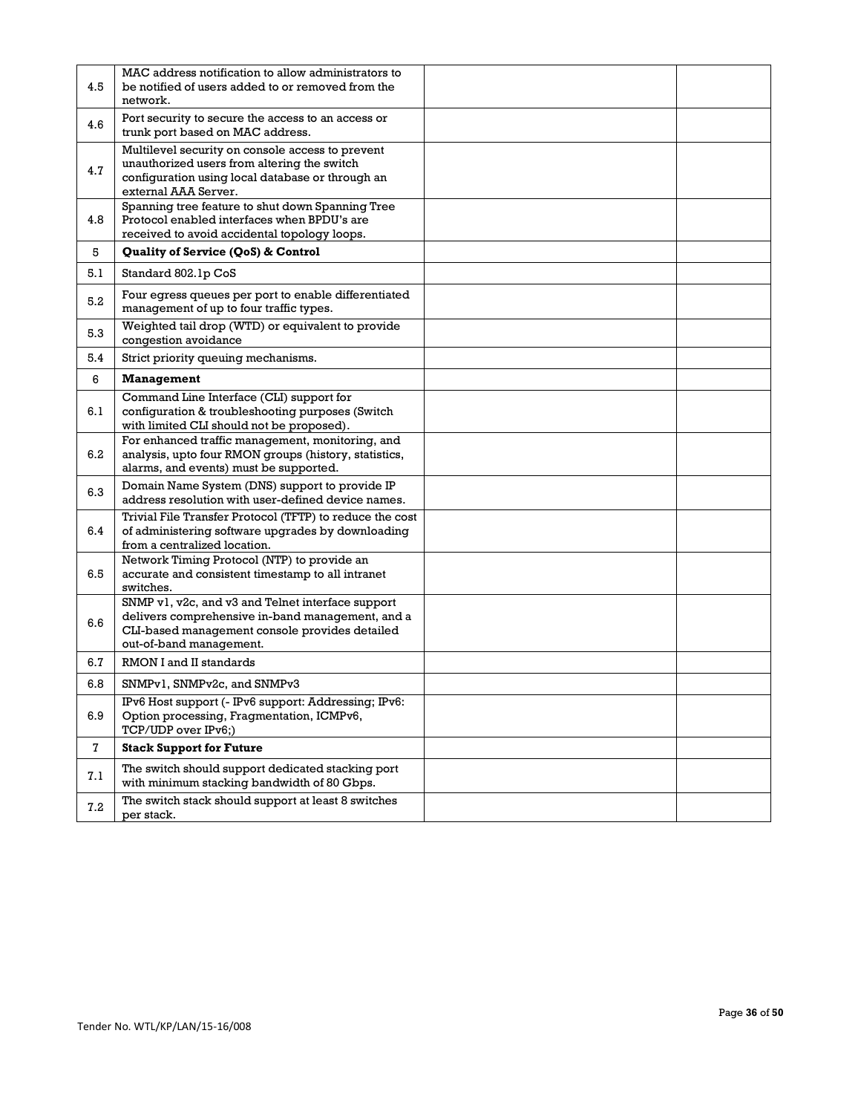| 4.5     | MAC address notification to allow administrators to<br>be notified of users added to or removed from the<br>network.                                                               |  |
|---------|------------------------------------------------------------------------------------------------------------------------------------------------------------------------------------|--|
| 4.6     | Port security to secure the access to an access or<br>trunk port based on MAC address.                                                                                             |  |
| 4.7     | Multilevel security on console access to prevent<br>unauthorized users from altering the switch<br>configuration using local database or through an<br>external AAA Server.        |  |
| 4.8     | Spanning tree feature to shut down Spanning Tree<br>Protocol enabled interfaces when BPDU's are<br>received to avoid accidental topology loops.                                    |  |
| 5       | Quality of Service (QoS) & Control                                                                                                                                                 |  |
| 5.1     | Standard 802.1p CoS                                                                                                                                                                |  |
| 5.2     | Four egress queues per port to enable differentiated<br>management of up to four traffic types.                                                                                    |  |
| 5.3     | Weighted tail drop (WTD) or equivalent to provide<br>congestion avoidance                                                                                                          |  |
| 5.4     | Strict priority queuing mechanisms.                                                                                                                                                |  |
| 6       | <b>Management</b>                                                                                                                                                                  |  |
| 6.1     | Command Line Interface (CLI) support for<br>configuration & troubleshooting purposes (Switch<br>with limited CLI should not be proposed).                                          |  |
| 6.2     | For enhanced traffic management, monitoring, and<br>analysis, upto four RMON groups (history, statistics,<br>alarms, and events) must be supported.                                |  |
| 6.3     | Domain Name System (DNS) support to provide IP<br>address resolution with user-defined device names.                                                                               |  |
| 6.4     | Trivial File Transfer Protocol (TFTP) to reduce the cost<br>of administering software upgrades by downloading<br>from a centralized location.                                      |  |
| 6.5     | Network Timing Protocol (NTP) to provide an<br>accurate and consistent timestamp to all intranet<br>switches.                                                                      |  |
| 6.6     | SNMP v1, v2c, and v3 and Telnet interface support<br>delivers comprehensive in-band management, and a<br>CLI-based management console provides detailed<br>out-of-band management. |  |
| 6.7     | RMON I and II standards                                                                                                                                                            |  |
| 6.8     | SNMPv1, SNMPv2c, and SNMPv3                                                                                                                                                        |  |
| 6.9     | IPv6 Host support (- IPv6 support: Addressing; IPv6:<br>Option processing, Fragmentation, ICMPv6,<br>TCP/UDP over IPv6;)                                                           |  |
| 7       | <b>Stack Support for Future</b>                                                                                                                                                    |  |
| $7.1\,$ | The switch should support dedicated stacking port<br>with minimum stacking bandwidth of 80 Gbps.                                                                                   |  |
| 7.2     | The switch stack should support at least 8 switches<br>per stack.                                                                                                                  |  |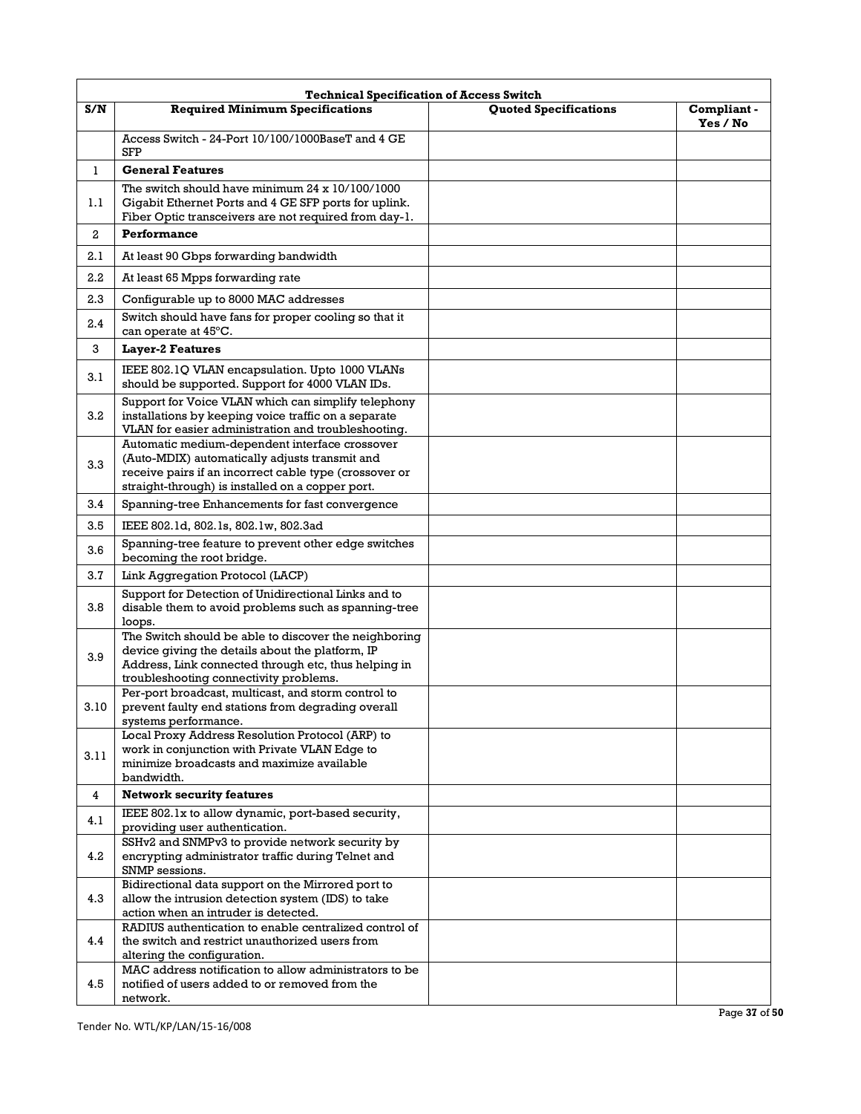|                | <b>Technical Specification of Access Switch</b>                                                                                                                                                                |                       |                         |  |
|----------------|----------------------------------------------------------------------------------------------------------------------------------------------------------------------------------------------------------------|-----------------------|-------------------------|--|
| S/N            | <b>Required Minimum Specifications</b>                                                                                                                                                                         | Quoted Specifications | Compliant -<br>Yes / No |  |
|                | Access Switch - 24-Port 10/100/1000BaseT and 4 GE<br><b>SFP</b>                                                                                                                                                |                       |                         |  |
| $\mathbf{1}$   | <b>General Features</b>                                                                                                                                                                                        |                       |                         |  |
| 1.1            | The switch should have minimum $24 \times 10/100/1000$<br>Gigabit Ethernet Ports and 4 GE SFP ports for uplink.<br>Fiber Optic transceivers are not required from day-1.                                       |                       |                         |  |
| $\overline{a}$ | Performance                                                                                                                                                                                                    |                       |                         |  |
| 2.1            | At least 90 Gbps forwarding bandwidth                                                                                                                                                                          |                       |                         |  |
| $2.2\,$        | At least 65 Mpps forwarding rate                                                                                                                                                                               |                       |                         |  |
| 2.3            | Configurable up to 8000 MAC addresses                                                                                                                                                                          |                       |                         |  |
| 2.4            | Switch should have fans for proper cooling so that it<br>can operate at 45°C.                                                                                                                                  |                       |                         |  |
| 3              | <b>Layer-2 Features</b>                                                                                                                                                                                        |                       |                         |  |
| 3.1            | IEEE 802.1Q VLAN encapsulation. Upto 1000 VLANs<br>should be supported. Support for 4000 VLAN IDs.                                                                                                             |                       |                         |  |
| 3.2            | Support for Voice VLAN which can simplify telephony<br>installations by keeping voice traffic on a separate<br>VLAN for easier administration and troubleshooting.                                             |                       |                         |  |
| 3.3            | Automatic medium-dependent interface crossover<br>(Auto-MDIX) automatically adjusts transmit and<br>receive pairs if an incorrect cable type (crossover or<br>straight-through) is installed on a copper port. |                       |                         |  |
| 3.4            | Spanning-tree Enhancements for fast convergence                                                                                                                                                                |                       |                         |  |
| 3.5            | IEEE 802.1d, 802.1s, 802.1w, 802.3ad                                                                                                                                                                           |                       |                         |  |
| 3.6            | Spanning-tree feature to prevent other edge switches<br>becoming the root bridge.                                                                                                                              |                       |                         |  |
| 3.7            | Link Aggregation Protocol (LACP)                                                                                                                                                                               |                       |                         |  |
| 3.8            | Support for Detection of Unidirectional Links and to<br>disable them to avoid problems such as spanning-tree<br>loops.                                                                                         |                       |                         |  |
| 3.9            | The Switch should be able to discover the neighboring<br>device giving the details about the platform, IP<br>Address, Link connected through etc, thus helping in<br>troubleshooting connectivity problems.    |                       |                         |  |
| 3.10           | Per-port broadcast, multicast, and storm control to<br>prevent faulty end stations from degrading overall<br>systems performance.                                                                              |                       |                         |  |
| 3.11           | Local Proxy Address Resolution Protocol (ARP) to<br>work in conjunction with Private VLAN Edge to<br>minimize broadcasts and maximize available<br>bandwidth.                                                  |                       |                         |  |
| 4              | <b>Network security features</b>                                                                                                                                                                               |                       |                         |  |
| 4.1            | IEEE 802.1x to allow dynamic, port-based security,<br>providing user authentication.                                                                                                                           |                       |                         |  |
| 4.2            | SSHv2 and SNMPv3 to provide network security by<br>encrypting administrator traffic during Telnet and<br>SNMP sessions.                                                                                        |                       |                         |  |
| 4.3            | Bidirectional data support on the Mirrored port to<br>allow the intrusion detection system (IDS) to take<br>action when an intruder is detected.                                                               |                       |                         |  |
| 4.4            | RADIUS authentication to enable centralized control of<br>the switch and restrict unauthorized users from<br>altering the configuration.                                                                       |                       |                         |  |
| 4.5            | MAC address notification to allow administrators to be<br>notified of users added to or removed from the<br>network.                                                                                           |                       |                         |  |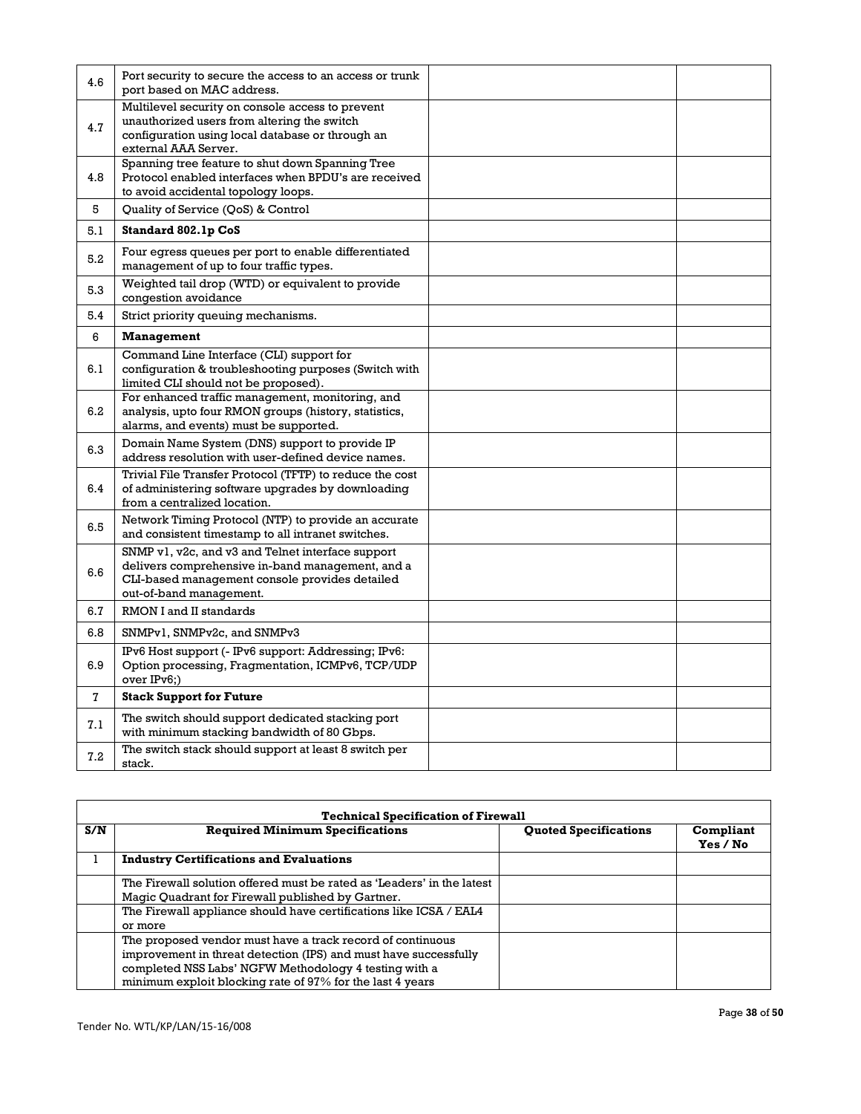| 4.6          | Port security to secure the access to an access or trunk<br>port based on MAC address.                                                                                             |  |
|--------------|------------------------------------------------------------------------------------------------------------------------------------------------------------------------------------|--|
| 4.7          | Multilevel security on console access to prevent<br>unauthorized users from altering the switch<br>configuration using local database or through an<br>external AAA Server.        |  |
| 4.8          | Spanning tree feature to shut down Spanning Tree<br>Protocol enabled interfaces when BPDU's are received<br>to avoid accidental topology loops.                                    |  |
| 5            | Quality of Service (QoS) & Control                                                                                                                                                 |  |
| 5.1          | Standard 802.1p CoS                                                                                                                                                                |  |
| 5.2          | Four egress queues per port to enable differentiated<br>management of up to four traffic types.                                                                                    |  |
| 5.3          | Weighted tail drop (WTD) or equivalent to provide<br>congestion avoidance                                                                                                          |  |
| 5.4          | Strict priority queuing mechanisms.                                                                                                                                                |  |
| 6            | <b>Management</b>                                                                                                                                                                  |  |
| 6.1          | Command Line Interface (CLI) support for<br>configuration & troubleshooting purposes (Switch with<br>limited CLI should not be proposed).                                          |  |
| 6.2          | For enhanced traffic management, monitoring, and<br>analysis, upto four RMON groups (history, statistics,<br>alarms, and events) must be supported.                                |  |
| 6.3          | Domain Name System (DNS) support to provide IP<br>address resolution with user-defined device names.                                                                               |  |
| 6.4          | Trivial File Transfer Protocol (TFTP) to reduce the cost<br>of administering software upgrades by downloading<br>from a centralized location.                                      |  |
| 6.5          | Network Timing Protocol (NTP) to provide an accurate<br>and consistent timestamp to all intranet switches.                                                                         |  |
| 6.6          | SNMP v1, v2c, and v3 and Telnet interface support<br>delivers comprehensive in-band management, and a<br>CLI-based management console provides detailed<br>out-of-band management. |  |
| 6.7          | RMON I and II standards                                                                                                                                                            |  |
| 6.8          | SNMPv1, SNMPv2c, and SNMPv3                                                                                                                                                        |  |
| 6.9          | IPv6 Host support (- IPv6 support: Addressing; IPv6:<br>Option processing, Fragmentation, ICMPv6, TCP/UDP<br>over IPv6;)                                                           |  |
| $\mathbf{7}$ | <b>Stack Support for Future</b>                                                                                                                                                    |  |
| 7.1          | The switch should support dedicated stacking port<br>with minimum stacking bandwidth of 80 Gbps.                                                                                   |  |
| 7.2          | The switch stack should support at least 8 switch per<br>stack.                                                                                                                    |  |

|     | <b>Technical Specification of Firewall</b>                                                                                                                                                                                                           |                              |                       |  |
|-----|------------------------------------------------------------------------------------------------------------------------------------------------------------------------------------------------------------------------------------------------------|------------------------------|-----------------------|--|
| S/N | <b>Required Minimum Specifications</b>                                                                                                                                                                                                               | <b>Quoted Specifications</b> | Compliant<br>Yes / No |  |
|     | <b>Industry Certifications and Evaluations</b>                                                                                                                                                                                                       |                              |                       |  |
|     | The Firewall solution offered must be rated as 'Leaders' in the latest<br>Magic Quadrant for Firewall published by Gartner.                                                                                                                          |                              |                       |  |
|     | The Firewall appliance should have certifications like ICSA / EAL4<br>or more                                                                                                                                                                        |                              |                       |  |
|     | The proposed vendor must have a track record of continuous<br>improvement in threat detection (IPS) and must have successfully<br>completed NSS Labs' NGFW Methodology 4 testing with a<br>minimum exploit blocking rate of 97% for the last 4 years |                              |                       |  |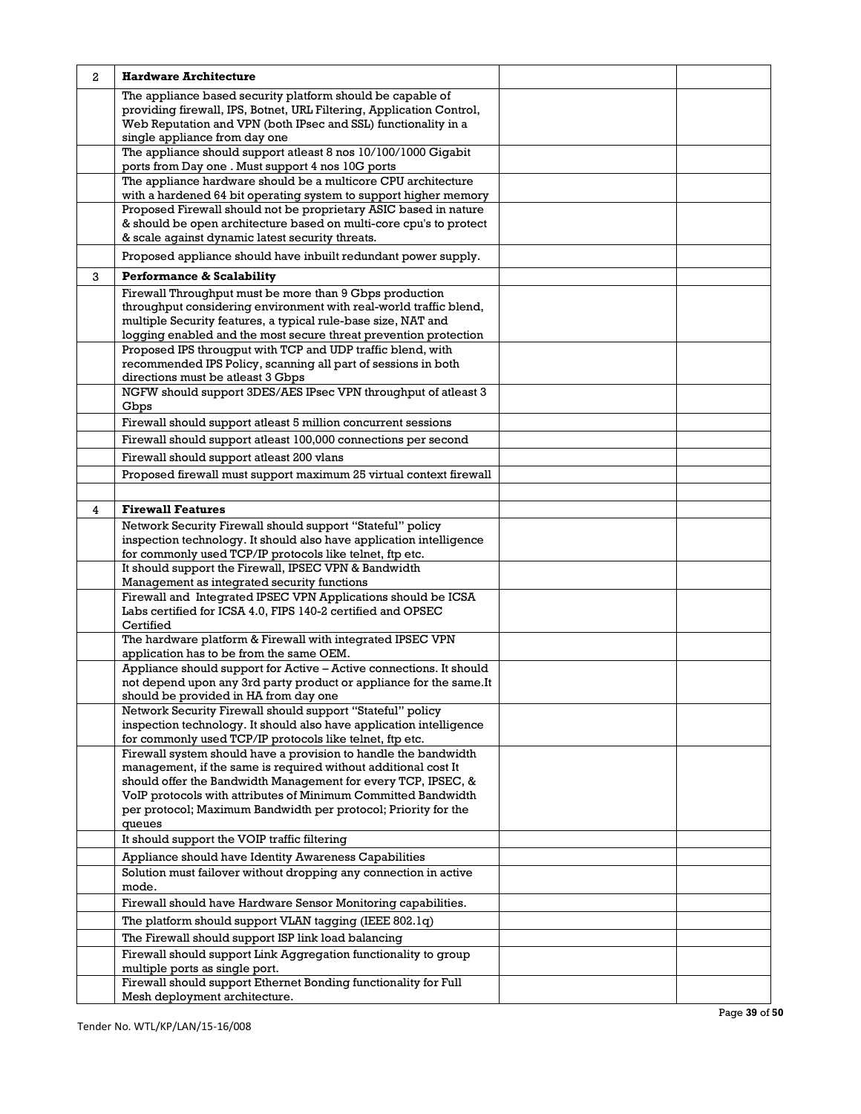| 2 | <b>Hardware Architecture</b>                                                                                                                                                                                                                                                                                                                    |  |
|---|-------------------------------------------------------------------------------------------------------------------------------------------------------------------------------------------------------------------------------------------------------------------------------------------------------------------------------------------------|--|
|   | The appliance based security platform should be capable of<br>providing firewall, IPS, Botnet, URL Filtering, Application Control,<br>Web Reputation and VPN (both IPsec and SSL) functionality in a<br>single appliance from day one                                                                                                           |  |
|   | The appliance should support atleast 8 nos 10/100/1000 Gigabit<br>ports from Day one . Must support 4 nos 10G ports                                                                                                                                                                                                                             |  |
|   | The appliance hardware should be a multicore CPU architecture                                                                                                                                                                                                                                                                                   |  |
|   | with a hardened 64 bit operating system to support higher memory                                                                                                                                                                                                                                                                                |  |
|   | Proposed Firewall should not be proprietary ASIC based in nature<br>& should be open architecture based on multi-core cpu's to protect<br>& scale against dynamic latest security threats.                                                                                                                                                      |  |
|   | Proposed appliance should have inbuilt redundant power supply.                                                                                                                                                                                                                                                                                  |  |
| 3 | Performance & Scalability                                                                                                                                                                                                                                                                                                                       |  |
|   | Firewall Throughput must be more than 9 Gbps production<br>throughput considering environment with real-world traffic blend,<br>multiple Security features, a typical rule-base size, NAT and<br>logging enabled and the most secure threat prevention protection                                                                               |  |
|   | Proposed IPS througput with TCP and UDP traffic blend, with<br>recommended IPS Policy, scanning all part of sessions in both<br>directions must be atleast 3 Gbps                                                                                                                                                                               |  |
|   | NGFW should support 3DES/AES IPsec VPN throughput of atleast 3<br>Gbps                                                                                                                                                                                                                                                                          |  |
|   | Firewall should support atleast 5 million concurrent sessions                                                                                                                                                                                                                                                                                   |  |
|   | Firewall should support atleast 100,000 connections per second                                                                                                                                                                                                                                                                                  |  |
|   | Firewall should support atleast 200 vlans                                                                                                                                                                                                                                                                                                       |  |
|   | Proposed firewall must support maximum 25 virtual context firewall                                                                                                                                                                                                                                                                              |  |
|   |                                                                                                                                                                                                                                                                                                                                                 |  |
| 4 | <b>Firewall Features</b>                                                                                                                                                                                                                                                                                                                        |  |
|   | Network Security Firewall should support "Stateful" policy<br>inspection technology. It should also have application intelligence<br>for commonly used TCP/IP protocols like telnet, ftp etc.                                                                                                                                                   |  |
|   | It should support the Firewall, IPSEC VPN & Bandwidth<br>Management as integrated security functions                                                                                                                                                                                                                                            |  |
|   | Firewall and Integrated IPSEC VPN Applications should be ICSA<br>Labs certified for ICSA 4.0, FIPS 140-2 certified and OPSEC<br>Certified                                                                                                                                                                                                       |  |
|   | The hardware platform & Firewall with integrated IPSEC VPN<br>application has to be from the same OEM.                                                                                                                                                                                                                                          |  |
|   | Appliance should support for Active - Active connections. It should<br>not depend upon any 3rd party product or appliance for the same. It<br>should be provided in HA from day one                                                                                                                                                             |  |
|   | Network Security Firewall should support "Stateful" policy<br>inspection technology. It should also have application intelligence<br>for commonly used TCP/IP protocols like telnet, ftp etc.                                                                                                                                                   |  |
|   | Firewall system should have a provision to handle the bandwidth<br>management, if the same is required without additional cost It<br>should offer the Bandwidth Management for every TCP, IPSEC, &<br>VoIP protocols with attributes of Minimum Committed Bandwidth<br>per protocol; Maximum Bandwidth per protocol; Priority for the<br>queues |  |
|   | It should support the VOIP traffic filtering                                                                                                                                                                                                                                                                                                    |  |
|   | Appliance should have Identity Awareness Capabilities                                                                                                                                                                                                                                                                                           |  |
|   | Solution must failover without dropping any connection in active<br>mode.                                                                                                                                                                                                                                                                       |  |
|   | Firewall should have Hardware Sensor Monitoring capabilities.                                                                                                                                                                                                                                                                                   |  |
|   | The platform should support VLAN tagging (IEEE 802.1q)                                                                                                                                                                                                                                                                                          |  |
|   | The Firewall should support ISP link load balancing                                                                                                                                                                                                                                                                                             |  |
|   | Firewall should support Link Aggregation functionality to group<br>multiple ports as single port.                                                                                                                                                                                                                                               |  |
|   | Firewall should support Ethernet Bonding functionality for Full<br>Mesh deployment architecture.                                                                                                                                                                                                                                                |  |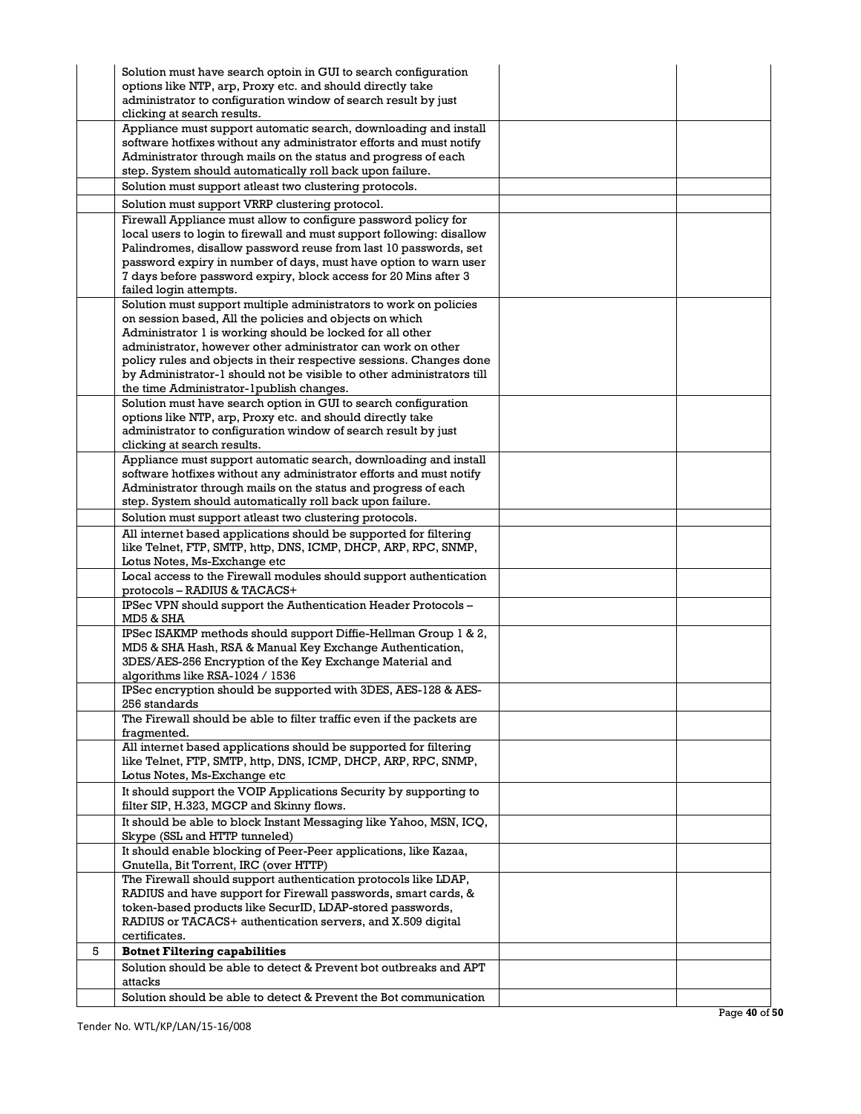|   | Solution must have search optoin in GUI to search configuration<br>options like NTP, arp, Proxy etc. and should directly take |  |
|---|-------------------------------------------------------------------------------------------------------------------------------|--|
|   | administrator to configuration window of search result by just                                                                |  |
|   | clicking at search results.                                                                                                   |  |
|   | Appliance must support automatic search, downloading and install                                                              |  |
|   | software hotfixes without any administrator efforts and must notify                                                           |  |
|   | Administrator through mails on the status and progress of each                                                                |  |
|   | step. System should automatically roll back upon failure.                                                                     |  |
|   | Solution must support atleast two clustering protocols.                                                                       |  |
|   | Solution must support VRRP clustering protocol.                                                                               |  |
|   | Firewall Appliance must allow to configure password policy for                                                                |  |
|   | local users to login to firewall and must support following: disallow                                                         |  |
|   | Palindromes, disallow password reuse from last 10 passwords, set                                                              |  |
|   | password expiry in number of days, must have option to warn user                                                              |  |
|   | 7 days before password expiry, block access for 20 Mins after 3                                                               |  |
|   | failed login attempts.<br>Solution must support multiple administrators to work on policies                                   |  |
|   | on session based, All the policies and objects on which                                                                       |  |
|   | Administrator 1 is working should be locked for all other                                                                     |  |
|   | administrator, however other administrator can work on other                                                                  |  |
|   | policy rules and objects in their respective sessions. Changes done                                                           |  |
|   | by Administrator-1 should not be visible to other administrators till                                                         |  |
|   | the time Administrator-1publish changes.                                                                                      |  |
|   | Solution must have search option in GUI to search configuration                                                               |  |
|   | options like NTP, arp, Proxy etc. and should directly take                                                                    |  |
|   | administrator to configuration window of search result by just                                                                |  |
|   | clicking at search results.                                                                                                   |  |
|   | Appliance must support automatic search, downloading and install                                                              |  |
|   | software hotfixes without any administrator efforts and must notify                                                           |  |
|   | Administrator through mails on the status and progress of each<br>step. System should automatically roll back upon failure.   |  |
|   | Solution must support atleast two clustering protocols.                                                                       |  |
|   | All internet based applications should be supported for filtering                                                             |  |
|   | like Telnet, FTP, SMTP, http, DNS, ICMP, DHCP, ARP, RPC, SNMP,                                                                |  |
|   | Lotus Notes, Ms-Exchange etc                                                                                                  |  |
|   | Local access to the Firewall modules should support authentication                                                            |  |
|   | protocols - RADIUS & TACACS+                                                                                                  |  |
|   | IPSec VPN should support the Authentication Header Protocols -                                                                |  |
|   | MD5 & SHA                                                                                                                     |  |
|   | IPSec ISAKMP methods should support Diffie-Hellman Group 1 & 2,                                                               |  |
|   | MD5 & SHA Hash, RSA & Manual Key Exchange Authentication,                                                                     |  |
|   | 3DES/AES-256 Encryption of the Key Exchange Material and                                                                      |  |
|   | algorithms like RSA-1024 / 1536                                                                                               |  |
|   | IPSec encryption should be supported with 3DES, AES-128 & AES-<br>256 standards                                               |  |
|   | The Firewall should be able to filter traffic even if the packets are                                                         |  |
|   | fragmented.                                                                                                                   |  |
|   | All internet based applications should be supported for filtering                                                             |  |
|   | like Telnet, FTP, SMTP, http, DNS, ICMP, DHCP, ARP, RPC, SNMP,                                                                |  |
|   | Lotus Notes, Ms-Exchange etc                                                                                                  |  |
|   | It should support the VOIP Applications Security by supporting to                                                             |  |
|   | filter SIP, H.323, MGCP and Skinny flows.                                                                                     |  |
|   | It should be able to block Instant Messaging like Yahoo, MSN, ICQ,                                                            |  |
|   | Skype (SSL and HTTP tunneled)                                                                                                 |  |
|   | It should enable blocking of Peer-Peer applications, like Kazaa,                                                              |  |
|   | Gnutella, Bit Torrent, IRC (over HTTP)                                                                                        |  |
|   | The Firewall should support authentication protocols like LDAP,                                                               |  |
|   | RADIUS and have support for Firewall passwords, smart cards, &<br>token-based products like SecurID, LDAP-stored passwords,   |  |
|   | RADIUS or TACACS+ authentication servers, and X.509 digital                                                                   |  |
|   | certificates.                                                                                                                 |  |
| 5 | <b>Botnet Filtering capabilities</b>                                                                                          |  |
|   | Solution should be able to detect & Prevent bot outbreaks and APT                                                             |  |
|   | attacks                                                                                                                       |  |
|   | Solution should be able to detect & Prevent the Bot communication                                                             |  |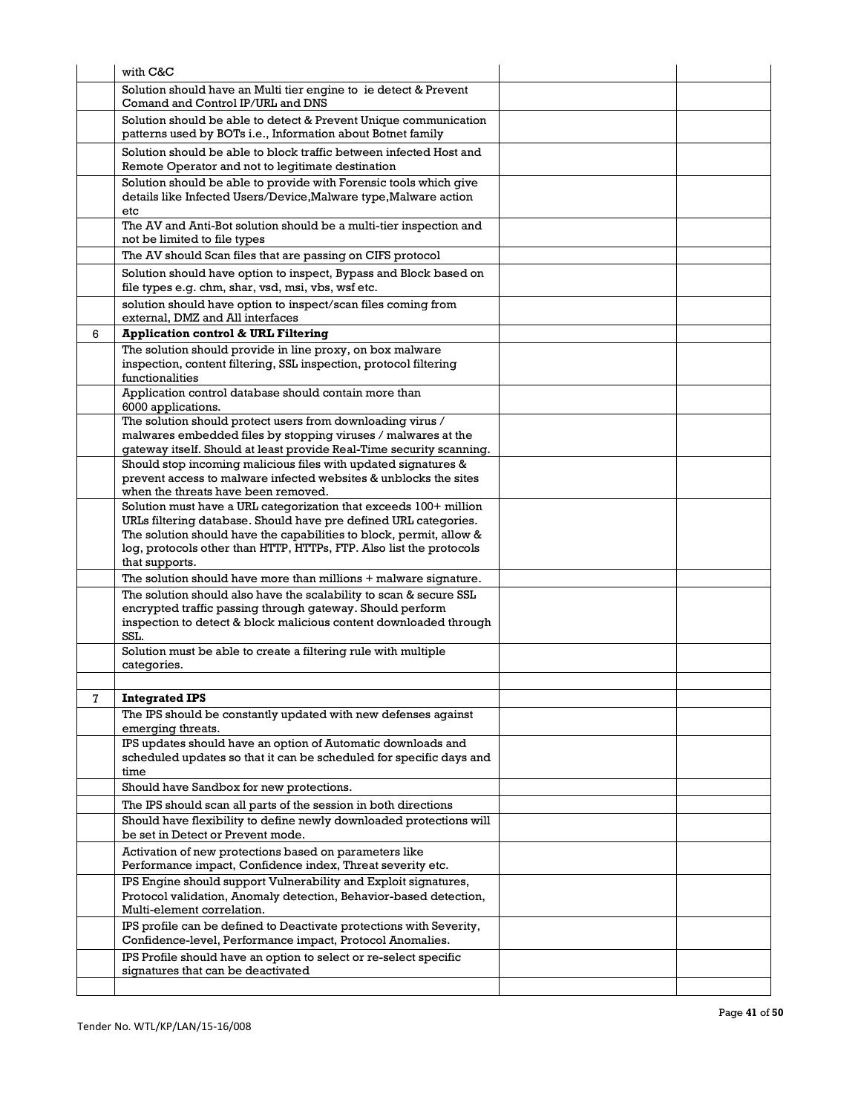|   | with C&C                                                                                                                                                           |  |
|---|--------------------------------------------------------------------------------------------------------------------------------------------------------------------|--|
|   | Solution should have an Multi tier engine to ie detect & Prevent                                                                                                   |  |
|   | Comand and Control IP/URL and DNS                                                                                                                                  |  |
|   | Solution should be able to detect & Prevent Unique communication<br>patterns used by BOTs i.e., Information about Botnet family                                    |  |
|   | Solution should be able to block traffic between infected Host and<br>Remote Operator and not to legitimate destination                                            |  |
|   | Solution should be able to provide with Forensic tools which give<br>details like Infected Users/Device, Malware type, Malware action                              |  |
|   | etc                                                                                                                                                                |  |
|   | The AV and Anti-Bot solution should be a multi-tier inspection and<br>not be limited to file types                                                                 |  |
|   | The AV should Scan files that are passing on CIFS protocol                                                                                                         |  |
|   | Solution should have option to inspect, Bypass and Block based on<br>file types e.g. chm, shar, vsd, msi, vbs, wsf etc.                                            |  |
|   | solution should have option to inspect/scan files coming from                                                                                                      |  |
|   | external, DMZ and All interfaces                                                                                                                                   |  |
| 6 | <b>Application control &amp; URL Filtering</b>                                                                                                                     |  |
|   | The solution should provide in line proxy, on box malware<br>inspection, content filtering, SSL inspection, protocol filtering<br>functionalities                  |  |
|   | Application control database should contain more than<br>6000 applications.                                                                                        |  |
|   | The solution should protect users from downloading virus /                                                                                                         |  |
|   | malwares embedded files by stopping viruses / malwares at the<br>gateway itself. Should at least provide Real-Time security scanning.                              |  |
|   | Should stop incoming malicious files with updated signatures &                                                                                                     |  |
|   | prevent access to malware infected websites & unblocks the sites                                                                                                   |  |
|   | when the threats have been removed.                                                                                                                                |  |
|   | Solution must have a URL categorization that exceeds 100+ million<br>URLs filtering database. Should have pre defined URL categories.                              |  |
|   | The solution should have the capabilities to block, permit, allow &                                                                                                |  |
|   | log, protocols other than HTTP, HTTPs, FTP. Also list the protocols<br>that supports.                                                                              |  |
|   | The solution should have more than millions + malware signature.                                                                                                   |  |
|   | The solution should also have the scalability to scan & secure SSL                                                                                                 |  |
|   | encrypted traffic passing through gateway. Should perform                                                                                                          |  |
|   | inspection to detect & block malicious content downloaded through<br>SSL.                                                                                          |  |
|   | Solution must be able to create a filtering rule with multiple<br>categories.                                                                                      |  |
|   |                                                                                                                                                                    |  |
| 7 | <b>Integrated IPS</b>                                                                                                                                              |  |
|   | The IPS should be constantly updated with new defenses against<br>emerging threats.                                                                                |  |
|   | IPS updates should have an option of Automatic downloads and<br>scheduled updates so that it can be scheduled for specific days and                                |  |
|   | time                                                                                                                                                               |  |
|   | Should have Sandbox for new protections.                                                                                                                           |  |
|   | The IPS should scan all parts of the session in both directions                                                                                                    |  |
|   | Should have flexibility to define newly downloaded protections will                                                                                                |  |
|   | be set in Detect or Prevent mode.                                                                                                                                  |  |
|   | Activation of new protections based on parameters like<br>Performance impact, Confidence index, Threat severity etc.                                               |  |
|   | IPS Engine should support Vulnerability and Exploit signatures,<br>Protocol validation, Anomaly detection, Behavior-based detection,<br>Multi-element correlation. |  |
|   | IPS profile can be defined to Deactivate protections with Severity,<br>Confidence-level, Performance impact, Protocol Anomalies.                                   |  |
|   | IPS Profile should have an option to select or re-select specific                                                                                                  |  |
|   | signatures that can be deactivated                                                                                                                                 |  |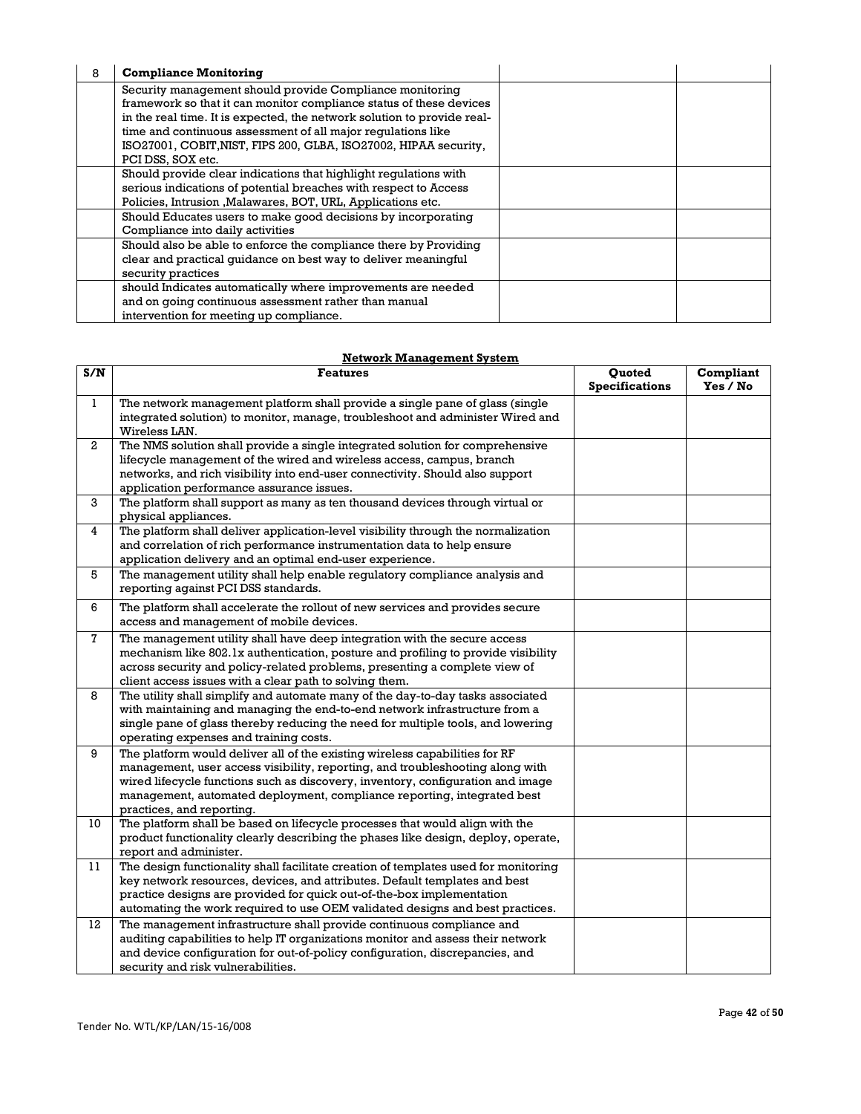| 8 | <b>Compliance Monitoring</b>                                                                                                                                                                                                                                                                                                                                        |  |
|---|---------------------------------------------------------------------------------------------------------------------------------------------------------------------------------------------------------------------------------------------------------------------------------------------------------------------------------------------------------------------|--|
|   | Security management should provide Compliance monitoring<br>framework so that it can monitor compliance status of these devices<br>in the real time. It is expected, the network solution to provide real-<br>time and continuous assessment of all major regulations like<br>ISO27001, COBIT, NIST, FIPS 200, GLBA, ISO27002, HIPAA security,<br>PCI DSS, SOX etc. |  |
|   | Should provide clear indications that highlight regulations with<br>serious indications of potential breaches with respect to Access<br>Policies, Intrusion, Malawares, BOT, URL, Applications etc.                                                                                                                                                                 |  |
|   | Should Educates users to make good decisions by incorporating<br>Compliance into daily activities                                                                                                                                                                                                                                                                   |  |
|   | Should also be able to enforce the compliance there by Providing<br>clear and practical quidance on best way to deliver meaningful<br>security practices                                                                                                                                                                                                            |  |
|   | should Indicates automatically where improvements are needed<br>and on going continuous assessment rather than manual<br>intervention for meeting up compliance.                                                                                                                                                                                                    |  |

## **Network Management System**

| S/N            | <b>Features</b>                                                                                                                                                                                                                                                                                                                                         | Quoted<br><b>Specifications</b> | Compliant<br>Yes / No |
|----------------|---------------------------------------------------------------------------------------------------------------------------------------------------------------------------------------------------------------------------------------------------------------------------------------------------------------------------------------------------------|---------------------------------|-----------------------|
| $\mathbf{1}$   | The network management platform shall provide a single pane of glass (single<br>integrated solution) to monitor, manage, troubleshoot and administer Wired and<br>Wireless LAN.                                                                                                                                                                         |                                 |                       |
| $\overline{a}$ | The NMS solution shall provide a single integrated solution for comprehensive<br>lifecycle management of the wired and wireless access, campus, branch<br>networks, and rich visibility into end-user connectivity. Should also support<br>application performance assurance issues.                                                                    |                                 |                       |
| 3              | The platform shall support as many as ten thousand devices through virtual or<br>physical appliances.                                                                                                                                                                                                                                                   |                                 |                       |
| 4              | The platform shall deliver application-level visibility through the normalization<br>and correlation of rich performance instrumentation data to help ensure<br>application delivery and an optimal end-user experience.                                                                                                                                |                                 |                       |
| 5              | The management utility shall help enable regulatory compliance analysis and<br>reporting against PCI DSS standards.                                                                                                                                                                                                                                     |                                 |                       |
| 6              | The platform shall accelerate the rollout of new services and provides secure<br>access and management of mobile devices.                                                                                                                                                                                                                               |                                 |                       |
| $\mathbf{7}$   | The management utility shall have deep integration with the secure access<br>mechanism like 802.1x authentication, posture and profiling to provide visibility<br>across security and policy-related problems, presenting a complete view of<br>client access issues with a clear path to solving them.                                                 |                                 |                       |
| 8              | The utility shall simplify and automate many of the day-to-day tasks associated<br>with maintaining and managing the end-to-end network infrastructure from a<br>single pane of glass thereby reducing the need for multiple tools, and lowering<br>operating expenses and training costs.                                                              |                                 |                       |
| 9              | The platform would deliver all of the existing wireless capabilities for RF<br>management, user access visibility, reporting, and troubleshooting along with<br>wired lifecycle functions such as discovery, inventory, configuration and image<br>management, automated deployment, compliance reporting, integrated best<br>practices, and reporting. |                                 |                       |
| 10             | The platform shall be based on lifecycle processes that would align with the<br>product functionality clearly describing the phases like design, deploy, operate,<br>report and administer.                                                                                                                                                             |                                 |                       |
| 11             | The design functionality shall facilitate creation of templates used for monitoring<br>key network resources, devices, and attributes. Default templates and best<br>practice designs are provided for quick out-of-the-box implementation<br>automating the work required to use OEM validated designs and best practices.                             |                                 |                       |
| 12             | The management infrastructure shall provide continuous compliance and<br>auditing capabilities to help IT organizations monitor and assess their network<br>and device configuration for out-of-policy configuration, discrepancies, and<br>security and risk vulnerabilities.                                                                          |                                 |                       |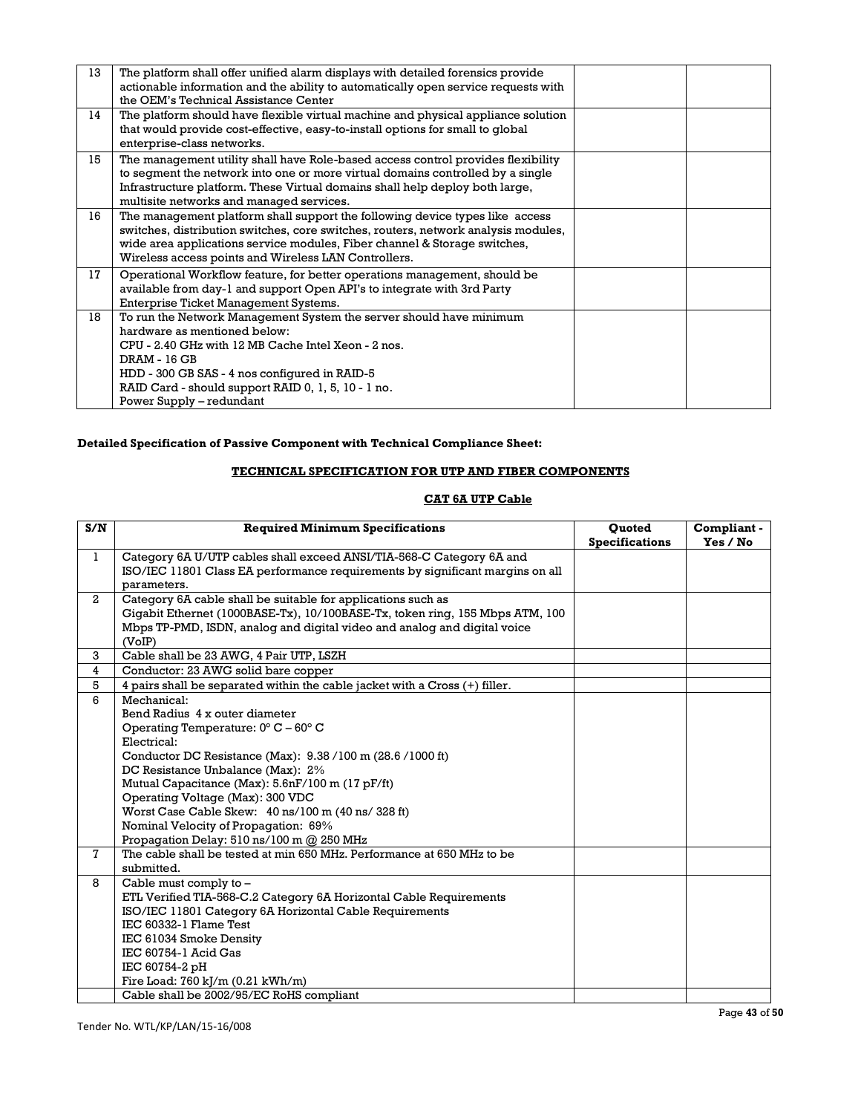| 13 | The platform shall offer unified alarm displays with detailed forensics provide<br>actionable information and the ability to automatically open service requests with<br>the OEM's Technical Assistance Center                                                                                                 |  |
|----|----------------------------------------------------------------------------------------------------------------------------------------------------------------------------------------------------------------------------------------------------------------------------------------------------------------|--|
| 14 | The platform should have flexible virtual machine and physical appliance solution<br>that would provide cost-effective, easy-to-install options for small to global<br>enterprise-class networks.                                                                                                              |  |
| 15 | The management utility shall have Role-based access control provides flexibility<br>to segment the network into one or more virtual domains controlled by a single<br>Infrastructure platform. These Virtual domains shall help deploy both large,<br>multisite networks and managed services.                 |  |
| 16 | The management platform shall support the following device types like access<br>switches, distribution switches, core switches, routers, network analysis modules,<br>wide area applications service modules, Fiber channel & Storage switches,<br>Wireless access points and Wireless LAN Controllers.        |  |
| 17 | Operational Workflow feature, for better operations management, should be<br>available from day-1 and support Open API's to integrate with 3rd Party<br>Enterprise Ticket Management Systems.                                                                                                                  |  |
| 18 | To run the Network Management System the server should have minimum<br>hardware as mentioned below:<br>CPU - 2.40 GHz with 12 MB Cache Intel Xeon - 2 nos.<br>DRAM - 16 GB<br>HDD - 300 GB SAS - 4 nos configured in RAID-5<br>RAID Card - should support RAID 0, 1, 5, 10 - 1 no.<br>Power Supply - redundant |  |

## **Detailed Specification of Passive Component with Technical Compliance Sheet:**

## **TECHNICAL SPECIFICATION FOR UTP AND FIBER COMPONENTS**

## **CAT 6A UTP Cable**

| S/N                     | <b>Required Minimum Specifications</b>                                                       | <b>Ouoted</b><br><b>Specifications</b> | Compliant -<br>Yes / No |
|-------------------------|----------------------------------------------------------------------------------------------|----------------------------------------|-------------------------|
| $\mathbf{1}$            | Category 6A U/UTP cables shall exceed ANSI/TIA-568-C Category 6A and                         |                                        |                         |
|                         | ISO/IEC 11801 Class EA performance requirements by significant margins on all<br>parameters. |                                        |                         |
| $\overline{2}$          | Category 6A cable shall be suitable for applications such as                                 |                                        |                         |
|                         | Gigabit Ethernet (1000BASE-Tx), 10/100BASE-Tx, token ring, 155 Mbps ATM, 100                 |                                        |                         |
|                         | Mbps TP-PMD, ISDN, analog and digital video and analog and digital voice<br>(VoIP)           |                                        |                         |
| 3                       | Cable shall be 23 AWG, 4 Pair UTP, LSZH                                                      |                                        |                         |
| $\overline{\mathbf{4}}$ | Conductor: 23 AWG solid bare copper                                                          |                                        |                         |
| 5                       | 4 pairs shall be separated within the cable jacket with a Cross (+) filler.                  |                                        |                         |
| 6                       | Mechanical:                                                                                  |                                        |                         |
|                         | Bend Radius 4 x outer diameter                                                               |                                        |                         |
|                         | Operating Temperature: $0^{\circ}$ C – $60^{\circ}$ C                                        |                                        |                         |
|                         | Electrical:                                                                                  |                                        |                         |
|                         | Conductor DC Resistance (Max): 9.38/100 m (28.6/1000 ft)                                     |                                        |                         |
|                         | DC Resistance Unbalance (Max): 2%                                                            |                                        |                         |
|                         | Mutual Capacitance (Max): 5.6nF/100 m (17 pF/ft)                                             |                                        |                         |
|                         | Operating Voltage (Max): 300 VDC                                                             |                                        |                         |
|                         | Worst Case Cable Skew: 40 ns/100 m (40 ns/328 ft)                                            |                                        |                         |
|                         | Nominal Velocity of Propagation: 69%                                                         |                                        |                         |
|                         | Propagation Delay: 510 ns/100 m @ 250 MHz                                                    |                                        |                         |
| $\mathbf{7}$            | The cable shall be tested at min 650 MHz. Performance at 650 MHz to be                       |                                        |                         |
|                         | submitted.                                                                                   |                                        |                         |
| 8                       | Cable must comply to -                                                                       |                                        |                         |
|                         | ETL Verified TIA-568-C.2 Category 6A Horizontal Cable Requirements                           |                                        |                         |
|                         | ISO/IEC 11801 Category 6A Horizontal Cable Requirements                                      |                                        |                         |
|                         | IEC 60332-1 Flame Test                                                                       |                                        |                         |
|                         | IEC 61034 Smoke Density                                                                      |                                        |                         |
|                         | IEC 60754-1 Acid Gas                                                                         |                                        |                         |
|                         | IEC 60754-2 pH                                                                               |                                        |                         |
|                         | Fire Load: 760 kJ/m (0.21 kWh/m)                                                             |                                        |                         |
|                         | Cable shall be 2002/95/EC RoHS compliant                                                     |                                        |                         |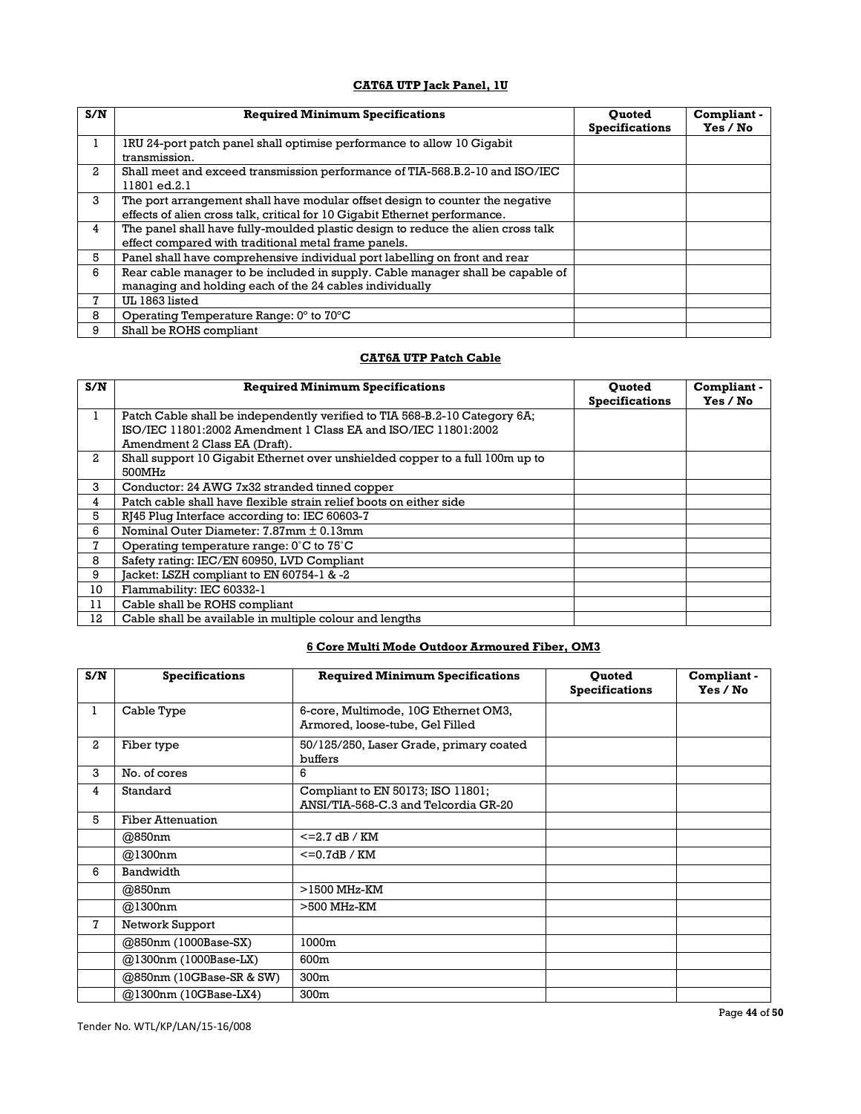## **CAT6A UTP Jack Panel, 1U**

| S/N | <b>Required Minimum Specifications</b>                                                                                                                      | <b>Ouoted</b><br><b>Specifications</b> | Compliant -<br>Yes / No |
|-----|-------------------------------------------------------------------------------------------------------------------------------------------------------------|----------------------------------------|-------------------------|
|     | IRU 24-port patch panel shall optimise performance to allow 10 Gigabit<br>transmission.                                                                     |                                        |                         |
| 2   | Shall meet and exceed transmission performance of TIA-568.B.2-10 and ISO/IEC<br>11801 ed.2.1                                                                |                                        |                         |
| 3   | The port arrangement shall have modular offset design to counter the negative<br>effects of alien cross talk, critical for 10 Gigabit Ethernet performance. |                                        |                         |
| 4   | The panel shall have fully-moulded plastic design to reduce the alien cross talk<br>effect compared with traditional metal frame panels.                    |                                        |                         |
| 5   | Panel shall have comprehensive individual port labelling on front and rear                                                                                  |                                        |                         |
| 6   | Rear cable manager to be included in supply. Cable manager shall be capable of<br>managing and holding each of the 24 cables individually                   |                                        |                         |
| 7   | UL 1863 listed                                                                                                                                              |                                        |                         |
| 8   | Operating Temperature Range: $0^{\circ}$ to $70^{\circ}$ C                                                                                                  |                                        |                         |
| 9   | Shall be ROHS compliant                                                                                                                                     |                                        |                         |

## **CAT6A UTP Patch Cable**

| S/N | <b>Required Minimum Specifications</b>                                                                                                                                        | <b>Ouoted</b><br><b>Specifications</b> | Compliant -<br>Yes / No |
|-----|-------------------------------------------------------------------------------------------------------------------------------------------------------------------------------|----------------------------------------|-------------------------|
| ı   | Patch Cable shall be independently verified to TIA 568-B.2-10 Category 6A;<br>ISO/IEC 11801:2002 Amendment 1 Class EA and ISO/IEC 11801:2002<br>Amendment 2 Class EA (Draft). |                                        |                         |
| 2   | Shall support 10 Gigabit Ethernet over unshielded copper to a full 100m up to<br>500MHz                                                                                       |                                        |                         |
| 3   | Conductor: 24 AWG 7x32 stranded tinned copper                                                                                                                                 |                                        |                         |
| 4   | Patch cable shall have flexible strain relief boots on either side                                                                                                            |                                        |                         |
| 5   | RJ45 Plug Interface according to: IEC 60603-7                                                                                                                                 |                                        |                         |
| 6   | Nominal Outer Diameter: 7.87mm ± 0.13mm                                                                                                                                       |                                        |                         |
| 7   | Operating temperature range: $0^{\circ}$ C to $75^{\circ}$ C                                                                                                                  |                                        |                         |
| 8   | Safety rating: IEC/EN 60950, LVD Compliant                                                                                                                                    |                                        |                         |
| 9   | Jacket: LSZH compliant to EN 60754-1 & -2                                                                                                                                     |                                        |                         |
| 10  | Flammability: IEC 60332-1                                                                                                                                                     |                                        |                         |
| 11  | Cable shall be ROHS compliant                                                                                                                                                 |                                        |                         |
| 12  | Cable shall be available in multiple colour and lengths                                                                                                                       |                                        |                         |

## **6 Core Multi Mode Outdoor Armoured Fiber, OM3**

| S/N | <b>Specifications</b>    | <b>Required Minimum Specifications</b>                                    | <b>Ouoted</b><br><b>Specifications</b> | Compliant -<br>Yes / No |
|-----|--------------------------|---------------------------------------------------------------------------|----------------------------------------|-------------------------|
| 1   | Cable Type               | 6-core, Multimode, 10G Ethernet OM3,<br>Armored, loose-tube, Gel Filled   |                                        |                         |
| 2   | Fiber type               | 50/125/250, Laser Grade, primary coated<br>buffers                        |                                        |                         |
| 3   | No. of cores             | 6                                                                         |                                        |                         |
| 4   | Standard                 | Compliant to EN 50173; ISO 11801;<br>ANSI/TIA-568-C.3 and Telcordia GR-20 |                                        |                         |
| 5   | <b>Fiber Attenuation</b> |                                                                           |                                        |                         |
|     | @850nm                   | $\epsilon$ =2.7 dB / KM                                                   |                                        |                         |
|     | @1300nm                  | $<=0.7dB/KM$                                                              |                                        |                         |
| 6   | Bandwidth                |                                                                           |                                        |                         |
|     | @850nm                   | $>$ 1500 MHz-KM                                                           |                                        |                         |
|     | @1300nm                  | $>500$ MHz-KM                                                             |                                        |                         |
| 7   | Network Support          |                                                                           |                                        |                         |
|     | @850nm (1000Base-SX)     | 1000m                                                                     |                                        |                         |
|     | @1300nm (1000Base-LX)    | 600m                                                                      |                                        |                         |
|     | @850nm (10GBase-SR & SW) | 300m                                                                      |                                        |                         |
|     | @1300nm (10GBase-LX4)    | 300m                                                                      |                                        |                         |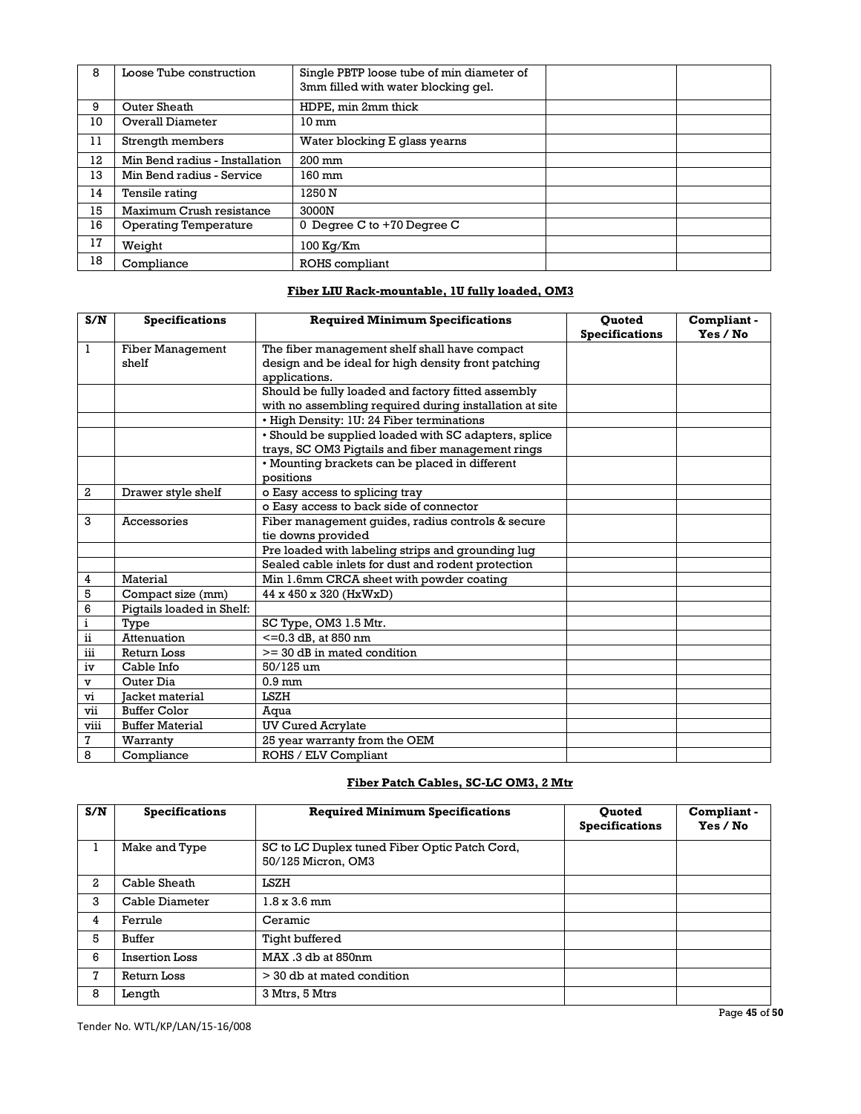| 8  | Loose Tube construction        | Single PBTP loose tube of min diameter of<br>3mm filled with water blocking gel. |  |
|----|--------------------------------|----------------------------------------------------------------------------------|--|
| 9  | Outer Sheath                   | HDPE, min 2mm thick                                                              |  |
| 10 | Overall Diameter               | $10 \text{ mm}$                                                                  |  |
| 11 | Strength members               | Water blocking E glass yearns                                                    |  |
| 12 | Min Bend radius - Installation | $200 \text{ mm}$                                                                 |  |
| 13 | Min Bend radius - Service      | 160 mm                                                                           |  |
| 14 | Tensile rating                 | 1250 N                                                                           |  |
| 15 | Maximum Crush resistance       | 3000N                                                                            |  |
| 16 | Operating Temperature          | 0 Degree C to +70 Degree C                                                       |  |
| 17 | Weight                         | 100 Kg/Km                                                                        |  |
| 18 | Compliance                     | ROHS compliant                                                                   |  |

## **Fiber LIU Rack-mountable, 1U fully loaded, OM3**

| S/N                      | <b>Specifications</b>     | <b>Required Minimum Specifications</b>                  | <b>Ouoted</b><br><b>Specifications</b> | Compliant-<br>Yes / No |
|--------------------------|---------------------------|---------------------------------------------------------|----------------------------------------|------------------------|
| $\mathbf{1}$             | <b>Fiber Management</b>   | The fiber management shelf shall have compact           |                                        |                        |
|                          | shelf                     | design and be ideal for high density front patching     |                                        |                        |
|                          |                           | applications.                                           |                                        |                        |
|                          |                           | Should be fully loaded and factory fitted assembly      |                                        |                        |
|                          |                           | with no assembling required during installation at site |                                        |                        |
|                          |                           | • High Density: 1U: 24 Fiber terminations               |                                        |                        |
|                          |                           | · Should be supplied loaded with SC adapters, splice    |                                        |                        |
|                          |                           | trays, SC OM3 Pigtails and fiber management rings       |                                        |                        |
|                          |                           | • Mounting brackets can be placed in different          |                                        |                        |
|                          |                           | positions                                               |                                        |                        |
| $\boldsymbol{2}$         | Drawer style shelf        | o Easy access to splicing tray                          |                                        |                        |
|                          |                           | o Easy access to back side of connector                 |                                        |                        |
| 3                        | Accessories               | Fiber management quides, radius controls & secure       |                                        |                        |
|                          |                           | tie downs provided                                      |                                        |                        |
|                          |                           | Pre loaded with labeling strips and grounding lug       |                                        |                        |
|                          |                           | Sealed cable inlets for dust and rodent protection      |                                        |                        |
| 4                        | Material                  | Min 1.6mm CRCA sheet with powder coating                |                                        |                        |
| 5                        | Compact size (mm)         | 44 x 450 x 320 (HxWxD)                                  |                                        |                        |
| 6                        | Pigtails loaded in Shelf: |                                                         |                                        |                        |
| i                        | Type                      | SC Type, OM3 1.5 Mtr.                                   |                                        |                        |
| $\overline{\textbf{ii}}$ | Attenuation               | $<=0.3$ dB, at 850 nm                                   |                                        |                        |
| iii                      | <b>Return Loss</b>        | $>=$ 30 dB in mated condition                           |                                        |                        |
| iv                       | Cable Info                | 50/125 um                                               |                                        |                        |
| $\mathbf{v}$             | Outer Dia                 | $0.9 \text{ mm}$                                        |                                        |                        |
| vi                       | Jacket material           | LSZH                                                    |                                        |                        |
| vii                      | <b>Buffer Color</b>       | Aqua                                                    |                                        |                        |
| viii                     | <b>Buffer Material</b>    | <b>UV Cured Acrylate</b>                                |                                        |                        |
| $\mathbf 7$              | Warranty                  | 25 year warranty from the OEM                           |                                        |                        |
| 8                        | Compliance                | ROHS / ELV Compliant                                    |                                        |                        |

## **Fiber Patch Cables, SC-LC OM3, 2 Mtr**

| S/N | <b>Specifications</b> | <b>Required Minimum Specifications</b>                              | <b>Ouoted</b><br><b>Specifications</b> | Compliant -<br>Yes / No |
|-----|-----------------------|---------------------------------------------------------------------|----------------------------------------|-------------------------|
|     | Make and Type         | SC to LC Duplex tuned Fiber Optic Patch Cord,<br>50/125 Micron, OM3 |                                        |                         |
| 2   | Cable Sheath          | LSZH                                                                |                                        |                         |
| 3   | Cable Diameter        | $1.8 \times 3.6$ mm                                                 |                                        |                         |
| 4   | Ferrule               | Ceramic                                                             |                                        |                         |
| 5   | Buffer                | Tight buffered                                                      |                                        |                         |
| 6   | Insertion Loss        | MAX .3 db at 850nm                                                  |                                        |                         |
| 7   | Return Loss           | > 30 db at mated condition                                          |                                        |                         |
| 8   | Length                | 3 Mtrs, 5 Mtrs                                                      |                                        |                         |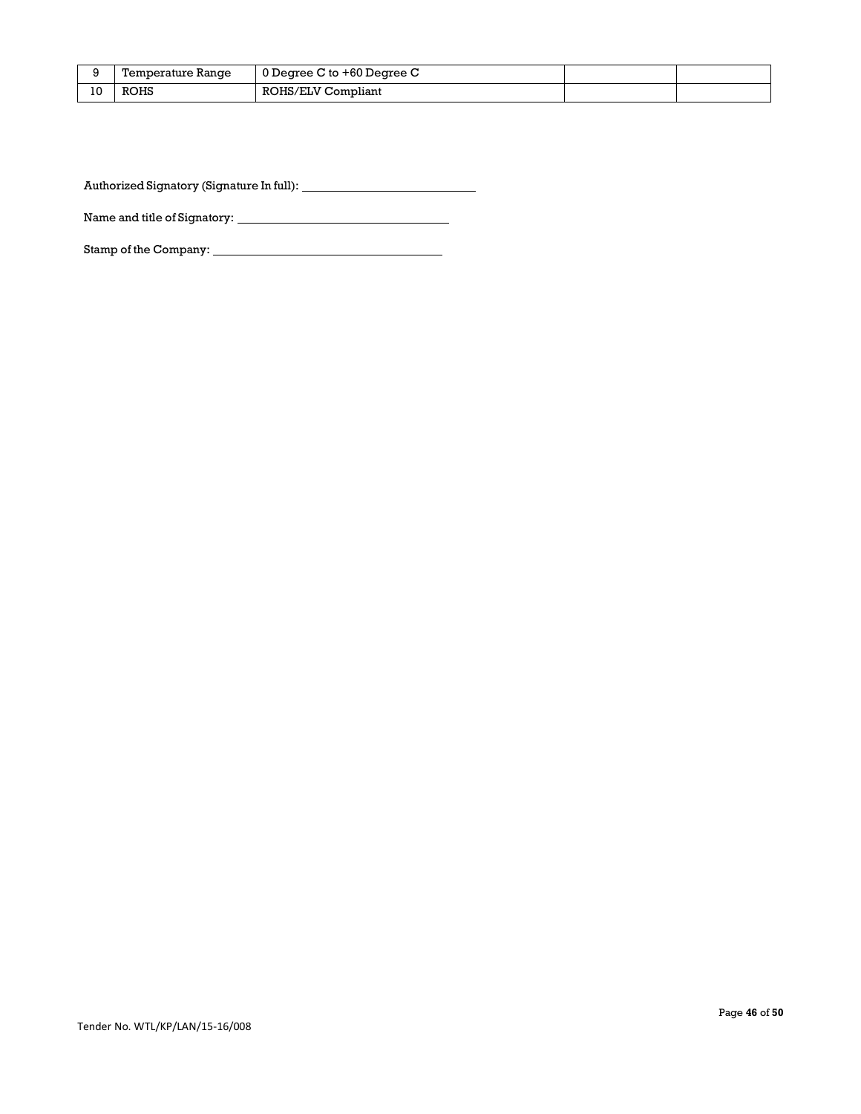|    | Temperature Range | $\vert$ 0 Degree C to +60 Degree C |  |
|----|-------------------|------------------------------------|--|
| 10 | <b>ROHS</b>       | ROHS/ELV Compliant                 |  |

Authorized Signatory (Signature In full):

Name and title of Signatory:

Stamp of the Company: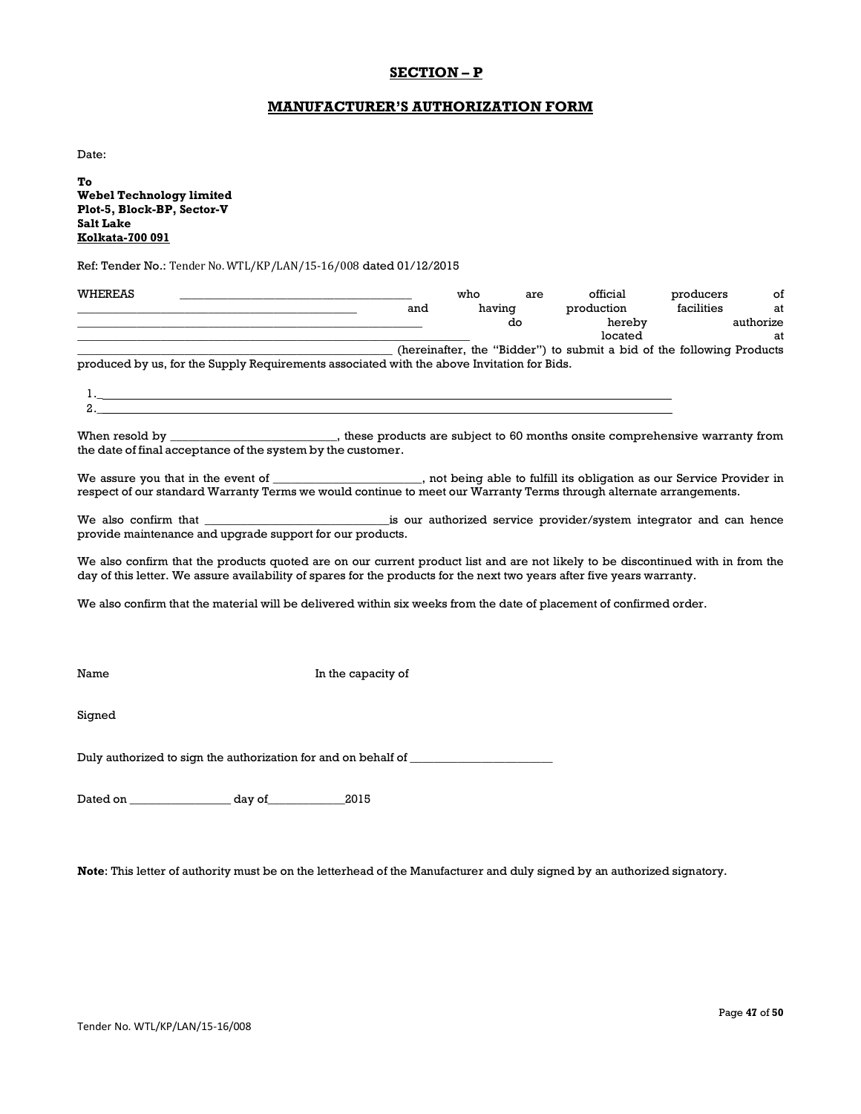## **SECTION – P**

### **MANUFACTURER'S AUTHORIZATION FORM**

Date:

1.\_  $\Omega$ 

**To Webel Technology limited Plot-5, Block-BP, Sector-V Salt Lake Kolkata-700 091**

Ref: Tender No.: Tender No. WTL/KP/LAN/15-16/008 dated 01/12/2015

| WHEREAS |                                                                                            |     | who    | are | official                                                              | producers  | of        |
|---------|--------------------------------------------------------------------------------------------|-----|--------|-----|-----------------------------------------------------------------------|------------|-----------|
|         |                                                                                            | and | having |     | production                                                            | facilities | at        |
|         |                                                                                            |     |        | do  | hereby                                                                |            | authorize |
|         |                                                                                            |     |        |     | located                                                               |            | at        |
|         |                                                                                            |     |        |     | (hereinafter, the "Bidder") to submit a bid of the following Products |            |           |
|         | produced by us, for the Supply Requirements associated with the above Invitation for Bids. |     |        |     |                                                                       |            |           |

| When resold by | these products are subject to 60 months onsite comprehensive warranty from |  |
|----------------|----------------------------------------------------------------------------|--|

the date of final acceptance of the system by the customer.

We assure you that in the event of \_\_\_\_\_\_\_\_\_\_\_\_\_\_\_\_\_\_\_\_, not being able to fulfill its obligation as our Service Provider in respect of our standard Warranty Terms we would continue to meet our Warranty Terms through alternate arrangements.

We also confirm that \_\_\_\_\_\_\_\_\_\_\_\_\_\_\_\_\_\_\_\_\_\_\_\_\_\_\_\_\_\_\_is our authorized service provider/system integrator and can hence provide maintenance and upgrade support for our products.

We also confirm that the products quoted are on our current product list and are not likely to be discontinued with in from the day of this letter. We assure availability of spares for the products for the next two years after five years warranty.

We also confirm that the material will be delivered within six weeks from the date of placement of confirmed order.

Name In the capacity of

Signed

Duly authorized to sign the authorization for and on behalf of \_\_\_\_\_\_\_\_\_\_\_\_\_\_\_\_\_

Dated on \_\_\_\_\_\_\_\_\_\_\_\_\_\_\_\_\_ day of\_\_\_\_\_\_\_\_\_\_\_\_\_2015

**Note**: This letter of authority must be on the letterhead of the Manufacturer and duly signed by an authorized signatory.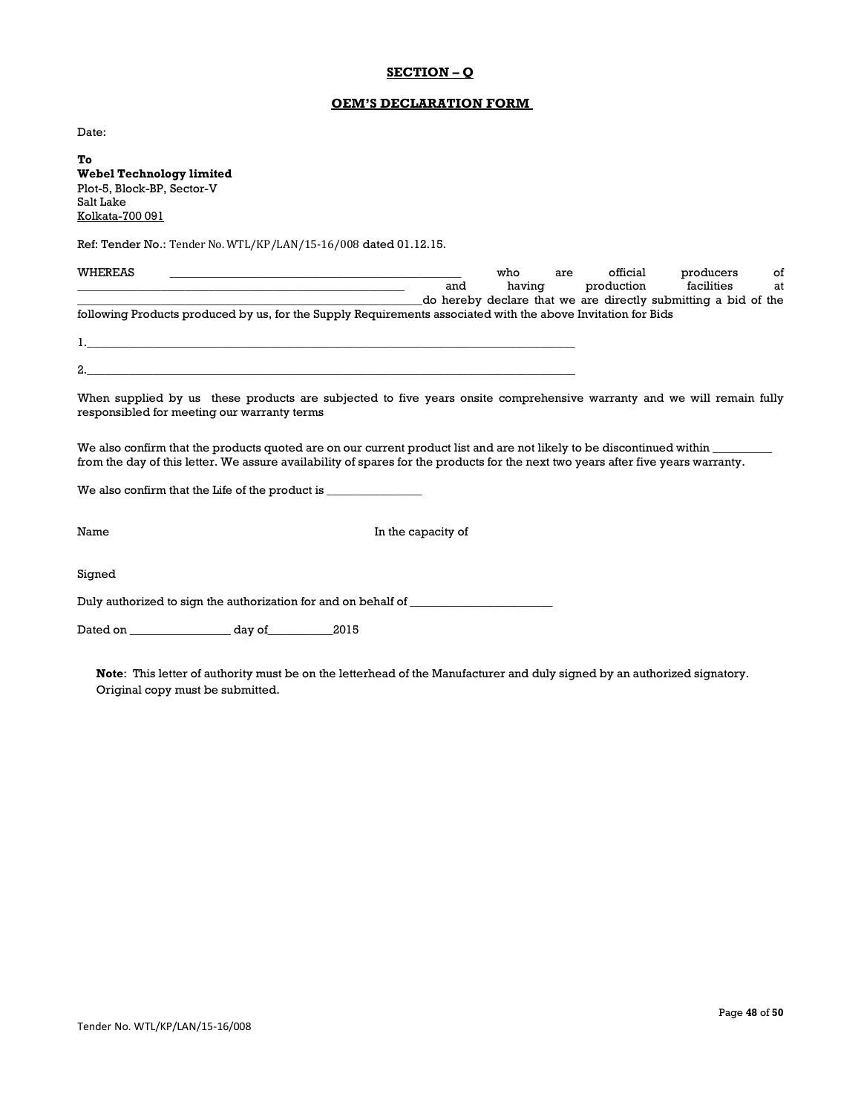## **SECTION – Q**

## **OEM'S DECLARATION FORM**

Date:

**To Webel Technology limited**  Plot-5, Block-BP, Sector-V Salt Lake Kolkata-700 091

Ref: Tender No.: Tender No. WTL/KP/LAN/15-16/008 dated 01.12.15.

| WHEREAS                                                                                                                                                                                                                                                   |                    | who | are    | official   | producers<br>of                                                |  |
|-----------------------------------------------------------------------------------------------------------------------------------------------------------------------------------------------------------------------------------------------------------|--------------------|-----|--------|------------|----------------------------------------------------------------|--|
|                                                                                                                                                                                                                                                           | and                |     | having | production | facilities<br>at                                               |  |
|                                                                                                                                                                                                                                                           |                    |     |        |            | do hereby declare that we are directly submitting a bid of the |  |
| following Products produced by us, for the Supply Requirements associated with the above Invitation for Bids                                                                                                                                              |                    |     |        |            |                                                                |  |
|                                                                                                                                                                                                                                                           |                    |     |        |            |                                                                |  |
| $\mathbf{1}$ .                                                                                                                                                                                                                                            |                    |     |        |            |                                                                |  |
|                                                                                                                                                                                                                                                           |                    |     |        |            |                                                                |  |
|                                                                                                                                                                                                                                                           |                    |     |        |            |                                                                |  |
| When supplied by us these products are subjected to five years onsite comprehensive warranty and we will remain fully<br>responsibled for meeting our warranty terms                                                                                      |                    |     |        |            |                                                                |  |
| We also confirm that the products quoted are on our current product list and are not likely to be discontinued within<br>from the day of this letter. We assure availability of spares for the products for the next two years after five years warranty. |                    |     |        |            |                                                                |  |
| We also confirm that the Life of the product is                                                                                                                                                                                                           |                    |     |        |            |                                                                |  |
|                                                                                                                                                                                                                                                           |                    |     |        |            |                                                                |  |
|                                                                                                                                                                                                                                                           |                    |     |        |            |                                                                |  |
| Name                                                                                                                                                                                                                                                      | In the capacity of |     |        |            |                                                                |  |
|                                                                                                                                                                                                                                                           |                    |     |        |            |                                                                |  |

Signed

Duly authorized to sign the authorization for and on behalf of \_\_\_\_\_\_\_\_\_\_\_\_\_\_\_\_\_\_\_\_\_\_\_\_

Dated on \_\_\_\_\_\_\_\_\_\_\_\_\_\_\_\_\_ day of\_\_\_\_\_\_\_\_\_\_\_2015

**Note**: This letter of authority must be on the letterhead of the Manufacturer and duly signed by an authorized signatory. Original copy must be submitted.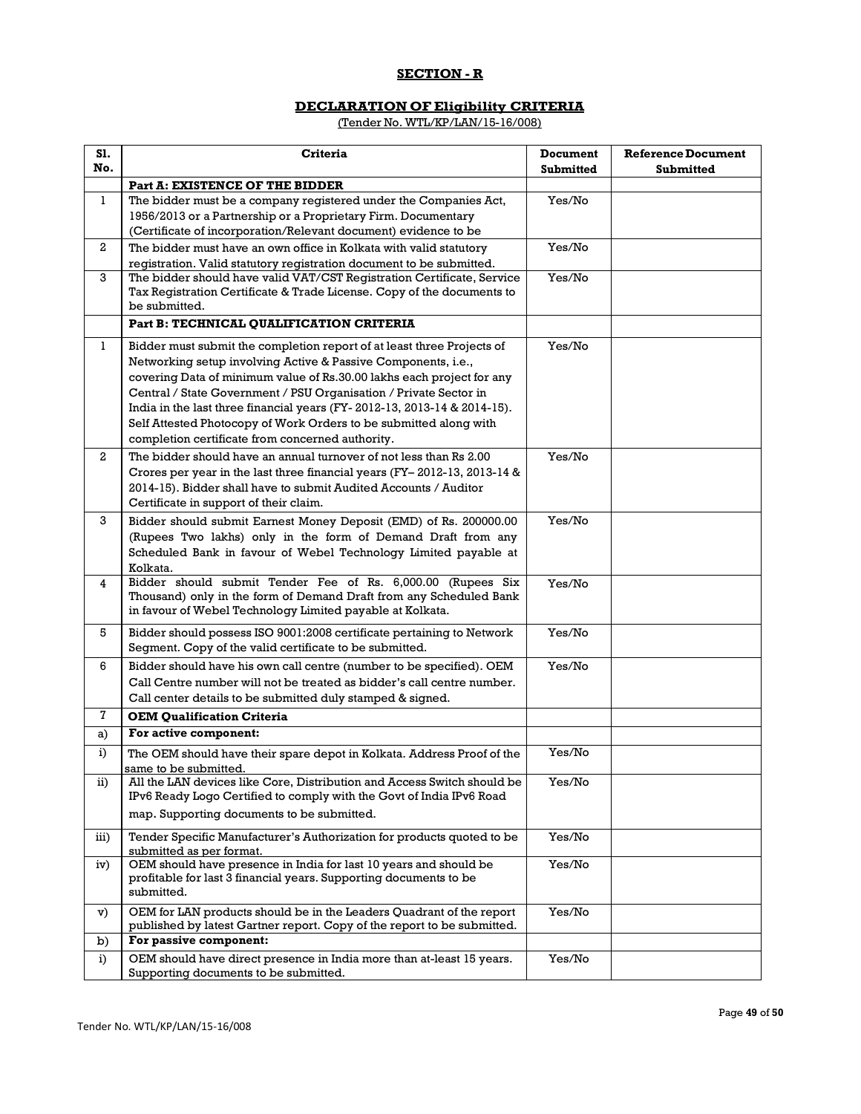## **SECTION - R**

## **DECLARATION OF Eligibility CRITERIA**

(Tender No. WTL/KP/LAN/15-16/008)

| S1.<br>No.   | <b>Criteria</b>                                                                                                                                                                                                                                                                                                                                                                                                                                                                            | <b>Document</b><br><b>Submitted</b> | <b>Reference Document</b><br><b>Submitted</b> |
|--------------|--------------------------------------------------------------------------------------------------------------------------------------------------------------------------------------------------------------------------------------------------------------------------------------------------------------------------------------------------------------------------------------------------------------------------------------------------------------------------------------------|-------------------------------------|-----------------------------------------------|
|              | Part A: EXISTENCE OF THE BIDDER                                                                                                                                                                                                                                                                                                                                                                                                                                                            |                                     |                                               |
| $\mathbf{1}$ | The bidder must be a company registered under the Companies Act,<br>1956/2013 or a Partnership or a Proprietary Firm. Documentary<br>(Certificate of incorporation/Relevant document) evidence to be                                                                                                                                                                                                                                                                                       | Yes/No                              |                                               |
| 2            | The bidder must have an own office in Kolkata with valid statutory                                                                                                                                                                                                                                                                                                                                                                                                                         | Yes/No                              |                                               |
| 3            | registration. Valid statutory registration document to be submitted.<br>The bidder should have valid VAT/CST Registration Certificate, Service<br>Tax Registration Certificate & Trade License. Copy of the documents to<br>be submitted.                                                                                                                                                                                                                                                  | Yes/No                              |                                               |
|              | Part B: TECHNICAL QUALIFICATION CRITERIA                                                                                                                                                                                                                                                                                                                                                                                                                                                   |                                     |                                               |
| 1            | Bidder must submit the completion report of at least three Projects of<br>Networking setup involving Active & Passive Components, i.e.,<br>covering Data of minimum value of Rs.30.00 lakhs each project for any<br>Central / State Government / PSU Organisation / Private Sector in<br>India in the last three financial years (FY-2012-13, 2013-14 & 2014-15).<br>Self Attested Photocopy of Work Orders to be submitted along with<br>completion certificate from concerned authority. | Yes/No                              |                                               |
| $^{2}$       | The bidder should have an annual turnover of not less than Rs 2.00<br>Crores per year in the last three financial years (FY-2012-13, 2013-14 &<br>2014-15). Bidder shall have to submit Audited Accounts / Auditor<br>Certificate in support of their claim.                                                                                                                                                                                                                               | Yes/No                              |                                               |
| 3            | Bidder should submit Earnest Money Deposit (EMD) of Rs. 200000.00<br>(Rupees Two lakhs) only in the form of Demand Draft from any<br>Scheduled Bank in favour of Webel Technology Limited payable at<br>Kolkata.                                                                                                                                                                                                                                                                           | Yes/No                              |                                               |
| 4            | Bidder should submit Tender Fee of Rs. 6,000.00 (Rupees Six<br>Thousand) only in the form of Demand Draft from any Scheduled Bank<br>in favour of Webel Technology Limited payable at Kolkata.                                                                                                                                                                                                                                                                                             | Yes/No                              |                                               |
| 5            | Bidder should possess ISO 9001:2008 certificate pertaining to Network<br>Segment. Copy of the valid certificate to be submitted.                                                                                                                                                                                                                                                                                                                                                           | Yes/No                              |                                               |
| 6            | Bidder should have his own call centre (number to be specified). OEM<br>Call Centre number will not be treated as bidder's call centre number.<br>Call center details to be submitted duly stamped & signed.                                                                                                                                                                                                                                                                               | Yes/No                              |                                               |
| 7            | <b>OEM Qualification Criteria</b>                                                                                                                                                                                                                                                                                                                                                                                                                                                          |                                     |                                               |
| a)           | For active component:                                                                                                                                                                                                                                                                                                                                                                                                                                                                      |                                     |                                               |
| i)           | The OEM should have their spare depot in Kolkata. Address Proof of the<br>same to be submitted.                                                                                                                                                                                                                                                                                                                                                                                            | Yes/No                              |                                               |
| ii)          | All the LAN devices like Core, Distribution and Access Switch should be<br>IPv6 Ready Logo Certified to comply with the Govt of India IPv6 Road<br>map. Supporting documents to be submitted.                                                                                                                                                                                                                                                                                              | Yes/No                              |                                               |
| iii)         | Tender Specific Manufacturer's Authorization for products quoted to be                                                                                                                                                                                                                                                                                                                                                                                                                     | Yes/No                              |                                               |
| iv)          | submitted as per format.<br>OEM should have presence in India for last 10 years and should be<br>profitable for last 3 financial years. Supporting documents to be<br>submitted.                                                                                                                                                                                                                                                                                                           | Yes/No                              |                                               |
| v)           | OEM for LAN products should be in the Leaders Quadrant of the report<br>published by latest Gartner report. Copy of the report to be submitted.                                                                                                                                                                                                                                                                                                                                            | Yes/No                              |                                               |
| b)           | For passive component:                                                                                                                                                                                                                                                                                                                                                                                                                                                                     |                                     |                                               |
| i)           | OEM should have direct presence in India more than at-least 15 years.<br>Supporting documents to be submitted.                                                                                                                                                                                                                                                                                                                                                                             | Yes/No                              |                                               |